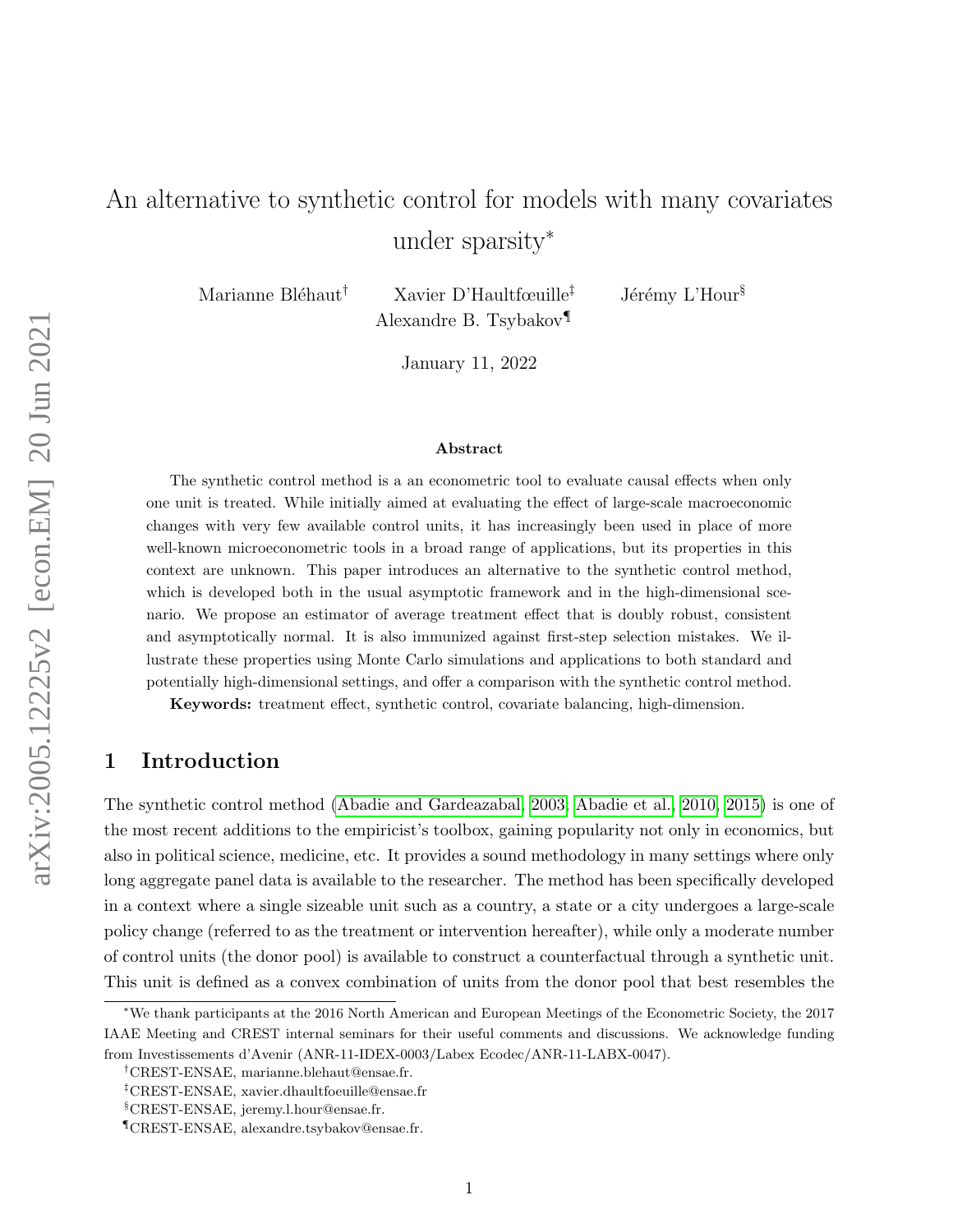# An alternative to synthetic control for models with many covariates under sparsity<sup>\*</sup>

Marianne Bléhaut<sup>†</sup> Xavier D'Haultfœuille<sup>‡</sup> Jérémy L'Hour<sup>§</sup> Alexandre B. Tsybakov¶

January 11, 2022

#### Abstract

The synthetic control method is a an econometric tool to evaluate causal effects when only one unit is treated. While initially aimed at evaluating the effect of large-scale macroeconomic changes with very few available control units, it has increasingly been used in place of more well-known microeconometric tools in a broad range of applications, but its properties in this context are unknown. This paper introduces an alternative to the synthetic control method, which is developed both in the usual asymptotic framework and in the high-dimensional scenario. We propose an estimator of average treatment effect that is doubly robust, consistent and asymptotically normal. It is also immunized against first-step selection mistakes. We illustrate these properties using Monte Carlo simulations and applications to both standard and potentially high-dimensional settings, and offer a comparison with the synthetic control method.

Keywords: treatment effect, synthetic control, covariate balancing, high-dimension.

# 1 Introduction

The synthetic control method [\(Abadie and Gardeazabal, 2003;](#page-21-0) [Abadie et al., 2010,](#page-21-1) [2015\)](#page-21-2) is one of the most recent additions to the empiricist's toolbox, gaining popularity not only in economics, but also in political science, medicine, etc. It provides a sound methodology in many settings where only long aggregate panel data is available to the researcher. The method has been specifically developed in a context where a single sizeable unit such as a country, a state or a city undergoes a large-scale policy change (referred to as the treatment or intervention hereafter), while only a moderate number of control units (the donor pool) is available to construct a counterfactual through a synthetic unit. This unit is defined as a convex combination of units from the donor pool that best resembles the

<sup>∗</sup>We thank participants at the 2016 North American and European Meetings of the Econometric Society, the 2017 IAAE Meeting and CREST internal seminars for their useful comments and discussions. We acknowledge funding from Investissements d'Avenir (ANR-11-IDEX-0003/Labex Ecodec/ANR-11-LABX-0047).

<sup>†</sup>CREST-ENSAE, marianne.blehaut@ensae.fr.

<sup>‡</sup>CREST-ENSAE, xavier.dhaultfoeuille@ensae.fr

<sup>§</sup>CREST-ENSAE, jeremy.l.hour@ensae.fr.

<sup>¶</sup>CREST-ENSAE, alexandre.tsybakov@ensae.fr.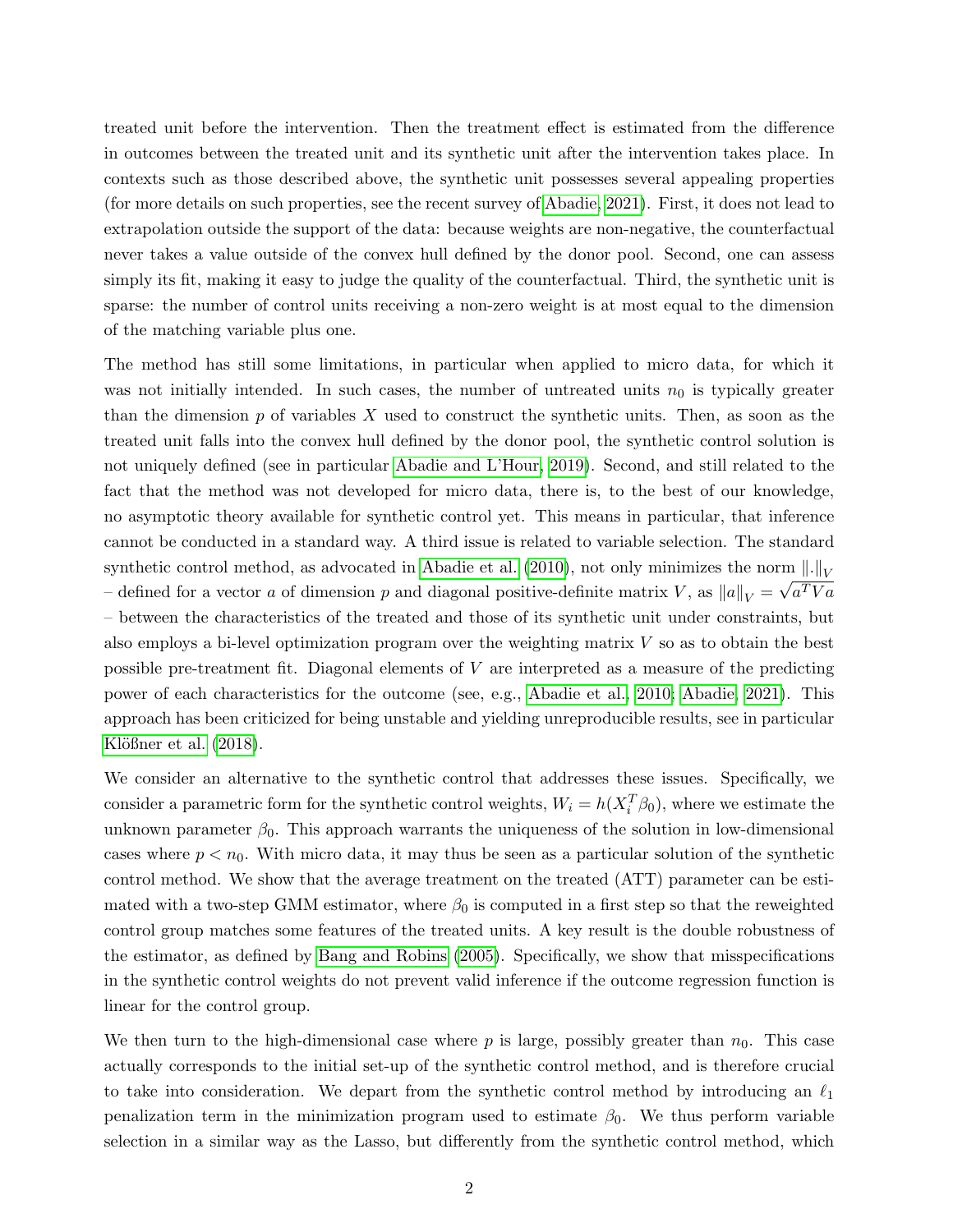treated unit before the intervention. Then the treatment effect is estimated from the difference in outcomes between the treated unit and its synthetic unit after the intervention takes place. In contexts such as those described above, the synthetic unit possesses several appealing properties (for more details on such properties, see the recent survey of [Abadie, 2021\)](#page-21-3). First, it does not lead to extrapolation outside the support of the data: because weights are non-negative, the counterfactual never takes a value outside of the convex hull defined by the donor pool. Second, one can assess simply its fit, making it easy to judge the quality of the counterfactual. Third, the synthetic unit is sparse: the number of control units receiving a non-zero weight is at most equal to the dimension of the matching variable plus one.

The method has still some limitations, in particular when applied to micro data, for which it was not initially intended. In such cases, the number of untreated units  $n_0$  is typically greater than the dimension  $p$  of variables  $X$  used to construct the synthetic units. Then, as soon as the treated unit falls into the convex hull defined by the donor pool, the synthetic control solution is not uniquely defined (see in particular [Abadie and L'Hour, 2019\)](#page-21-4). Second, and still related to the fact that the method was not developed for micro data, there is, to the best of our knowledge, no asymptotic theory available for synthetic control yet. This means in particular, that inference cannot be conducted in a standard way. A third issue is related to variable selection. The standard synthetic control method, as advocated in [Abadie et al.](#page-21-1) [\(2010\)](#page-21-1), not only minimizes the norm  $\|\cdot\|_V$ - defined for a vector a of dimension p and diagonal positive-definite matrix V, as  $||a||_V = \sqrt{a^T V a}$ – between the characteristics of the treated and those of its synthetic unit under constraints, but also employs a bi-level optimization program over the weighting matrix V so as to obtain the best possible pre-treatment fit. Diagonal elements of V are interpreted as a measure of the predicting power of each characteristics for the outcome (see, e.g., [Abadie et al., 2010;](#page-21-1) [Abadie, 2021\)](#page-21-3). This approach has been criticized for being unstable and yielding unreproducible results, see in particular Klößner et al.  $(2018)$ .

We consider an alternative to the synthetic control that addresses these issues. Specifically, we consider a parametric form for the synthetic control weights,  $W_i = h(X_i^T \beta_0)$ , where we estimate the unknown parameter  $\beta_0$ . This approach warrants the uniqueness of the solution in low-dimensional cases where  $p < n_0$ . With micro data, it may thus be seen as a particular solution of the synthetic control method. We show that the average treatment on the treated (ATT) parameter can be estimated with a two-step GMM estimator, where  $\beta_0$  is computed in a first step so that the reweighted control group matches some features of the treated units. A key result is the double robustness of the estimator, as defined by [Bang and Robins](#page-22-0) [\(2005\)](#page-22-0). Specifically, we show that misspecifications in the synthetic control weights do not prevent valid inference if the outcome regression function is linear for the control group.

We then turn to the high-dimensional case where  $p$  is large, possibly greater than  $n_0$ . This case actually corresponds to the initial set-up of the synthetic control method, and is therefore crucial to take into consideration. We depart from the synthetic control method by introducing an  $\ell_1$ penalization term in the minimization program used to estimate  $\beta_0$ . We thus perform variable selection in a similar way as the Lasso, but differently from the synthetic control method, which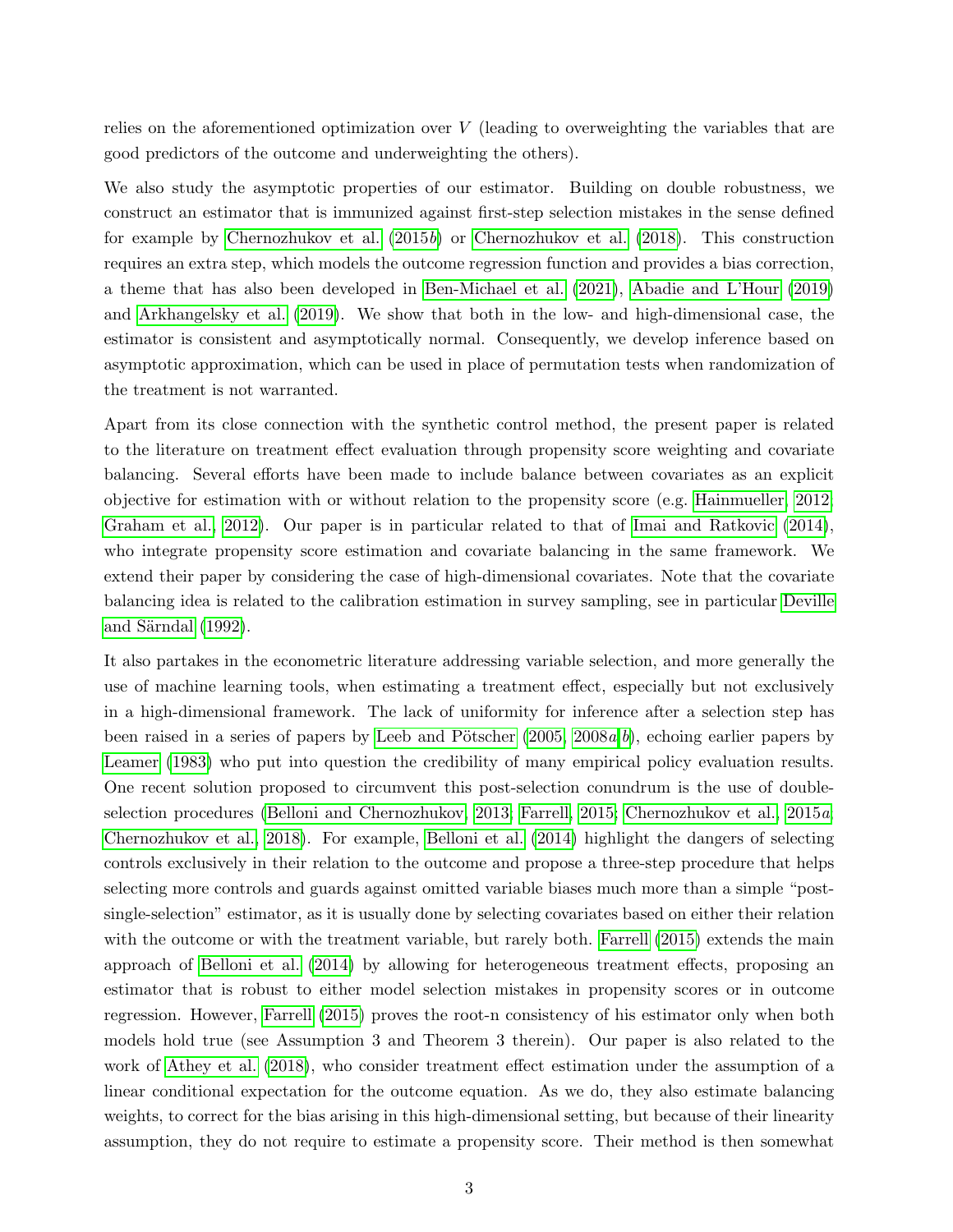relies on the aforementioned optimization over  $V$  (leading to overweighting the variables that are good predictors of the outcome and underweighting the others).

We also study the asymptotic properties of our estimator. Building on double robustness, we construct an estimator that is immunized against first-step selection mistakes in the sense defined for example by [Chernozhukov et al.](#page-22-1) [\(2015](#page-22-1)b) or [Chernozhukov et al.](#page-22-2) [\(2018\)](#page-22-2). This construction requires an extra step, which models the outcome regression function and provides a bias correction, a theme that has also been developed in [Ben-Michael et al.](#page-22-3) [\(2021\)](#page-22-3), [Abadie and L'Hour](#page-21-4) [\(2019\)](#page-21-4) and [Arkhangelsky et al.](#page-21-5) [\(2019\)](#page-21-5). We show that both in the low- and high-dimensional case, the estimator is consistent and asymptotically normal. Consequently, we develop inference based on asymptotic approximation, which can be used in place of permutation tests when randomization of the treatment is not warranted.

Apart from its close connection with the synthetic control method, the present paper is related to the literature on treatment effect evaluation through propensity score weighting and covariate balancing. Several efforts have been made to include balance between covariates as an explicit objective for estimation with or without relation to the propensity score (e.g. [Hainmueller, 2012;](#page-23-1) [Graham et al., 2012\)](#page-23-2). Our paper is in particular related to that of [Imai and Ratkovic](#page-23-3) [\(2014\)](#page-23-3), who integrate propensity score estimation and covariate balancing in the same framework. We extend their paper by considering the case of high-dimensional covariates. Note that the covariate balancing idea is related to the calibration estimation in survey sampling, see in particular [Deville](#page-23-4) and Särndal  $(1992)$ .

It also partakes in the econometric literature addressing variable selection, and more generally the use of machine learning tools, when estimating a treatment effect, especially but not exclusively in a high-dimensional framework. The lack of uniformity for inference after a selection step has [b](#page-24-0)een raised in a series of papers by Leeb and Pötscher  $(2005, 2008a, b)$  $(2005, 2008a, b)$  $(2005, 2008a, b)$ , echoing earlier papers by [Leamer](#page-23-7) [\(1983\)](#page-23-7) who put into question the credibility of many empirical policy evaluation results. One recent solution proposed to circumvent this post-selection conundrum is the use of doubleselection procedures [\(Belloni and Chernozhukov, 2013;](#page-22-4) [Farrell, 2015;](#page-23-8) [Chernozhukov et al., 2015](#page-22-5)a; [Chernozhukov et al., 2018\)](#page-22-2). For example, [Belloni et al.](#page-22-6) [\(2014\)](#page-22-6) highlight the dangers of selecting controls exclusively in their relation to the outcome and propose a three-step procedure that helps selecting more controls and guards against omitted variable biases much more than a simple "postsingle-selection" estimator, as it is usually done by selecting covariates based on either their relation with the outcome or with the treatment variable, but rarely both. [Farrell](#page-23-8) [\(2015\)](#page-23-8) extends the main approach of [Belloni et al.](#page-22-6) [\(2014\)](#page-22-6) by allowing for heterogeneous treatment effects, proposing an estimator that is robust to either model selection mistakes in propensity scores or in outcome regression. However, [Farrell](#page-23-8) [\(2015\)](#page-23-8) proves the root-n consistency of his estimator only when both models hold true (see Assumption 3 and Theorem 3 therein). Our paper is also related to the work of [Athey et al.](#page-21-6) [\(2018\)](#page-21-6), who consider treatment effect estimation under the assumption of a linear conditional expectation for the outcome equation. As we do, they also estimate balancing weights, to correct for the bias arising in this high-dimensional setting, but because of their linearity assumption, they do not require to estimate a propensity score. Their method is then somewhat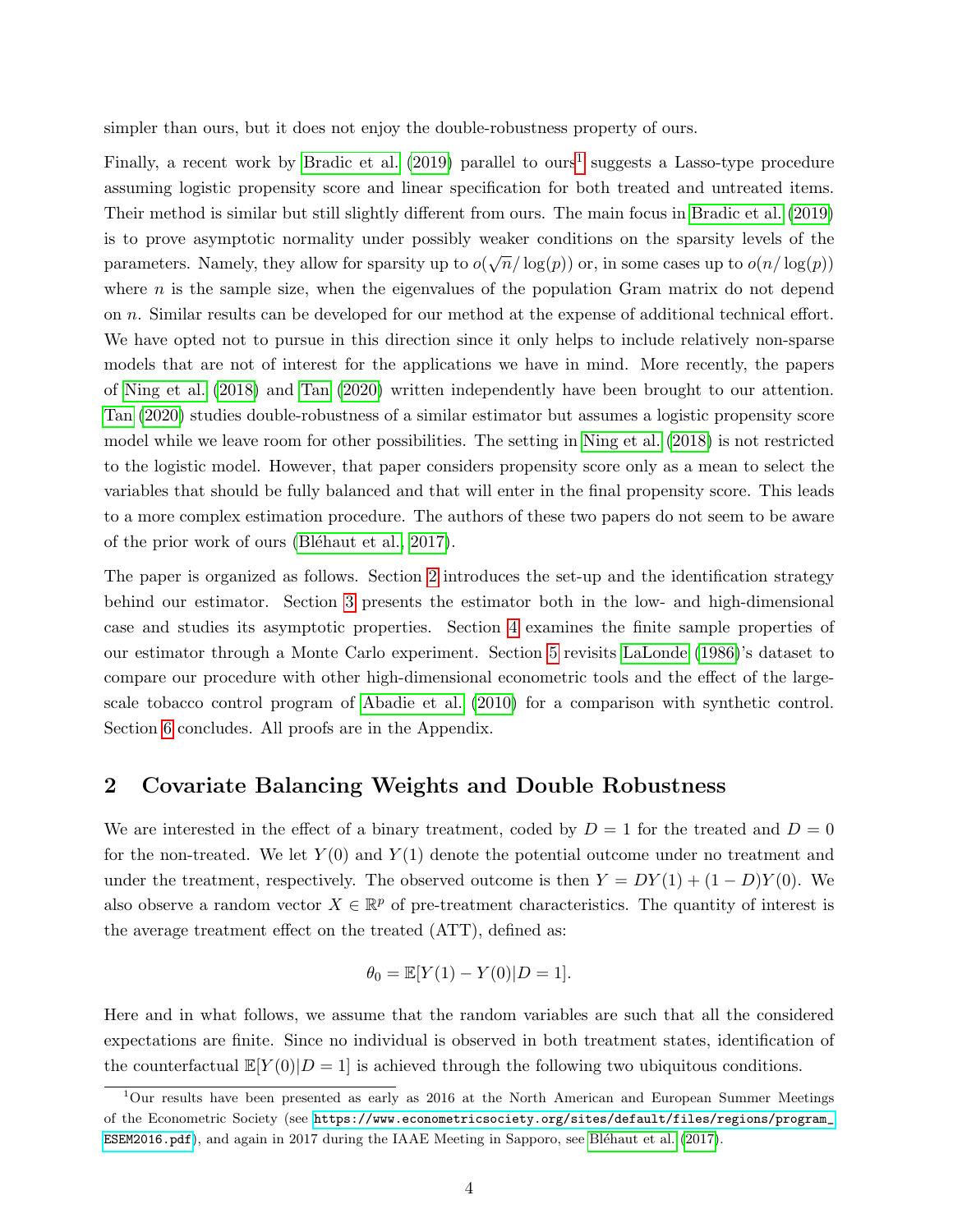simpler than ours, but it does not enjoy the double-robustness property of ours.

Finally, a recent work by [Bradic et al.](#page-22-7)  $(2019)$  parallel to ours<sup>[1](#page-3-0)</sup> suggests a Lasso-type procedure assuming logistic propensity score and linear specification for both treated and untreated items. Their method is similar but still slightly different from ours. The main focus in [Bradic et al.](#page-22-7) [\(2019\)](#page-22-7) is to prove asymptotic normality under possibly weaker conditions on the sparsity levels of the parameters. Namely, they allow for sparsity up to  $o(\sqrt{n}/\log(p))$  or, in some cases up to  $o(n/\log(p))$ where  $n$  is the sample size, when the eigenvalues of the population Gram matrix do not depend on n. Similar results can be developed for our method at the expense of additional technical effort. We have opted not to pursue in this direction since it only helps to include relatively non-sparse models that are not of interest for the applications we have in mind. More recently, the papers of [Ning et al.](#page-24-1) [\(2018\)](#page-24-1) and [Tan](#page-24-2) [\(2020\)](#page-24-2) written independently have been brought to our attention. [Tan](#page-24-2) [\(2020\)](#page-24-2) studies double-robustness of a similar estimator but assumes a logistic propensity score model while we leave room for other possibilities. The setting in [Ning et al.](#page-24-1) [\(2018\)](#page-24-1) is not restricted to the logistic model. However, that paper considers propensity score only as a mean to select the variables that should be fully balanced and that will enter in the final propensity score. This leads to a more complex estimation procedure. The authors of these two papers do not seem to be aware of the prior work of ours (Bléhaut et al., 2017).

The paper is organized as follows. Section [2](#page-3-1) introduces the set-up and the identification strategy behind our estimator. Section [3](#page-7-0) presents the estimator both in the low- and high-dimensional case and studies its asymptotic properties. Section [4](#page-14-0) examines the finite sample properties of our estimator through a Monte Carlo experiment. Section [5](#page-17-0) revisits [LaLonde](#page-23-9) [\(1986\)](#page-23-9)'s dataset to compare our procedure with other high-dimensional econometric tools and the effect of the largescale tobacco control program of [Abadie et al.](#page-21-1) [\(2010\)](#page-21-1) for a comparison with synthetic control. Section [6](#page-21-7) concludes. All proofs are in the Appendix.

# <span id="page-3-1"></span>2 Covariate Balancing Weights and Double Robustness

We are interested in the effect of a binary treatment, coded by  $D = 1$  for the treated and  $D = 0$ for the non-treated. We let  $Y(0)$  and  $Y(1)$  denote the potential outcome under no treatment and under the treatment, respectively. The observed outcome is then  $Y = DY(1) + (1 - D)Y(0)$ . We also observe a random vector  $X \in \mathbb{R}^p$  of pre-treatment characteristics. The quantity of interest is the average treatment effect on the treated (ATT), defined as:

$$
\theta_0 = \mathbb{E}[Y(1) - Y(0)|D = 1].
$$

Here and in what follows, we assume that the random variables are such that all the considered expectations are finite. Since no individual is observed in both treatment states, identification of the counterfactual  $\mathbb{E}[Y(0)|D=1]$  is achieved through the following two ubiquitous conditions.

<span id="page-3-2"></span><span id="page-3-0"></span><sup>&</sup>lt;sup>1</sup>Our results have been presented as early as 2016 at the North American and European Summer Meetings of the Econometric Society (see [https://www.econometricsociety.org/sites/default/files/regions/program\\_]( https://www.econometricsociety.org/sites/default/files/regions/program_ESEM2016.pdf) [ESEM2016.pdf]( https://www.econometricsociety.org/sites/default/files/regions/program_ESEM2016.pdf)), and again in 2017 during the IAAE Meeting in Sapporo, see Bléhaut et al. [\(2017\)](#page-22-8).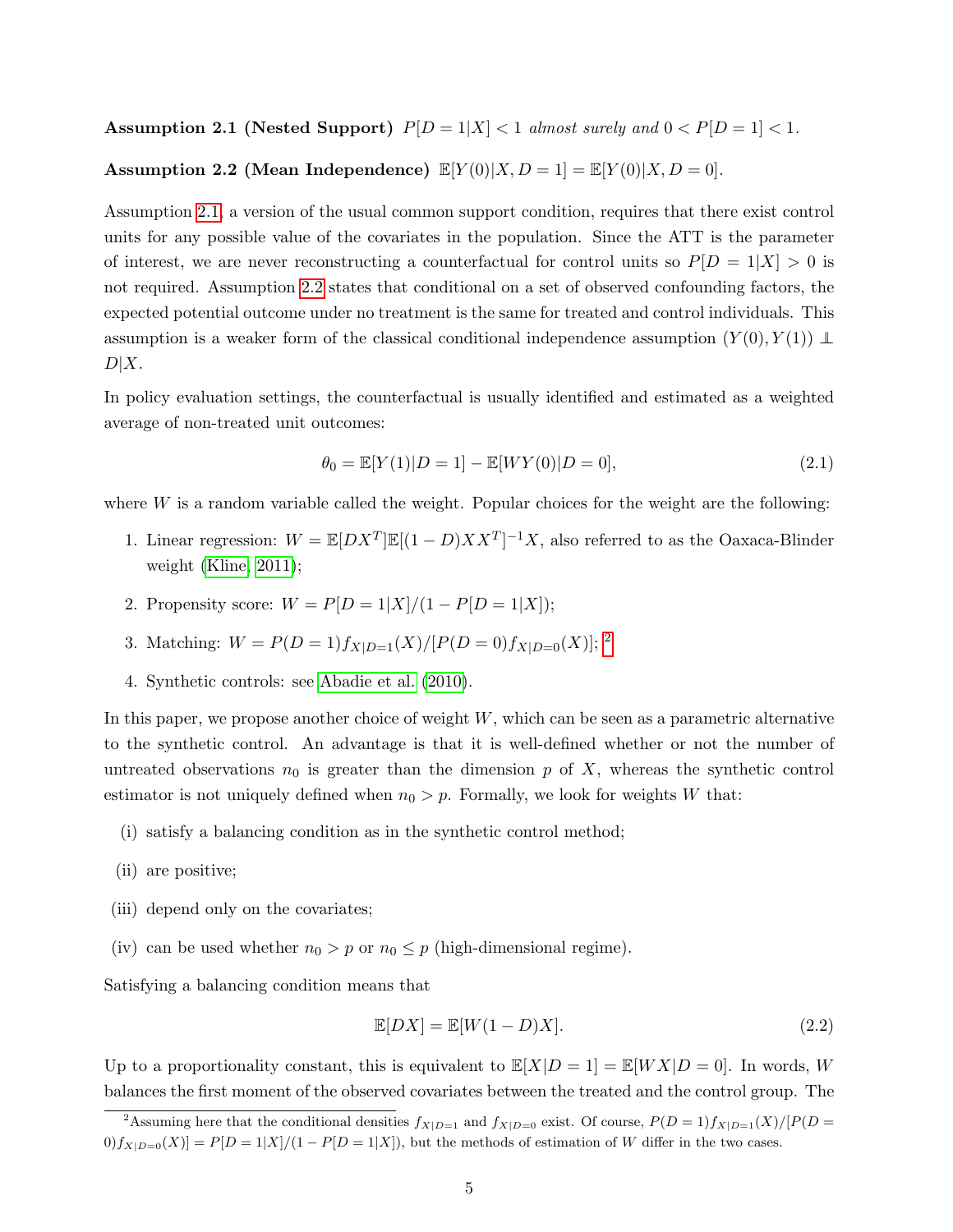Assumption 2.1 (Nested Support)  $P[D = 1|X] < 1$  almost surely and  $0 < P[D = 1] < 1$ .

#### <span id="page-4-0"></span>Assumption 2.2 (Mean Independence)  $\mathbb{E}[Y(0)|X,D=1] = \mathbb{E}[Y(0)|X,D=0].$

Assumption [2.1,](#page-3-2) a version of the usual common support condition, requires that there exist control units for any possible value of the covariates in the population. Since the ATT is the parameter of interest, we are never reconstructing a counterfactual for control units so  $P[D = 1|X] > 0$  is not required. Assumption [2.2](#page-4-0) states that conditional on a set of observed confounding factors, the expected potential outcome under no treatment is the same for treated and control individuals. This assumption is a weaker form of the classical conditional independence assumption  $(Y(0), Y(1)) \perp$  $D|X$ .

In policy evaluation settings, the counterfactual is usually identified and estimated as a weighted average of non-treated unit outcomes:

<span id="page-4-3"></span>
$$
\theta_0 = \mathbb{E}[Y(1)|D = 1] - \mathbb{E}[WY(0)|D = 0],\tag{2.1}
$$

where  $W$  is a random variable called the weight. Popular choices for the weight are the following:

- 1. Linear regression:  $W = \mathbb{E}[DX^T]\mathbb{E}[(1-D)XX^T]^{-1}X$ , also referred to as the Oaxaca-Blinder weight [\(Kline, 2011\)](#page-23-10);
- 2. Propensity score:  $W = P[D = 1|X]/(1 P[D = 1|X])$ ;
- 3. Matching:  $W = P(D = 1) f_{X|D=1}(X) / [P(D = 0) f_{X|D=0}(X)]$ ; <sup>[2](#page-4-1)</sup>
- 4. Synthetic controls: see [Abadie et al.](#page-21-1) [\(2010\)](#page-21-1).

In this paper, we propose another choice of weight  $W$ , which can be seen as a parametric alternative to the synthetic control. An advantage is that it is well-defined whether or not the number of untreated observations  $n_0$  is greater than the dimension p of X, whereas the synthetic control estimator is not uniquely defined when  $n_0 > p$ . Formally, we look for weights W that:

- (i) satisfy a balancing condition as in the synthetic control method;
- (ii) are positive;
- (iii) depend only on the covariates;
- (iv) can be used whether  $n_0 > p$  or  $n_0 \leq p$  (high-dimensional regime).

Satisfying a balancing condition means that

<span id="page-4-2"></span>
$$
\mathbb{E}[DX] = \mathbb{E}[W(1-D)X].\tag{2.2}
$$

Up to a proportionality constant, this is equivalent to  $\mathbb{E}[X|D = 1] = \mathbb{E}[WX|D = 0]$ . In words, W balances the first moment of the observed covariates between the treated and the control group. The

<span id="page-4-1"></span><sup>&</sup>lt;sup>2</sup>Assuming here that the conditional densities  $f_{X|D=1}$  and  $f_{X|D=0}$  exist. Of course,  $P(D=1)f_{X|D=1}(X)/[P(D=1)f_{X|D=1}]$  $[0]$ f<sub>X|D=0</sub>(X)| = P[D = 1|X]/(1 – P[D = 1|X]), but the methods of estimation of W differ in the two cases.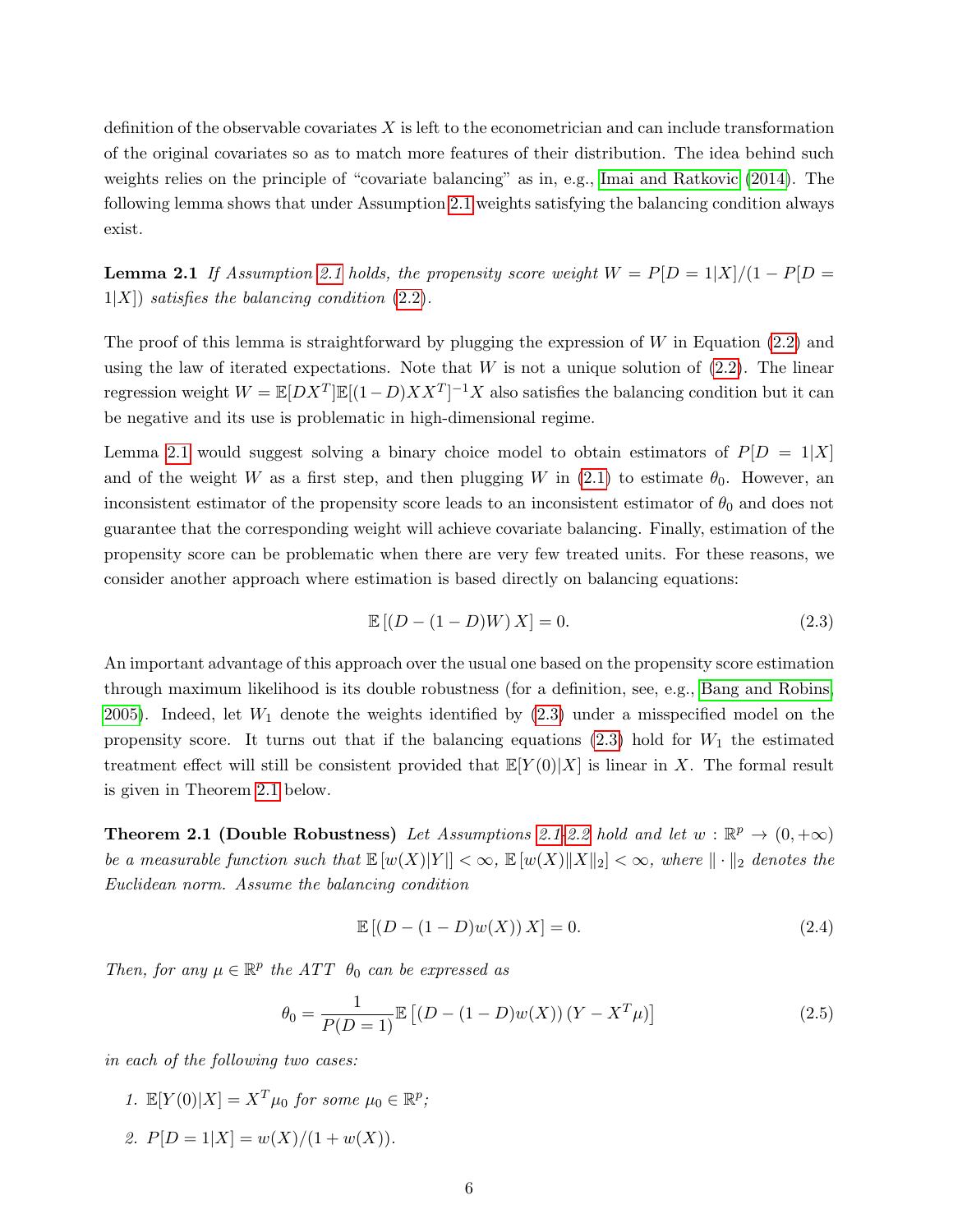definition of the observable covariates  $X$  is left to the econometrician and can include transformation of the original covariates so as to match more features of their distribution. The idea behind such weights relies on the principle of "covariate balancing" as in, e.g., [Imai and Ratkovic](#page-23-3) [\(2014\)](#page-23-3). The following lemma shows that under Assumption [2.1](#page-3-2) weights satisfying the balancing condition always exist.

<span id="page-5-0"></span>**Lemma [2.1](#page-3-2)** If Assumption 2.1 holds, the propensity score weight  $W = P[D = 1|X]/(1 - P[D = 1])$  $1|X|$ ) satisfies the balancing condition [\(2.2\)](#page-4-2).

The proof of this lemma is straightforward by plugging the expression of  $W$  in Equation [\(2.2\)](#page-4-2) and using the law of iterated expectations. Note that  $W$  is not a unique solution of  $(2.2)$ . The linear regression weight  $W = \mathbb{E}[DX^T]\mathbb{E}[(1-D)XX^T]^{-1}X$  also satisfies the balancing condition but it can be negative and its use is problematic in high-dimensional regime.

Lemma [2.1](#page-5-0) would suggest solving a binary choice model to obtain estimators of  $P[D = 1|X]$ and of the weight W as a first step, and then plugging W in  $(2.1)$  to estimate  $\theta_0$ . However, an inconsistent estimator of the propensity score leads to an inconsistent estimator of  $\theta_0$  and does not guarantee that the corresponding weight will achieve covariate balancing. Finally, estimation of the propensity score can be problematic when there are very few treated units. For these reasons, we consider another approach where estimation is based directly on balancing equations:

<span id="page-5-1"></span>
$$
\mathbb{E}[(D - (1 - D)W)X] = 0.
$$
\n(2.3)

An important advantage of this approach over the usual one based on the propensity score estimation through maximum likelihood is its double robustness (for a definition, see, e.g., [Bang and Robins,](#page-22-0) [2005\)](#page-22-0). Indeed, let  $W_1$  denote the weights identified by  $(2.3)$  under a misspecified model on the propensity score. It turns out that if the balancing equations  $(2.3)$  hold for  $W_1$  the estimated treatment effect will still be consistent provided that  $\mathbb{E}[Y(0)|X]$  is linear in X. The formal result is given in Theorem [2.1](#page-5-2) below.

<span id="page-5-2"></span>**Theorem [2.1](#page-3-2) (Double Robustness)** Let Assumptions 2.1[-2.2](#page-4-0) hold and let  $w : \mathbb{R}^p \to (0, +\infty)$ be a measurable function such that  $\mathbb{E}[w(X)|Y|] < \infty$ ,  $\mathbb{E}[w(X)||X||_2] < \infty$ , where  $\|\cdot\|_2$  denotes the Euclidean norm. Assume the balancing condition

$$
\mathbb{E}[(D - (1 - D)w(X))X] = 0.
$$
\n(2.4)

Then, for any  $\mu \in \mathbb{R}^p$  the ATT  $\theta_0$  can be expressed as

<span id="page-5-3"></span>
$$
\theta_0 = \frac{1}{P(D=1)} \mathbb{E}\left[ (D - (1-D)w(X)) (Y - X^T \mu) \right]
$$
\n(2.5)

in each of the following two cases:

- 1.  $\mathbb{E}[Y(0)|X] = X^T \mu_0$  for some  $\mu_0 \in \mathbb{R}^p$ ;
- 2.  $P[D = 1|X] = w(X)/(1 + w(X)).$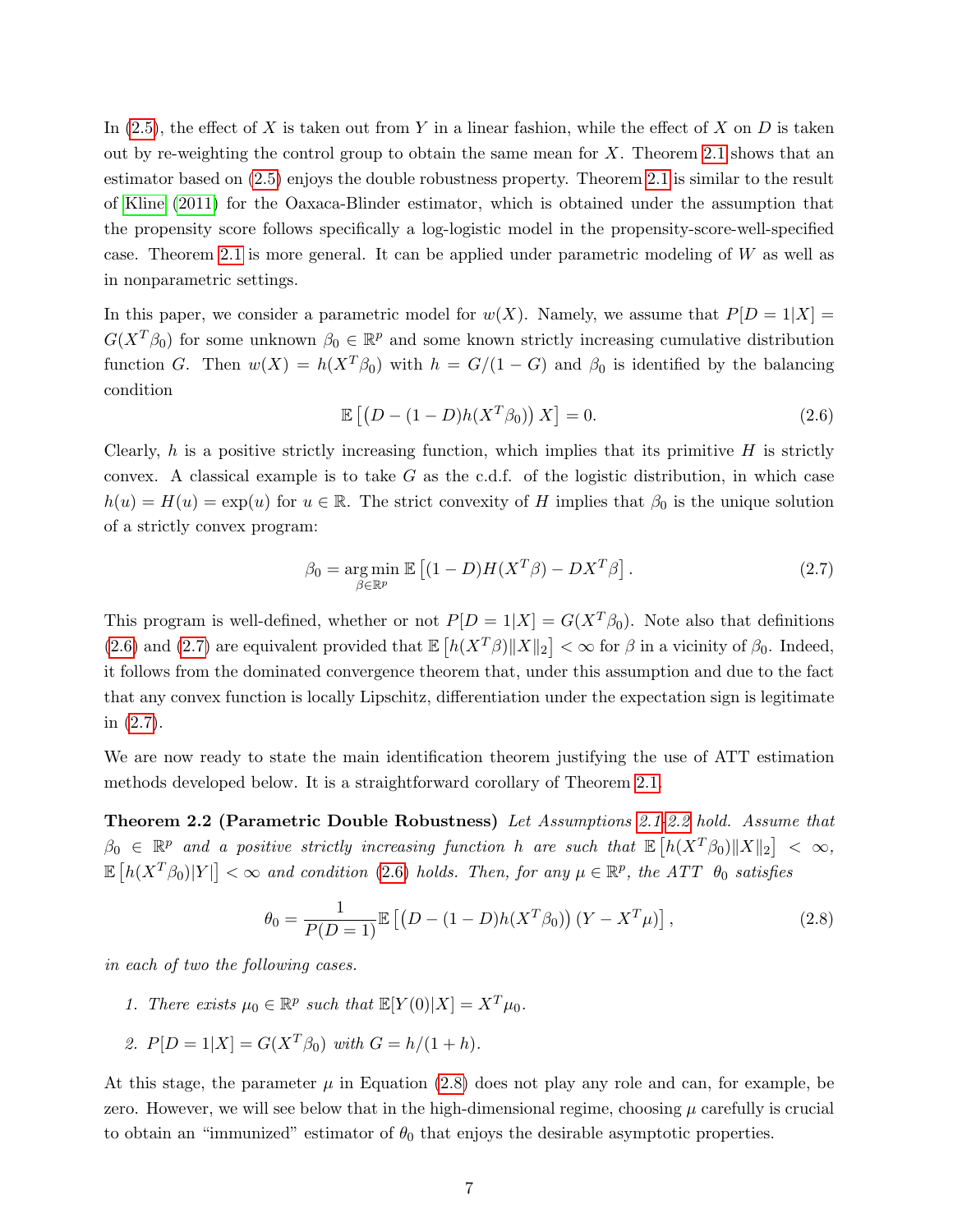In  $(2.5)$ , the effect of X is taken out from Y in a linear fashion, while the effect of X on D is taken out by re-weighting the control group to obtain the same mean for  $X$ . Theorem [2.1](#page-5-2) shows that an estimator based on [\(2.5\)](#page-5-3) enjoys the double robustness property. Theorem [2.1](#page-5-2) is similar to the result of [Kline](#page-23-10) [\(2011\)](#page-23-10) for the Oaxaca-Blinder estimator, which is obtained under the assumption that the propensity score follows specifically a log-logistic model in the propensity-score-well-specified case. Theorem [2.1](#page-5-2) is more general. It can be applied under parametric modeling of  $W$  as well as in nonparametric settings.

In this paper, we consider a parametric model for  $w(X)$ . Namely, we assume that  $P[D = 1|X] =$  $G(X^T \beta_0)$  for some unknown  $\beta_0 \in \mathbb{R}^p$  and some known strictly increasing cumulative distribution function G. Then  $w(X) = h(X^T \beta_0)$  with  $h = G/(1 - G)$  and  $\beta_0$  is identified by the balancing condition

<span id="page-6-0"></span>
$$
\mathbb{E}\left[\left(D - (1 - D)h(X^T \beta_0)\right)X\right] = 0. \tag{2.6}
$$

Clearly, h is a positive strictly increasing function, which implies that its primitive  $H$  is strictly convex. A classical example is to take  $G$  as the c.d.f. of the logistic distribution, in which case  $h(u) = H(u) = \exp(u)$  for  $u \in \mathbb{R}$ . The strict convexity of H implies that  $\beta_0$  is the unique solution of a strictly convex program:

<span id="page-6-3"></span><span id="page-6-1"></span>
$$
\beta_0 = \underset{\beta \in \mathbb{R}^p}{\arg \min} \mathbb{E} \left[ (1 - D) H(X^T \beta) - DX^T \beta \right]. \tag{2.7}
$$

This program is well-defined, whether or not  $P[D = 1|X] = G(X^T \beta_0)$ . Note also that definitions [\(2.6\)](#page-6-0) and [\(2.7\)](#page-6-1) are equivalent provided that  $\mathbb{E}\left[h(X^T\beta)\|X\|_2\right]<\infty$  for  $\beta$  in a vicinity of  $\beta_0$ . Indeed, it follows from the dominated convergence theorem that, under this assumption and due to the fact that any convex function is locally Lipschitz, differentiation under the expectation sign is legitimate in [\(2.7\)](#page-6-1).

We are now ready to state the main identification theorem justifying the use of ATT estimation methods developed below. It is a straightforward corollary of Theorem [2.1.](#page-5-2)

Theorem 2.2 (Parametric Double Robustness) Let Assumptions [2.1-](#page-3-2)[2.2](#page-4-0) hold. Assume that  $\beta_0 \in \mathbb{R}^p$  and a positive strictly increasing function h are such that  $\mathbb{E} \left[ h(X^T \beta_0) \| X \|_2 \right] < \infty$ ,  $\mathbb{E}\left[h(X^T\beta_0)|Y|\right]<\infty$  and condition [\(2.6\)](#page-6-0) holds. Then, for any  $\mu\in\mathbb{R}^p$ , the ATT  $\theta_0$  satisfies

<span id="page-6-2"></span>
$$
\theta_0 = \frac{1}{P(D=1)} \mathbb{E} \left[ \left( D - (1-D)h(X^T \beta_0) \right) (Y - X^T \mu) \right],
$$
\n(2.8)

in each of two the following cases.

- 1. There exists  $\mu_0 \in \mathbb{R}^p$  such that  $\mathbb{E}[Y(0)|X] = X^T \mu_0$ .
- 2.  $P[D = 1|X] = G(X^T \beta_0)$  with  $G = h/(1 + h)$ .

At this stage, the parameter  $\mu$  in Equation [\(2.8\)](#page-6-2) does not play any role and can, for example, be zero. However, we will see below that in the high-dimensional regime, choosing  $\mu$  carefully is crucial to obtain an "immunized" estimator of  $\theta_0$  that enjoys the desirable asymptotic properties.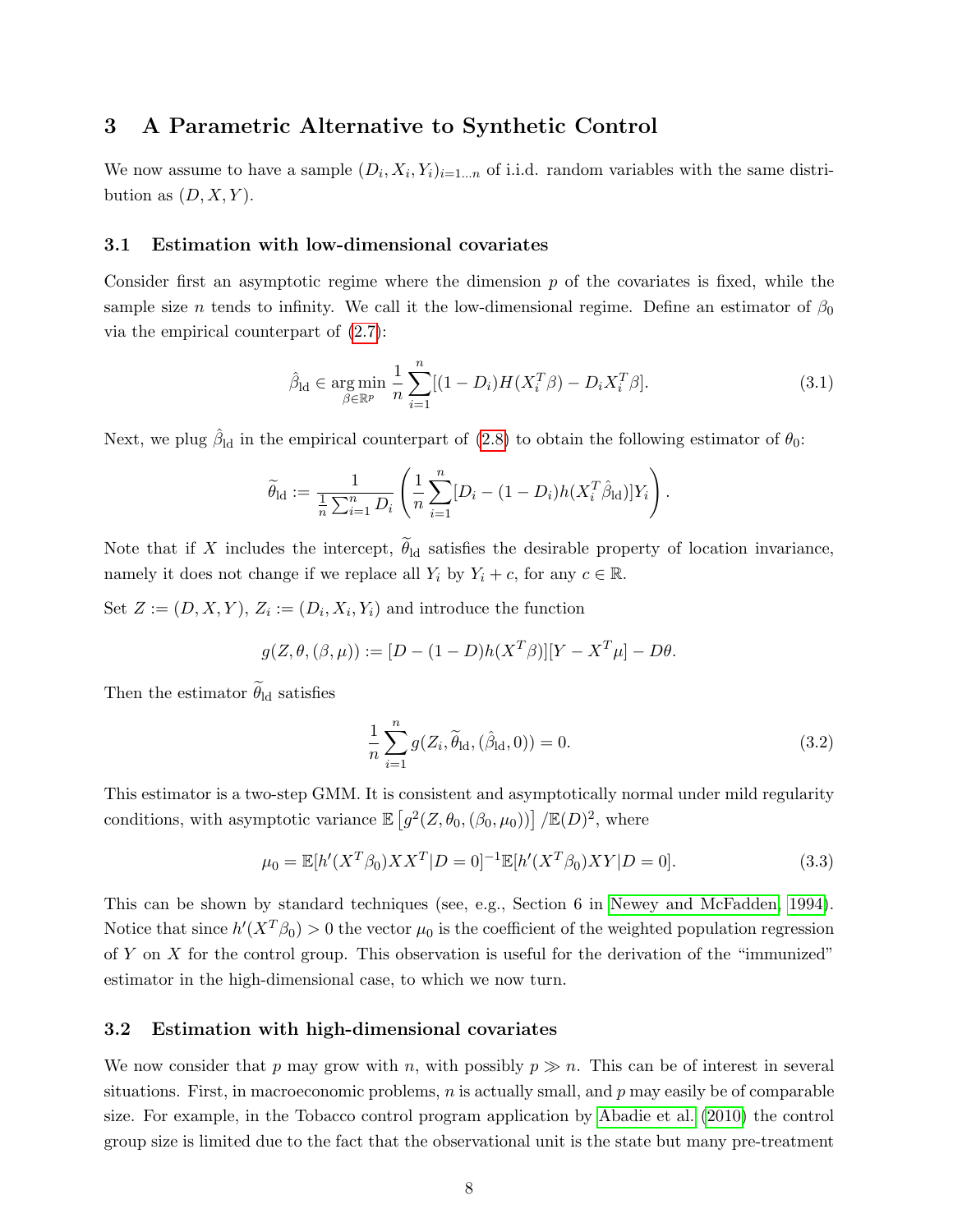## <span id="page-7-0"></span>3 A Parametric Alternative to Synthetic Control

We now assume to have a sample  $(D_i, X_i, Y_i)_{i=1...n}$  of i.i.d. random variables with the same distribution as  $(D, X, Y)$ .

#### <span id="page-7-2"></span>3.1 Estimation with low-dimensional covariates

Consider first an asymptotic regime where the dimension  $p$  of the covariates is fixed, while the sample size n tends to infinity. We call it the low-dimensional regime. Define an estimator of  $\beta_0$ via the empirical counterpart of [\(2.7\)](#page-6-1):

<span id="page-7-1"></span>
$$
\hat{\beta}_{\text{ld}} \in \underset{\beta \in \mathbb{R}^p}{\text{arg min}} \frac{1}{n} \sum_{i=1}^n [(1 - D_i)H(X_i^T \beta) - D_i X_i^T \beta]. \tag{3.1}
$$

Next, we plug  $\hat{\beta}_{\text{ld}}$  in the empirical counterpart of [\(2.8\)](#page-6-2) to obtain the following estimator of  $\theta_0$ :

$$
\widetilde{\theta}_{\text{ld}} := \frac{1}{\frac{1}{n} \sum_{i=1}^n D_i} \left( \frac{1}{n} \sum_{i=1}^n [D_i - (1 - D_i) h(X_i^T \hat{\beta}_{\text{ld}})] Y_i \right).
$$

Note that if X includes the intercept,  $\theta_{\rm ld}$  satisfies the desirable property of location invariance, namely it does not change if we replace all  $Y_i$  by  $Y_i + c$ , for any  $c \in \mathbb{R}$ .

Set  $Z := (D, X, Y), Z_i := (D_i, X_i, Y_i)$  and introduce the function

$$
g(Z, \theta, (\beta, \mu)) := [D - (1 - D)h(X^T \beta)][Y - X^T \mu] - D\theta.
$$

Then the estimator  $\theta_{\rm ld}$  satisfies

<span id="page-7-4"></span>
$$
\frac{1}{n}\sum_{i=1}^{n} g(Z_i, \tilde{\theta}_{\rm ld}, (\hat{\beta}_{\rm ld}, 0)) = 0.
$$
\n(3.2)

This estimator is a two-step GMM. It is consistent and asymptotically normal under mild regularity conditions, with asymptotic variance  $\mathbb{E}\left[g^2(Z,\theta_0,(\beta_0,\mu_0))\right] / \mathbb{E}(D)^2$ , where

<span id="page-7-3"></span>
$$
\mu_0 = \mathbb{E}[h'(X^T \beta_0) X X^T | D = 0]^{-1} \mathbb{E}[h'(X^T \beta_0) X Y | D = 0]. \tag{3.3}
$$

This can be shown by standard techniques (see, e.g., Section 6 in [Newey and McFadden, 1994\)](#page-24-3). Notice that since  $h'(X^T \beta_0) > 0$  the vector  $\mu_0$  is the coefficient of the weighted population regression of  $Y$  on  $X$  for the control group. This observation is useful for the derivation of the "immunized" estimator in the high-dimensional case, to which we now turn.

#### 3.2 Estimation with high-dimensional covariates

We now consider that p may grow with n, with possibly  $p \gg n$ . This can be of interest in several situations. First, in macroeconomic problems,  $n$  is actually small, and  $p$  may easily be of comparable size. For example, in the Tobacco control program application by [Abadie et al.](#page-21-1) [\(2010\)](#page-21-1) the control group size is limited due to the fact that the observational unit is the state but many pre-treatment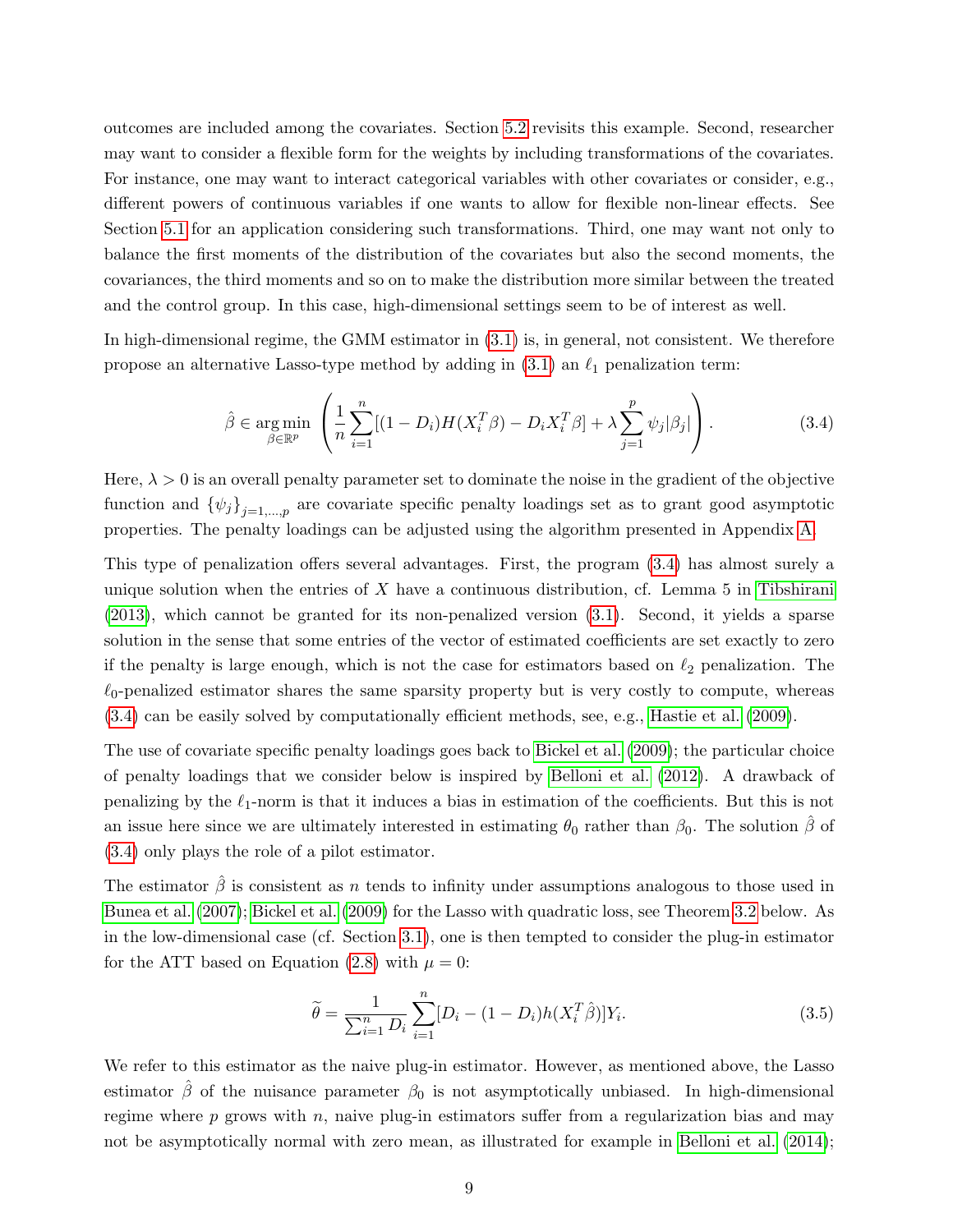outcomes are included among the covariates. Section [5.2](#page-19-0) revisits this example. Second, researcher may want to consider a flexible form for the weights by including transformations of the covariates. For instance, one may want to interact categorical variables with other covariates or consider, e.g., different powers of continuous variables if one wants to allow for flexible non-linear effects. See Section [5.1](#page-17-1) for an application considering such transformations. Third, one may want not only to balance the first moments of the distribution of the covariates but also the second moments, the covariances, the third moments and so on to make the distribution more similar between the treated and the control group. In this case, high-dimensional settings seem to be of interest as well.

In high-dimensional regime, the GMM estimator in [\(3.1\)](#page-7-1) is, in general, not consistent. We therefore propose an alternative Lasso-type method by adding in  $(3.1)$  an  $\ell_1$  penalization term:

<span id="page-8-0"></span>
$$
\hat{\beta} \in \underset{\beta \in \mathbb{R}^p}{\arg \min} \left( \frac{1}{n} \sum_{i=1}^n [(1 - D_i) H(X_i^T \beta) - D_i X_i^T \beta] + \lambda \sum_{j=1}^p \psi_j |\beta_j| \right). \tag{3.4}
$$

Here,  $\lambda > 0$  is an overall penalty parameter set to dominate the noise in the gradient of the objective function and  $\{\psi_j\}_{j=1,\dots,p}$  are covariate specific penalty loadings set as to grant good asymptotic properties. The penalty loadings can be adjusted using the algorithm presented in Appendix [A.](#page-24-4)

This type of penalization offers several advantages. First, the program [\(3.4\)](#page-8-0) has almost surely a unique solution when the entries of  $X$  have a continuous distribution, cf. Lemma 5 in [Tibshirani](#page-24-5) [\(2013\)](#page-24-5), which cannot be granted for its non-penalized version [\(3.1\)](#page-7-1). Second, it yields a sparse solution in the sense that some entries of the vector of estimated coefficients are set exactly to zero if the penalty is large enough, which is not the case for estimators based on  $\ell_2$  penalization. The  $\ell_0$ -penalized estimator shares the same sparsity property but is very costly to compute, whereas [\(3.4\)](#page-8-0) can be easily solved by computationally efficient methods, see, e.g., [Hastie et al.](#page-23-11) [\(2009\)](#page-23-11).

The use of covariate specific penalty loadings goes back to [Bickel et al.](#page-22-9) [\(2009\)](#page-22-9); the particular choice of penalty loadings that we consider below is inspired by [Belloni et al.](#page-22-10) [\(2012\)](#page-22-10). A drawback of penalizing by the  $\ell_1$ -norm is that it induces a bias in estimation of the coefficients. But this is not an issue here since we are ultimately interested in estimating  $\theta_0$  rather than  $\beta_0$ . The solution  $\beta$  of [\(3.4\)](#page-8-0) only plays the role of a pilot estimator.

The estimator  $\hat{\beta}$  is consistent as n tends to infinity under assumptions analogous to those used in [Bunea et al.](#page-22-11) [\(2007\)](#page-22-11); [Bickel et al.](#page-22-9) [\(2009\)](#page-22-9) for the Lasso with quadratic loss, see Theorem [3.2](#page-13-0) below. As in the low-dimensional case (cf. Section [3.1\)](#page-7-2), one is then tempted to consider the plug-in estimator for the ATT based on Equation [\(2.8\)](#page-6-2) with  $\mu = 0$ :

<span id="page-8-1"></span>
$$
\tilde{\theta} = \frac{1}{\sum_{i=1}^{n} D_i} \sum_{i=1}^{n} [D_i - (1 - D_i) h(X_i^T \hat{\beta})] Y_i.
$$
\n(3.5)

We refer to this estimator as the naive plug-in estimator. However, as mentioned above, the Lasso estimator  $\hat{\beta}$  of the nuisance parameter  $\beta_0$  is not asymptotically unbiased. In high-dimensional regime where  $p$  grows with  $n$ , naive plug-in estimators suffer from a regularization bias and may not be asymptotically normal with zero mean, as illustrated for example in [Belloni et al.](#page-22-6) [\(2014\)](#page-22-6);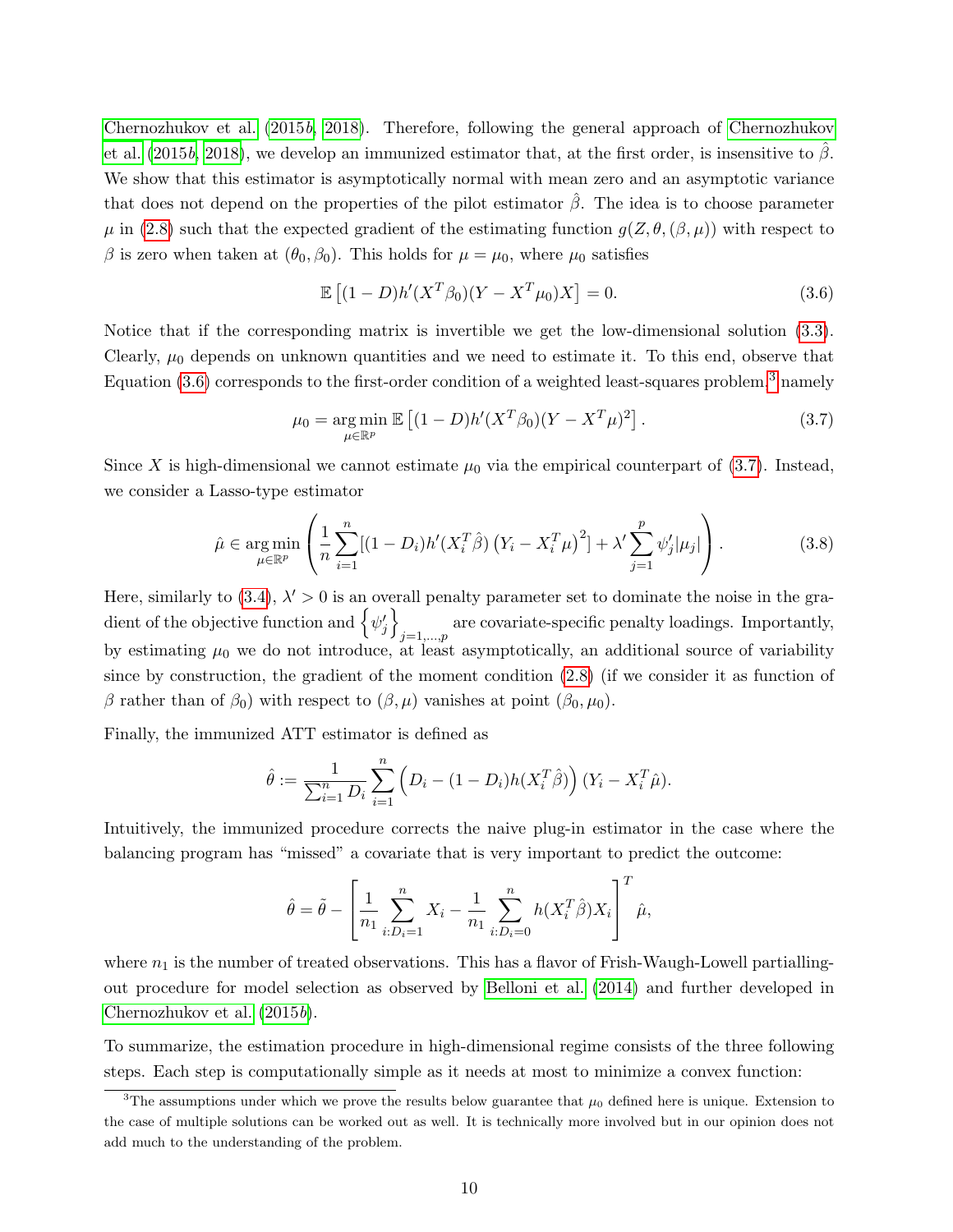[Chernozhukov et al.](#page-22-1) [\(2015](#page-22-1)b, [2018\)](#page-22-2). Therefore, following the general approach of [Chernozhukov](#page-22-1) [et al.](#page-22-1) [\(2015](#page-22-1)b, [2018\)](#page-22-2), we develop an immunized estimator that, at the first order, is insensitive to  $\hat{\beta}$ . We show that this estimator is asymptotically normal with mean zero and an asymptotic variance that does not depend on the properties of the pilot estimator  $\hat{\beta}$ . The idea is to choose parameter  $\mu$  in [\(2.8\)](#page-6-2) such that the expected gradient of the estimating function  $g(Z, \theta, (\beta, \mu))$  with respect to β is zero when taken at  $(θ_0, β_0)$ . This holds for  $μ = μ_0$ , where  $μ_0$  satisfies

<span id="page-9-0"></span>
$$
\mathbb{E}\left[ (1-D)h'(X^T \beta_0)(Y - X^T \mu_0)X \right] = 0. \tag{3.6}
$$

Notice that if the corresponding matrix is invertible we get the low-dimensional solution [\(3.3\)](#page-7-3). Clearly,  $\mu_0$  depends on unknown quantities and we need to estimate it. To this end, observe that Equation  $(3.6)$  corresponds to the first-order condition of a weighted least-squares problem,<sup>[3](#page-9-1)</sup> namely

<span id="page-9-2"></span>
$$
\mu_0 = \underset{\mu \in \mathbb{R}^p}{\arg \min} \mathbb{E} \left[ (1 - D) h'(X^T \beta_0) (Y - X^T \mu)^2 \right]. \tag{3.7}
$$

Since X is high-dimensional we cannot estimate  $\mu_0$  via the empirical counterpart of [\(3.7\)](#page-9-2). Instead, we consider a Lasso-type estimator

$$
\hat{\mu} \in \underset{\mu \in \mathbb{R}^p}{\arg \min} \left( \frac{1}{n} \sum_{i=1}^n [(1 - D_i) h'(X_i^T \hat{\beta}) (Y_i - X_i^T \mu)^2] + \lambda' \sum_{j=1}^p \psi'_j |\mu_j| \right). \tag{3.8}
$$

Here, similarly to  $(3.4)$ ,  $\lambda' > 0$  is an overall penalty parameter set to dominate the noise in the gradient of the objective function and  $\left\{\psi_j^\prime\right\}$ are covariate-specific penalty loadings. Importantly,  $j=1,\ldots,p$ by estimating  $\mu_0$  we do not introduce, at least asymptotically, an additional source of variability since by construction, the gradient of the moment condition [\(2.8\)](#page-6-2) (if we consider it as function of β rather than of  $β_0$ ) with respect to  $(β, μ)$  vanishes at point  $(β_0, μ_0)$ .

Finally, the immunized ATT estimator is defined as

$$
\hat{\theta} := \frac{1}{\sum_{i=1}^{n} D_i} \sum_{i=1}^{n} \left( D_i - (1 - D_i) h(X_i^T \hat{\beta}) \right) (Y_i - X_i^T \hat{\mu}).
$$

Intuitively, the immunized procedure corrects the naive plug-in estimator in the case where the balancing program has "missed" a covariate that is very important to predict the outcome:

$$
\hat{\theta} = \tilde{\theta} - \left[ \frac{1}{n_1} \sum_{i:D_i=1}^n X_i - \frac{1}{n_1} \sum_{i:D_i=0}^n h(X_i^T \hat{\beta}) X_i \right]^T \hat{\mu},
$$

where  $n_1$  is the number of treated observations. This has a flavor of Frish-Waugh-Lowell partiallingout procedure for model selection as observed by [Belloni et al.](#page-22-6) [\(2014\)](#page-22-6) and further developed in [Chernozhukov et al.](#page-22-1) [\(2015](#page-22-1)b).

To summarize, the estimation procedure in high-dimensional regime consists of the three following steps. Each step is computationally simple as it needs at most to minimize a convex function:

<span id="page-9-1"></span><sup>&</sup>lt;sup>3</sup>The assumptions under which we prove the results below guarantee that  $\mu_0$  defined here is unique. Extension to the case of multiple solutions can be worked out as well. It is technically more involved but in our opinion does not add much to the understanding of the problem.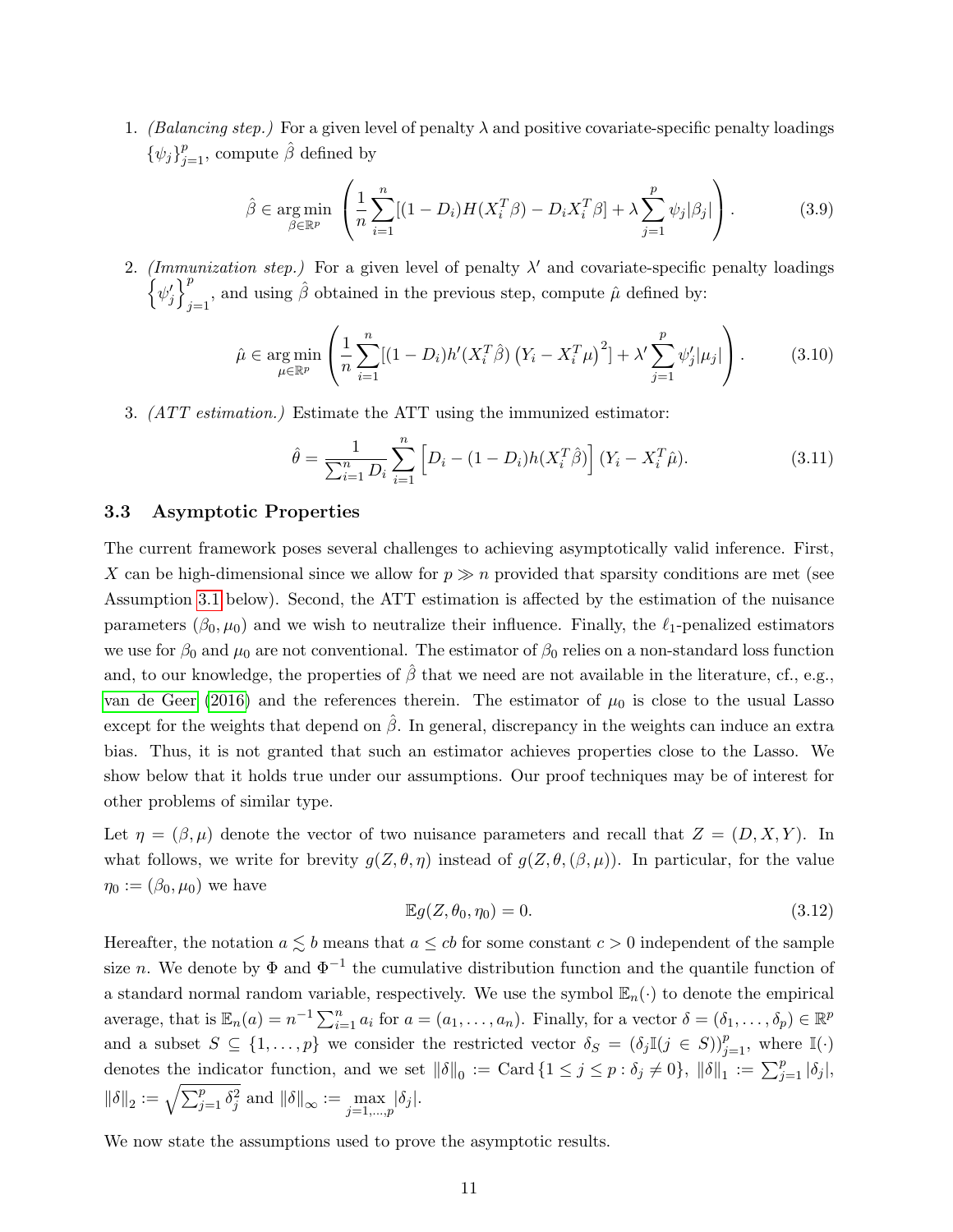1. (Balancing step.) For a given level of penalty  $\lambda$  and positive covariate-specific penalty loadings  $\{\psi_j\}_{j=1}^p$ , compute  $\hat{\beta}$  defined by

$$
\hat{\beta} \in \underset{\beta \in \mathbb{R}^p}{\arg \min} \left( \frac{1}{n} \sum_{i=1}^n [(1 - D_i)H(X_i^T \beta) - D_i X_i^T \beta] + \lambda \sum_{j=1}^p \psi_j |\beta_j| \right). \tag{3.9}
$$

2. (Immunization step.) For a given level of penalty  $\lambda'$  and covariate-specific penalty loadings  $\left\{\psi_j'\right\}^p$  $\hat{\mu}_{j=1}^{\rho}$ , and using  $\hat{\beta}$  obtained in the previous step, compute  $\hat{\mu}$  defined by:

$$
\hat{\mu} \in \underset{\mu \in \mathbb{R}^p}{\arg \min} \left( \frac{1}{n} \sum_{i=1}^n [(1 - D_i) h'(X_i^T \hat{\beta}) (Y_i - X_i^T \mu)^2] + \lambda' \sum_{j=1}^p \psi'_j |\mu_j| \right). \tag{3.10}
$$

3. (ATT estimation.) Estimate the ATT using the immunized estimator:

<span id="page-10-2"></span>
$$
\hat{\theta} = \frac{1}{\sum_{i=1}^{n} D_i} \sum_{i=1}^{n} \left[ D_i - (1 - D_i) h(X_i^T \hat{\beta}) \right] (Y_i - X_i^T \hat{\mu}). \tag{3.11}
$$

#### 3.3 Asymptotic Properties

The current framework poses several challenges to achieving asymptotically valid inference. First, X can be high-dimensional since we allow for  $p \gg n$  provided that sparsity conditions are met (see Assumption [3.1](#page-10-0) below). Second, the ATT estimation is affected by the estimation of the nuisance parameters  $(\beta_0, \mu_0)$  and we wish to neutralize their influence. Finally, the  $\ell_1$ -penalized estimators we use for  $\beta_0$  and  $\mu_0$  are not conventional. The estimator of  $\beta_0$  relies on a non-standard loss function and, to our knowledge, the properties of  $\beta$  that we need are not available in the literature, cf., e.g., [van de Geer](#page-24-6) [\(2016\)](#page-24-6) and the references therein. The estimator of  $\mu_0$  is close to the usual Lasso except for the weights that depend on  $\hat{\beta}$ . In general, discrepancy in the weights can induce an extra bias. Thus, it is not granted that such an estimator achieves properties close to the Lasso. We show below that it holds true under our assumptions. Our proof techniques may be of interest for other problems of similar type.

Let  $\eta = (\beta, \mu)$  denote the vector of two nuisance parameters and recall that  $Z = (D, X, Y)$ . In what follows, we write for brevity  $g(Z, \theta, \eta)$  instead of  $g(Z, \theta, (\beta, \mu))$ . In particular, for the value  $\eta_0 := (\beta_0, \mu_0)$  we have

<span id="page-10-1"></span>
$$
\mathbb{E}g(Z,\theta_0,\eta_0)=0.\tag{3.12}
$$

Hereafter, the notation  $a \leq b$  means that  $a \leq cb$  for some constant  $c > 0$  independent of the sample size n. We denote by  $\Phi$  and  $\Phi^{-1}$  the cumulative distribution function and the quantile function of a standard normal random variable, respectively. We use the symbol  $\mathbb{E}_n(\cdot)$  to denote the empirical average, that is  $\mathbb{E}_n(a) = n^{-1} \sum_{i=1}^n a_i$  for  $a = (a_1, \ldots, a_n)$ . Finally, for a vector  $\delta = (\delta_1, \ldots, \delta_p) \in \mathbb{R}^p$ and a subset  $S \subseteq \{1,\ldots,p\}$  we consider the restricted vector  $\delta_S = (\delta_j \mathbb{I}(j \in S))_{j=1}^p$ , where  $\mathbb{I}(\cdot)$ denotes the indicator function, and we set  $\|\delta\|_0 := \text{Card } \{1 \leq j \leq p : \delta_j \neq 0\}, \|\delta\|_1 := \sum_{j=1}^p |\delta_j|$ ,  $\|\delta\|_2 := \sqrt{\sum_{j=1}^p \delta_j^2}$  and  $\|\delta\|_{\infty} := \max_{j=1,\dots,p} |\delta_j|.$ 

<span id="page-10-0"></span>We now state the assumptions used to prove the asymptotic results.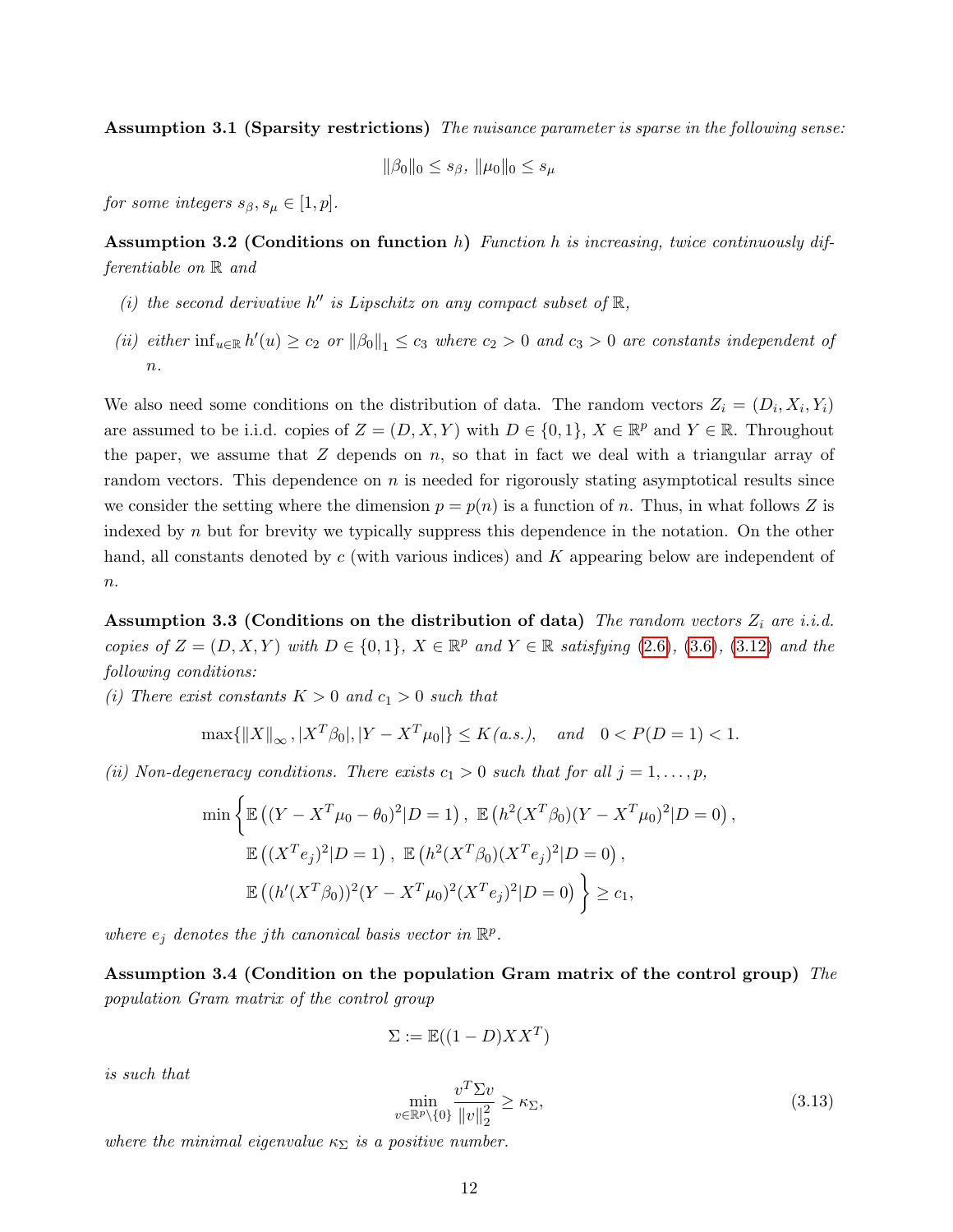Assumption 3.1 (Sparsity restrictions) The nuisance parameter is sparse in the following sense:

$$
\|\beta_0\|_0 \le s_\beta, \ \|\mu_0\|_0 \le s_\mu
$$

for some integers  $s_{\beta}, s_{\mu} \in [1, p]$ .

<span id="page-11-2"></span>Assumption 3.2 (Conditions on function h) Function h is increasing, twice continuously differentiable on R and

- (i) the second derivative  $h''$  is Lipschitz on any compact subset of  $\mathbb{R}$ ,
- (ii) either  $\inf_{u \in \mathbb{R}} h'(u) \ge c_2$  or  $\|\beta_0\|_1 \le c_3$  where  $c_2 > 0$  and  $c_3 > 0$  are constants independent of  $n$ .

We also need some conditions on the distribution of data. The random vectors  $Z_i = (D_i, X_i, Y_i)$ are assumed to be i.i.d. copies of  $Z = (D, X, Y)$  with  $D \in \{0, 1\}$ ,  $X \in \mathbb{R}^p$  and  $Y \in \mathbb{R}$ . Throughout the paper, we assume that  $Z$  depends on  $n$ , so that in fact we deal with a triangular array of random vectors. This dependence on  $n$  is needed for rigorously stating asymptotical results since we consider the setting where the dimension  $p = p(n)$  is a function of n. Thus, in what follows Z is indexed by n but for brevity we typically suppress this dependence in the notation. On the other hand, all constants denoted by c (with various indices) and K appearing below are independent of  $n$ .

<span id="page-11-0"></span>Assumption 3.3 (Conditions on the distribution of data) The random vectors  $Z_i$  are i.i.d. copies of  $Z = (D, X, Y)$  with  $D \in \{0, 1\}$ ,  $X \in \mathbb{R}^p$  and  $Y \in \mathbb{R}$  satisfying [\(2.6\)](#page-6-0), [\(3.6\)](#page-9-0), [\(3.12\)](#page-10-1) and the following conditions:

(i) There exist constants  $K > 0$  and  $c_1 > 0$  such that

$$
\max\{\|X\|_{\infty}, |X^T\beta_0|, |Y - X^T\mu_0|\} \le K(a.s.), \quad and \quad 0 < P(D=1) < 1.
$$

(ii) Non-degeneracy conditions. There exists  $c_1 > 0$  such that for all  $j = 1, \ldots, p$ ,

$$
\min \left\{ \mathbb{E} \left( (Y - X^T \mu_0 - \theta_0)^2 | D = 1 \right), \ \mathbb{E} \left( h^2 (X^T \beta_0) (Y - X^T \mu_0)^2 | D = 0 \right), \right. \n\mathbb{E} \left( (X^T e_j)^2 | D = 1 \right), \ \mathbb{E} \left( h^2 (X^T \beta_0) (X^T e_j)^2 | D = 0 \right), \newline \mathbb{E} \left( (h' (X^T \beta_0))^2 (Y - X^T \mu_0)^2 (X^T e_j)^2 | D = 0 \right) \right\} \ge c_1,
$$

where  $e_j$  denotes the j<sup>th</sup> canonical basis vector in  $\mathbb{R}^p$ .

<span id="page-11-1"></span>Assumption 3.4 (Condition on the population Gram matrix of the control group) The population Gram matrix of the control group

$$
\Sigma := \mathbb{E}((1 - D)XX^T)
$$

is such that

<span id="page-11-3"></span>
$$
\min_{v \in \mathbb{R}^p \setminus \{0\}} \frac{v^T \Sigma v}{\|v\|_2^2} \ge \kappa_\Sigma,\tag{3.13}
$$

where the minimal eigenvalue  $\kappa_{\Sigma}$  is a positive number.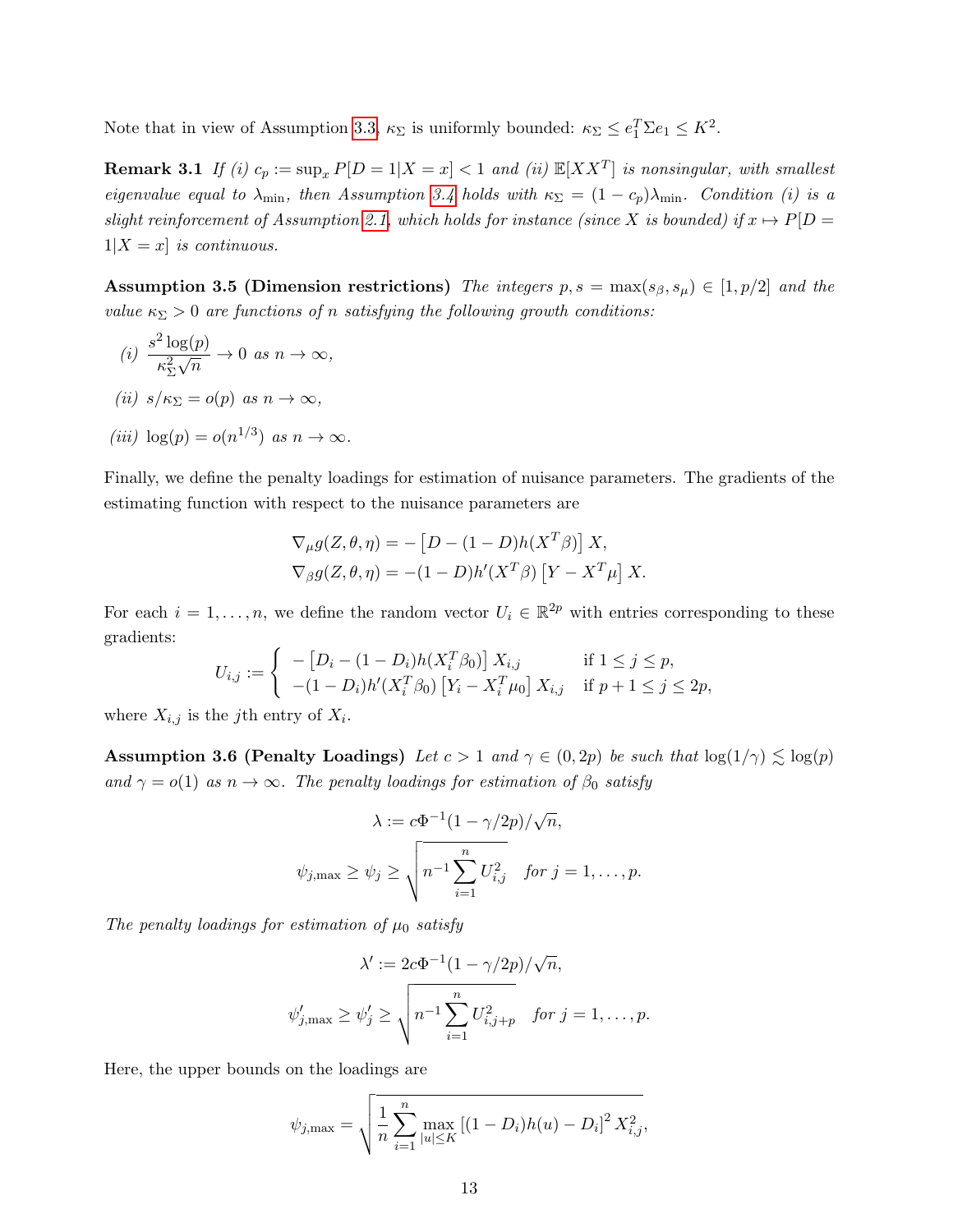<span id="page-12-2"></span>Note that in view of Assumption [3.3,](#page-11-0)  $\kappa_{\Sigma}$  is uniformly bounded:  $\kappa_{\Sigma} \leq e_1^T \Sigma e_1 \leq K^2$ .

**Remark 3.1** If (i)  $c_p := \sup_x P[D = 1 | X = x] < 1$  and (ii)  $\mathbb{E}[XX^T]$  is nonsingular, with smallest eigenvalue equal to  $\lambda_{\min}$ , then Assumption [3.4](#page-11-1) holds with  $\kappa_{\Sigma} = (1 - c_p)\lambda_{\min}$ . Condition (i) is a slight reinforcement of Assumption [2.1,](#page-3-2) which holds for instance (since X is bounded) if  $x \mapsto P[D =$  $1|X=x|$  is continuous.

<span id="page-12-1"></span>Assumption 3.5 (Dimension restrictions) The integers  $p, s = \max(s_{\beta}, s_{\mu}) \in [1, p/2]$  and the value  $\kappa_{\Sigma} > 0$  are functions of n satisfying the following growth conditions:

(i) 
$$
\frac{s^2 \log(p)}{\kappa_{\Sigma}^2 \sqrt{n}} \to 0 \text{ as } n \to \infty,
$$
  
(ii)  $s/\kappa_{\Sigma} = o(p) \text{ as } n \to \infty,$ 

$$
(iii) \ \log(p) = o(n^{1/3}) \ \text{as} \ n \to \infty.
$$

Finally, we define the penalty loadings for estimation of nuisance parameters. The gradients of the estimating function with respect to the nuisance parameters are

$$
\nabla_{\mu} g(Z, \theta, \eta) = -[D - (1 - D)h(X^T \beta)] X,
$$
  
\n
$$
\nabla_{\beta} g(Z, \theta, \eta) = -(1 - D)h'(X^T \beta) [Y - X^T \mu] X.
$$

For each  $i = 1, \ldots, n$ , we define the random vector  $U_i \in \mathbb{R}^{2p}$  with entries corresponding to these gradients:

$$
U_{i,j} := \begin{cases} \n-[D_i - (1 - D_i)h(X_i^T \beta_0)] X_{i,j} & \text{if } 1 \le j \le p, \\
-(1 - D_i)h'(X_i^T \beta_0) [Y_i - X_i^T \mu_0] X_{i,j} & \text{if } p + 1 \le j \le 2p,\n\end{cases}
$$

<span id="page-12-0"></span>where  $X_{i,j}$  is the j<sup>th</sup> entry of  $X_i$ .

Assumption 3.6 (Penalty Loadings) Let  $c > 1$  and  $\gamma \in (0, 2p)$  be such that  $\log(1/\gamma) \lesssim \log(p)$ and  $\gamma = o(1)$  as  $n \to \infty$ . The penalty loadings for estimation of  $\beta_0$  satisfy

$$
\lambda := c\Phi^{-1}(1 - \gamma/2p)/\sqrt{n},
$$
  

$$
\psi_{j,\max} \ge \psi_j \ge \sqrt{n^{-1}\sum_{i=1}^n U_{i,j}^2} \quad \text{for } j = 1, \dots, p.
$$

The penalty loadings for estimation of  $\mu_0$  satisfy

$$
\lambda' := 2c\Phi^{-1}(1 - \gamma/2p)/\sqrt{n},
$$
  

$$
\psi'_{j,\max} \ge \psi'_j \ge \sqrt{n^{-1}\sum_{i=1}^n U_{i,j+p}^2} \quad \text{for } j = 1,\dots, p.
$$

Here, the upper bounds on the loadings are

$$
\psi_{j,\max} = \sqrt{\frac{1}{n} \sum_{i=1}^{n} \max_{|u| \le K} \left[ (1 - D_i) h(u) - D_i \right]^2 X_{i,j}^2},
$$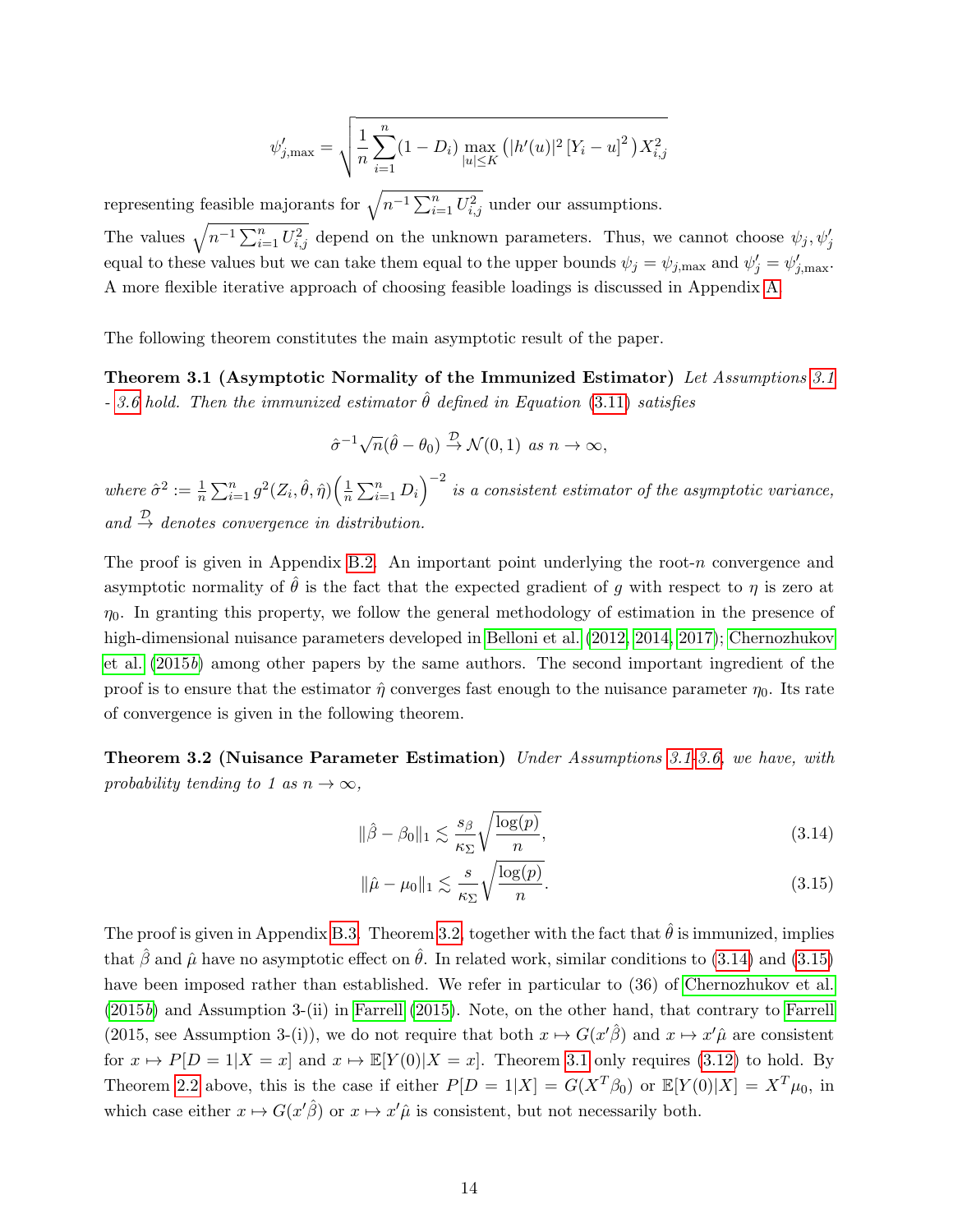$$
\psi'_{j,\max} = \sqrt{\frac{1}{n} \sum_{i=1}^{n} (1 - D_i) \max_{|u| \le K} (|h'(u)|^2 [Y_i - u]^2) X_{i,j}^2}
$$

representing feasible majorants for  $\sqrt{n^{-1} \sum_{i=1}^{n} U_{i,j}^2}$  under our assumptions.

The values  $\sqrt{n^{-1}\sum_{i=1}^n U_{i,j}^2}$  depend on the unknown parameters. Thus, we cannot choose  $\psi_j, \psi_j'$ equal to these values but we can take them equal to the upper bounds  $\psi_j = \psi_{j,\text{max}}$  and  $\psi'_j = \psi'_{j,\text{max}}$ . A more flexible iterative approach of choosing feasible loadings is discussed in Appendix [A.](#page-24-4)

The following theorem constitutes the main asymptotic result of the paper.

Theorem [3.1](#page-10-0) (Asymptotic Normality of the Immunized Estimator) Let Assumptions 3.1 - [3.6](#page-12-0) hold. Then the immunized estimator  $\hat{\theta}$  defined in Equation [\(3.11\)](#page-10-2) satisfies

<span id="page-13-2"></span>
$$
\hat{\sigma}^{-1}\sqrt{n}(\hat{\theta}-\theta_0) \stackrel{\mathcal{D}}{\rightarrow} \mathcal{N}(0,1) \text{ as } n \to \infty,
$$

where  $\hat{\sigma}^2 := \frac{1}{n} \sum_{i=1}^n g^2(Z_i, \hat{\theta}, \hat{\eta}) \left( \frac{1}{n} \right)$  $\frac{1}{n}\sum_{i=1}^n D_i\Big)^{-2}$  is a consistent estimator of the asymptotic variance, and  $\stackrel{\mathcal{D}}{\rightarrow}$  denotes convergence in distribution.

The proof is given in Appendix [B.2.](#page-26-0) An important point underlying the root- $n$  convergence and asymptotic normality of  $\hat{\theta}$  is the fact that the expected gradient of g with respect to  $\eta$  is zero at  $\eta_0$ . In granting this property, we follow the general methodology of estimation in the presence of high-dimensional nuisance parameters developed in [Belloni et al.](#page-22-10) [\(2012,](#page-22-10) [2014,](#page-22-6) [2017\)](#page-22-12); [Chernozhukov](#page-22-1) [et al.](#page-22-1) [\(2015](#page-22-1)b) among other papers by the same authors. The second important ingredient of the proof is to ensure that the estimator  $\hat{\eta}$  converges fast enough to the nuisance parameter  $\eta_0$ . Its rate of convergence is given in the following theorem.

<span id="page-13-0"></span>Theorem 3.2 (Nuisance Parameter Estimation) Under Assumptions [3.1](#page-10-0)[-3.6,](#page-12-0) we have, with probability tending to 1 as  $n \to \infty$ ,

<span id="page-13-1"></span>
$$
\|\hat{\beta} - \beta_0\|_1 \lesssim \frac{s_\beta}{\kappa_\Sigma} \sqrt{\frac{\log(p)}{n}},\tag{3.14}
$$

$$
\|\hat{\mu} - \mu_0\|_1 \lesssim \frac{s}{\kappa_{\Sigma}} \sqrt{\frac{\log(p)}{n}}.
$$
\n(3.15)

The proof is given in Appendix [B.3.](#page-30-0) Theorem [3.2,](#page-13-0) together with the fact that  $\hat{\theta}$  is immunized, implies that  $\hat{\beta}$  and  $\hat{\mu}$  have no asymptotic effect on  $\hat{\theta}$ . In related work, similar conditions to [\(3.14\)](#page-13-1) and [\(3.15\)](#page-13-1) have been imposed rather than established. We refer in particular to (36) of [Chernozhukov et al.](#page-22-1) [\(2015](#page-22-1)b) and Assumption 3-(ii) in [Farrell](#page-23-8) [\(2015\)](#page-23-8). Note, on the other hand, that contrary to [Farrell](#page-23-8) (2015, see Assumption 3-(i)), we do not require that both  $x \mapsto G(x'\hat{\beta})$  and  $x \mapsto x'\hat{\mu}$  are consistent for  $x \mapsto P[D = 1 | X = x]$  and  $x \mapsto \mathbb{E}[Y(0) | X = x]$ . Theorem [3.1](#page-13-2) only requires [\(3.12\)](#page-10-1) to hold. By Theorem [2.2](#page-6-3) above, this is the case if either  $P[D = 1|X] = G(X^T \beta_0)$  or  $\mathbb{E}[Y(0)|X] = X^T \mu_0$ , in which case either  $x \mapsto G(x'\hat{\beta})$  or  $x \mapsto x'\hat{\mu}$  is consistent, but not necessarily both.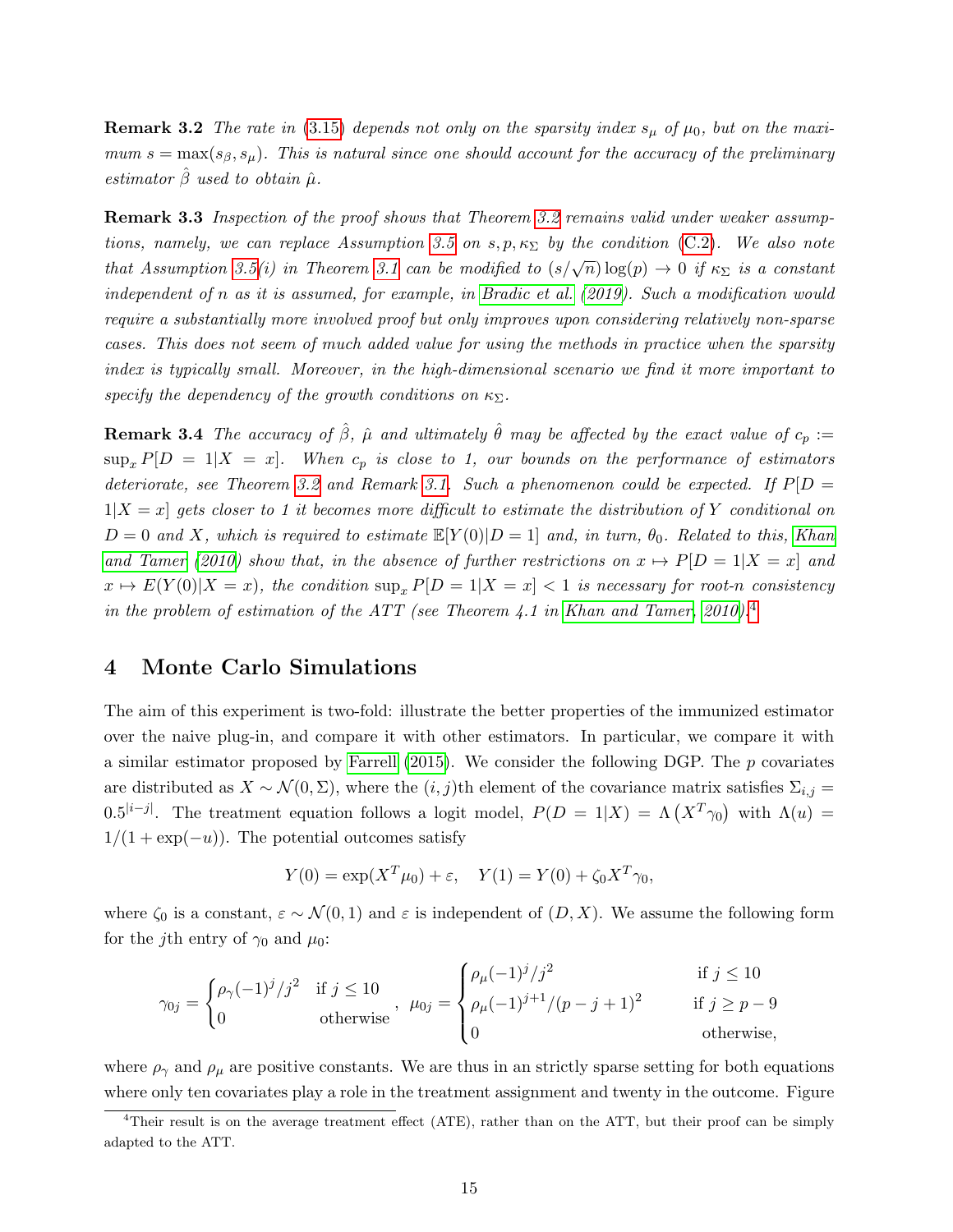**Remark 3.2** The rate in [\(3.15\)](#page-13-1) depends not only on the sparsity index  $s_{\mu}$  of  $\mu_0$ , but on the maximum  $s = \max(s_\beta, s_\mu)$ . This is natural since one should account for the accuracy of the preliminary estimator  $\hat{\beta}$  used to obtain  $\hat{\mu}$ .

**Remark 3.3** Inspection of the proof shows that Theorem [3.2](#page-13-0) remains valid under weaker assump-tions, namely, we can replace Assumption [3.5](#page-12-1) on  $s, p, \kappa_{\Sigma}$  by the condition [\(C.2\)](#page-37-0). We also note that Assumption [3.5\(](#page-12-1)i) in Theorem [3.1](#page-13-2) can be modified to  $(s/\sqrt{n})\log(p) \to 0$  if  $\kappa_{\Sigma}$  is a constant independent of n as it is assumed, for example, in [Bradic et al.](#page-22-7) [\(2019\)](#page-22-7). Such a modification would require a substantially more involved proof but only improves upon considering relatively non-sparse cases. This does not seem of much added value for using the methods in practice when the sparsity index is typically small. Moreover, in the high-dimensional scenario we find it more important to specify the dependency of the growth conditions on  $\kappa_{\Sigma}$ .

**Remark 3.4** The accuracy of  $\hat{\beta}$ ,  $\hat{\mu}$  and ultimately  $\hat{\theta}$  may be affected by the exact value of  $c_p :=$  $\sup_x P[D = 1|X = x]$ . When  $c_p$  is close to 1, our bounds on the performance of estimators deteriorate, see Theorem [3.2](#page-13-0) and Remark [3.1.](#page-12-2) Such a phenomenon could be expected. If  $P[D =$  $1|X=x|$  gets closer to 1 it becomes more difficult to estimate the distribution of Y conditional on  $D = 0$  and X, which is required to estimate  $\mathbb{E}[Y(0)|D = 1]$  and, in turn,  $\theta_0$ . Related to this, [Khan](#page-23-12) [and Tamer](#page-23-12) [\(2010\)](#page-23-12) show that, in the absence of further restrictions on  $x \mapsto P[D = 1|X = x]$  and  $x \mapsto E(Y(0)|X=x)$ , the condition  $\sup_x P[D=1|X=x] < 1$  is necessary for root-n consistency in the problem of estimation of the ATT (see Theorem 4.1 in [Khan and Tamer, 2010\)](#page-23-12).<sup>[4](#page-14-1)</sup>

# <span id="page-14-0"></span>4 Monte Carlo Simulations

The aim of this experiment is two-fold: illustrate the better properties of the immunized estimator over the naive plug-in, and compare it with other estimators. In particular, we compare it with a similar estimator proposed by [Farrell](#page-23-8)  $(2015)$ . We consider the following DGP. The p covariates are distributed as  $X \sim \mathcal{N}(0, \Sigma)$ , where the  $(i, j)$ th element of the covariance matrix satisfies  $\Sigma_{i,j}$  = 0.5<sup>|i−j|</sup>. The treatment equation follows a logit model,  $P(D = 1|X) = \Lambda(X^T \gamma_0)$  with  $\Lambda(u) =$  $1/(1 + \exp(-u))$ . The potential outcomes satisfy

$$
Y(0) = \exp(X^T \mu_0) + \varepsilon
$$
,  $Y(1) = Y(0) + \zeta_0 X^T \gamma_0$ ,

where  $\zeta_0$  is a constant,  $\varepsilon \sim \mathcal{N}(0, 1)$  and  $\varepsilon$  is independent of  $(D, X)$ . We assume the following form for the j<sup>th</sup> entry of  $\gamma_0$  and  $\mu_0$ :

$$
\gamma_{0j} = \begin{cases} \rho_{\gamma}(-1)^{j}/j^{2} & \text{if } j \leq 10 \\ 0 & \text{otherwise} \end{cases}, \ \mu_{0j} = \begin{cases} \rho_{\mu}(-1)^{j}/j^{2} & \text{if } j \leq 10 \\ \rho_{\mu}(-1)^{j+1}/(p-j+1)^{2} & \text{if } j \geq p-9 \\ 0 & \text{otherwise}, \end{cases}
$$

where  $\rho_{\gamma}$  and  $\rho_{\mu}$  are positive constants. We are thus in an strictly sparse setting for both equations where only ten covariates play a role in the treatment assignment and twenty in the outcome. Figure

<span id="page-14-1"></span><sup>&</sup>lt;sup>4</sup>Their result is on the average treatment effect (ATE), rather than on the ATT, but their proof can be simply adapted to the ATT.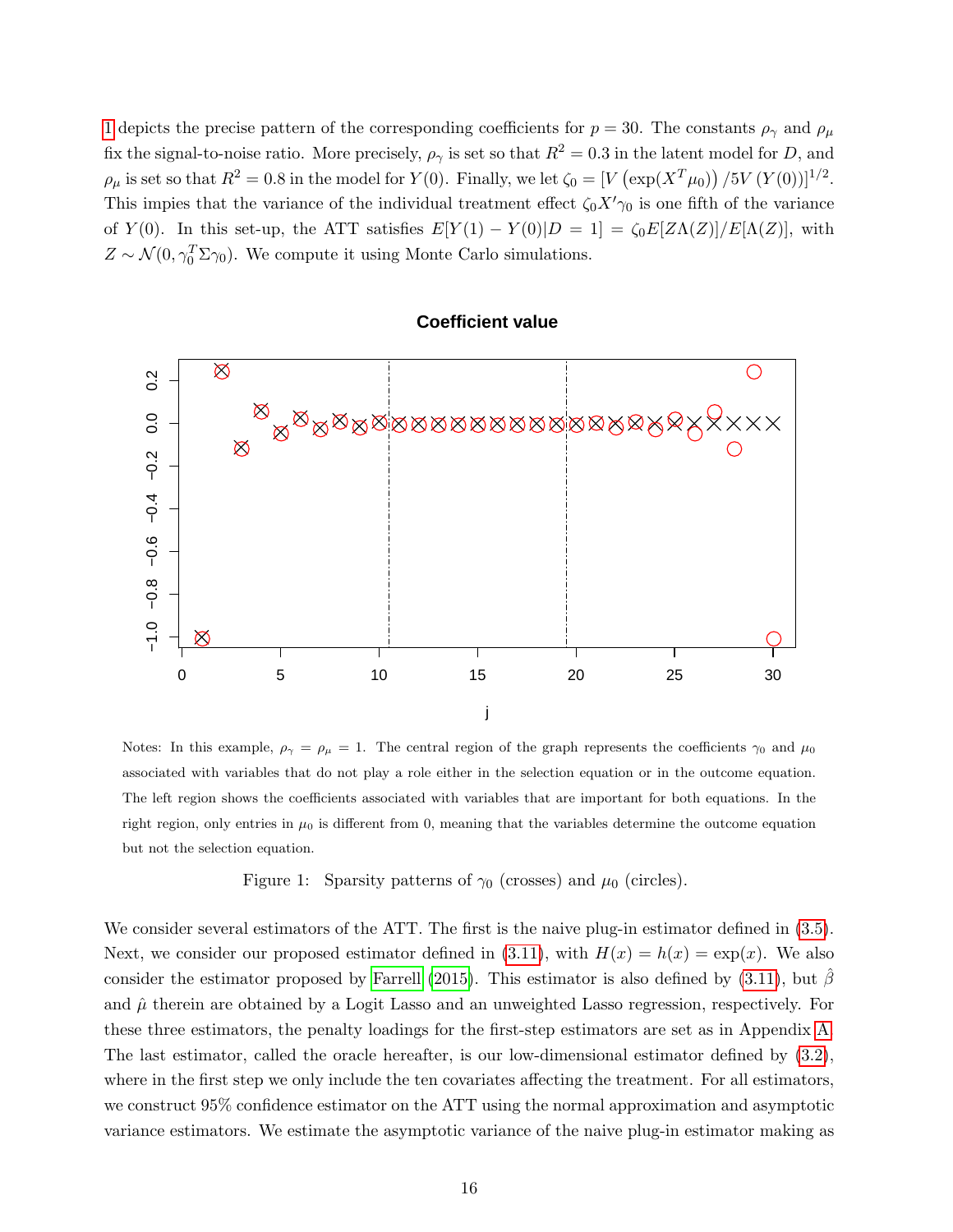[1](#page-15-0) depicts the precise pattern of the corresponding coefficients for  $p = 30$ . The constants  $\rho_{\gamma}$  and  $\rho_{\mu}$ fix the signal-to-noise ratio. More precisely,  $\rho_{\gamma}$  is set so that  $R^2 = 0.3$  in the latent model for D, and  $\rho_{\mu}$  is set so that  $R^2 = 0.8$  in the model for  $Y(0)$ . Finally, we let  $\zeta_0 = [V(\exp(X^T\mu_0)) / 5V(Y(0))]^{1/2}$ . This impies that the variance of the individual treatment effect  $\zeta_0 X' \gamma_0$  is one fifth of the variance of Y(0). In this set-up, the ATT satisfies  $E[Y(1) - Y(0)|D = 1] = \zeta_0 E[Z\Lambda(Z)]/E[\Lambda(Z)]$ , with  $Z \sim \mathcal{N}(0, \gamma_0^T \Sigma \gamma_0)$ . We compute it using Monte Carlo simulations.

### $\otimes$  $\bigcirc$  $0.\overline{2}$ −1.0 −0.8 −0.6 −0.4 −0.2 0.0 0.2  $\otimes$  $\mathbb{Z}^{\boxtimes}$   $\mathbb{Z}^{\boxtimes}$   $\mathbb{Z}^{\boxtimes}$   $\mathbb{Z}^{\boxtimes}$   $\mathbb{Z}^{\boxtimes}$   $\mathbb{Z}$   $\mathbb{Z}$   $\mathbb{Z}$   $\mathbb{Z}$   $\mathbb{Z}$   $\mathbb{Z}$   $\mathbb{Z}$   $\mathbb{Z}$   $\mathbb{Z}$   $\mathbb{Z}$   $\mathbb{Z}$   $\mathbb{Z}$   $\mathbb{Z}$   $\mathbb{Z}$   $\mathbb{Z}$   $\mathbb{Z}$   $\mathbb{Z}$  $0.0$  $\otimes$  $\bigcirc$  $-0.2$  $-0.4$  $-0.6$  $-0.8$  $-1.0$  $\otimes$  $\bigcirc$ 0 5 10 15 20 25 30 j

#### **Coefficient value**

Notes: In this example,  $\rho_{\gamma} = \rho_{\mu} = 1$ . The central region of the graph represents the coefficients  $\gamma_0$  and  $\mu_0$ associated with variables that do not play a role either in the selection equation or in the outcome equation. The left region shows the coefficients associated with variables that are important for both equations. In the right region, only entries in  $\mu_0$  is different from 0, meaning that the variables determine the outcome equation but not the selection equation.

<span id="page-15-0"></span>Figure 1: Sparsity patterns of  $\gamma_0$  (crosses) and  $\mu_0$  (circles).

We consider several estimators of the ATT. The first is the naive plug-in estimator defined in [\(3.5\)](#page-8-1). Next, we consider our proposed estimator defined in [\(3.11\)](#page-10-2), with  $H(x) = h(x) = \exp(x)$ . We also consider the estimator proposed by [Farrell](#page-23-8) [\(2015\)](#page-23-8). This estimator is also defined by [\(3.11\)](#page-10-2), but  $\beta$ and  $\hat{\mu}$  therein are obtained by a Logit Lasso and an unweighted Lasso regression, respectively. For these three estimators, the penalty loadings for the first-step estimators are set as in Appendix [A.](#page-24-4) The last estimator, called the oracle hereafter, is our low-dimensional estimator defined by [\(3.2\)](#page-7-4), where in the first step we only include the ten covariates affecting the treatment. For all estimators, we construct 95% confidence estimator on the ATT using the normal approximation and asymptotic variance estimators. We estimate the asymptotic variance of the naive plug-in estimator making as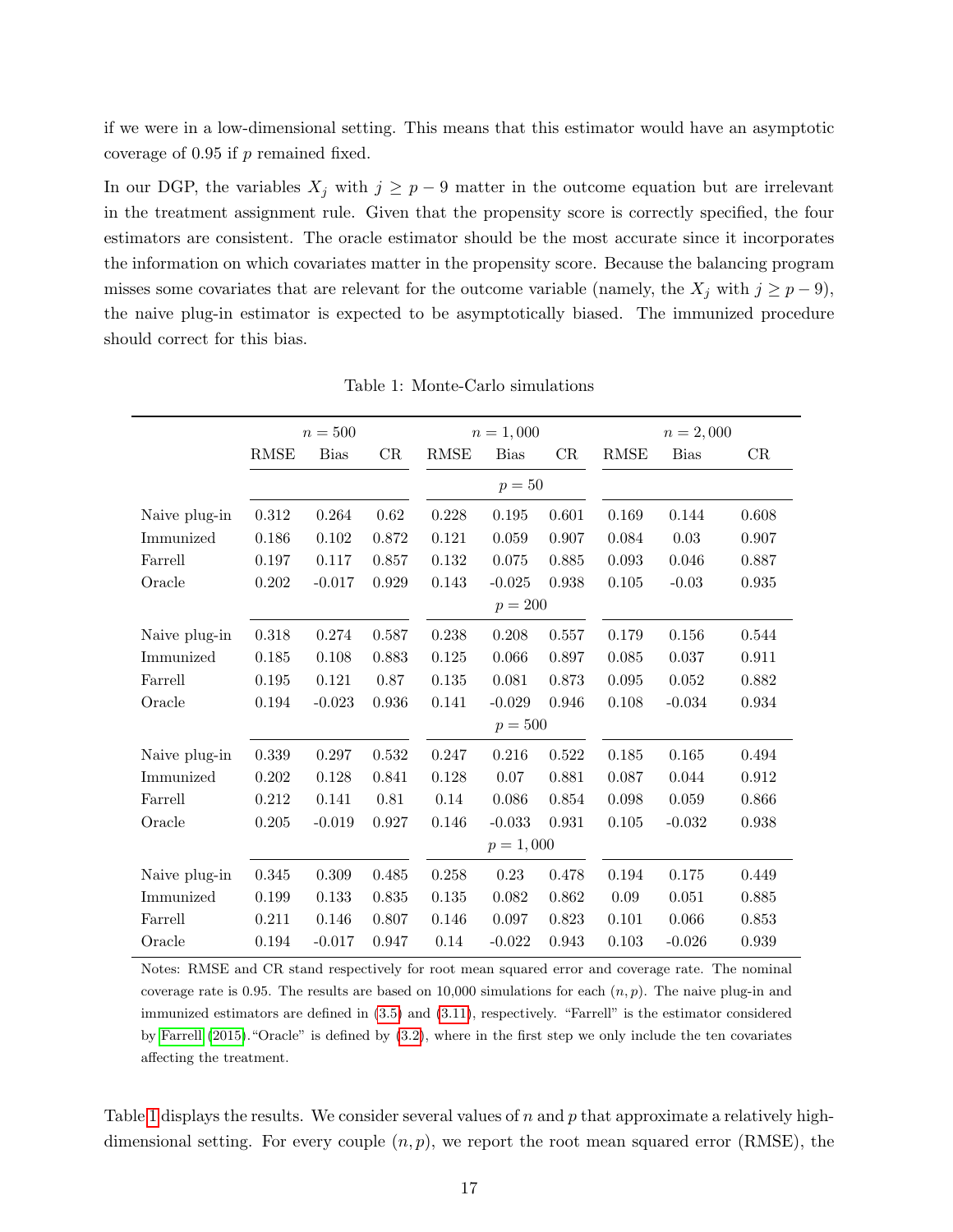if we were in a low-dimensional setting. This means that this estimator would have an asymptotic coverage of  $0.95$  if  $p$  remained fixed.

In our DGP, the variables  $X_j$  with  $j \geq p-9$  matter in the outcome equation but are irrelevant in the treatment assignment rule. Given that the propensity score is correctly specified, the four estimators are consistent. The oracle estimator should be the most accurate since it incorporates the information on which covariates matter in the propensity score. Because the balancing program misses some covariates that are relevant for the outcome variable (namely, the  $X_j$  with  $j \geq p-9$ ), the naive plug-in estimator is expected to be asymptotically biased. The immunized procedure should correct for this bias.

|               |             | $n=500$     | $n = 2,000$<br>$n = 1,000$ |             |             |       |             |             |       |
|---------------|-------------|-------------|----------------------------|-------------|-------------|-------|-------------|-------------|-------|
|               | <b>RMSE</b> | <b>Bias</b> | CR                         | <b>RMSE</b> | <b>Bias</b> | CR    | <b>RMSE</b> | <b>Bias</b> | CR    |
|               |             |             |                            |             | $p=50$      |       |             |             |       |
| Naive plug-in | 0.312       | 0.264       | 0.62                       | 0.228       | 0.195       | 0.601 | 0.169       | 0.144       | 0.608 |
| Immunized     | 0.186       | 0.102       | 0.872                      | 0.121       | 0.059       | 0.907 | 0.084       | 0.03        | 0.907 |
| Farrell       | 0.197       | 0.117       | 0.857                      | 0.132       | 0.075       | 0.885 | 0.093       | 0.046       | 0.887 |
| Oracle        | $0.202\,$   | $-0.017$    | 0.929                      | 0.143       | $-0.025$    | 0.938 | 0.105       | $-0.03$     | 0.935 |
|               |             |             |                            |             | $p = 200$   |       |             |             |       |
| Naive plug-in | 0.318       | 0.274       | 0.587                      | 0.238       | 0.208       | 0.557 | 0.179       | 0.156       | 0.544 |
| Immunized     | 0.185       | 0.108       | 0.883                      | 0.125       | 0.066       | 0.897 | 0.085       | 0.037       | 0.911 |
| Farrell       | 0.195       | 0.121       | 0.87                       | 0.135       | 0.081       | 0.873 | 0.095       | 0.052       | 0.882 |
| Oracle        | 0.194       | $-0.023$    | 0.936                      | 0.141       | $-0.029$    | 0.946 | 0.108       | $-0.034$    | 0.934 |
|               |             |             |                            | $p = 500$   |             |       |             |             |       |
| Naive plug-in | 0.339       | 0.297       | $0.532\,$                  | 0.247       | 0.216       | 0.522 | 0.185       | 0.165       | 0.494 |
| Immunized     | 0.202       | 0.128       | 0.841                      | 0.128       | 0.07        | 0.881 | 0.087       | 0.044       | 0.912 |
| Farrell       | 0.212       | 0.141       | 0.81                       | 0.14        | 0.086       | 0.854 | 0.098       | 0.059       | 0.866 |
| Oracle        | 0.205       | $-0.019$    | 0.927                      | 0.146       | $-0.033$    | 0.931 | 0.105       | $-0.032$    | 0.938 |
|               |             |             |                            |             | $p = 1,000$ |       |             |             |       |
| Naive plug-in | 0.345       | 0.309       | 0.485                      | 0.258       | $0.23\,$    | 0.478 | 0.194       | 0.175       | 0.449 |
| Immunized     | 0.199       | 0.133       | 0.835                      | 0.135       | 0.082       | 0.862 | 0.09        | 0.051       | 0.885 |
| Farrell       | 0.211       | 0.146       | 0.807                      | 0.146       | 0.097       | 0.823 | 0.101       | 0.066       | 0.853 |
| Oracle        | 0.194       | $-0.017$    | 0.947                      | 0.14        | $-0.022$    | 0.943 | 0.103       | $-0.026$    | 0.939 |

<span id="page-16-0"></span>Table 1: Monte-Carlo simulations

Notes: RMSE and CR stand respectively for root mean squared error and coverage rate. The nominal coverage rate is 0.95. The results are based on 10,000 simulations for each  $(n, p)$ . The naive plug-in and immunized estimators are defined in [\(3.5\)](#page-8-1) and [\(3.11\)](#page-10-2), respectively. "Farrell" is the estimator considered by [Farrell](#page-23-8) [\(2015\)](#page-23-8)."Oracle" is defined by [\(3.2\)](#page-7-4), where in the first step we only include the ten covariates affecting the treatment.

Table [1](#page-16-0) displays the results. We consider several values of n and p that approximate a relatively highdimensional setting. For every couple  $(n, p)$ , we report the root mean squared error (RMSE), the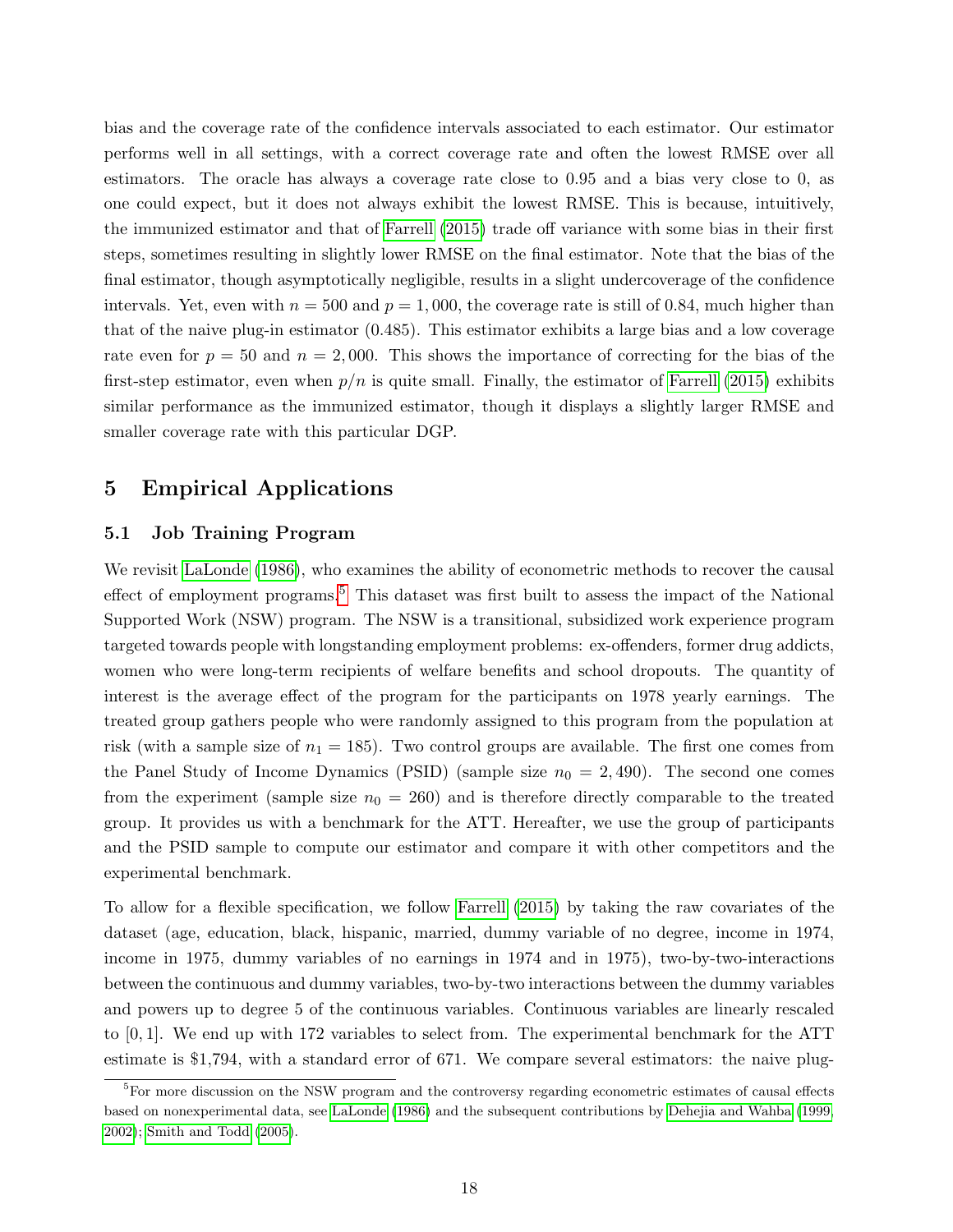bias and the coverage rate of the confidence intervals associated to each estimator. Our estimator performs well in all settings, with a correct coverage rate and often the lowest RMSE over all estimators. The oracle has always a coverage rate close to 0.95 and a bias very close to 0, as one could expect, but it does not always exhibit the lowest RMSE. This is because, intuitively, the immunized estimator and that of [Farrell](#page-23-8) [\(2015\)](#page-23-8) trade off variance with some bias in their first steps, sometimes resulting in slightly lower RMSE on the final estimator. Note that the bias of the final estimator, though asymptotically negligible, results in a slight undercoverage of the confidence intervals. Yet, even with  $n = 500$  and  $p = 1,000$ , the coverage rate is still of 0.84, much higher than that of the naive plug-in estimator (0.485). This estimator exhibits a large bias and a low coverage rate even for  $p = 50$  and  $n = 2,000$ . This shows the importance of correcting for the bias of the first-step estimator, even when  $p/n$  is quite small. Finally, the estimator of [Farrell](#page-23-8) [\(2015\)](#page-23-8) exhibits similar performance as the immunized estimator, though it displays a slightly larger RMSE and smaller coverage rate with this particular DGP.

# <span id="page-17-0"></span>5 Empirical Applications

#### <span id="page-17-1"></span>5.1 Job Training Program

We revisit [LaLonde](#page-23-9) [\(1986\)](#page-23-9), who examines the ability of econometric methods to recover the causal effect of employment programs.<sup>[5](#page-17-2)</sup> This dataset was first built to assess the impact of the National Supported Work (NSW) program. The NSW is a transitional, subsidized work experience program targeted towards people with longstanding employment problems: ex-offenders, former drug addicts, women who were long-term recipients of welfare benefits and school dropouts. The quantity of interest is the average effect of the program for the participants on 1978 yearly earnings. The treated group gathers people who were randomly assigned to this program from the population at risk (with a sample size of  $n_1 = 185$ ). Two control groups are available. The first one comes from the Panel Study of Income Dynamics (PSID) (sample size  $n_0 = 2,490$ ). The second one comes from the experiment (sample size  $n_0 = 260$ ) and is therefore directly comparable to the treated group. It provides us with a benchmark for the ATT. Hereafter, we use the group of participants and the PSID sample to compute our estimator and compare it with other competitors and the experimental benchmark.

To allow for a flexible specification, we follow [Farrell](#page-23-8) [\(2015\)](#page-23-8) by taking the raw covariates of the dataset (age, education, black, hispanic, married, dummy variable of no degree, income in 1974, income in 1975, dummy variables of no earnings in 1974 and in 1975), two-by-two-interactions between the continuous and dummy variables, two-by-two interactions between the dummy variables and powers up to degree 5 of the continuous variables. Continuous variables are linearly rescaled to [0, 1]. We end up with 172 variables to select from. The experimental benchmark for the ATT estimate is \$1,794, with a standard error of 671. We compare several estimators: the naive plug-

<span id="page-17-2"></span><sup>&</sup>lt;sup>5</sup>For more discussion on the NSW program and the controversy regarding econometric estimates of causal effects based on nonexperimental data, see [LaLonde](#page-23-9) [\(1986\)](#page-23-9) and the subsequent contributions by [Dehejia and Wahba](#page-23-13) [\(1999,](#page-23-13) [2002\)](#page-23-14); [Smith and Todd](#page-24-7) [\(2005\)](#page-24-7).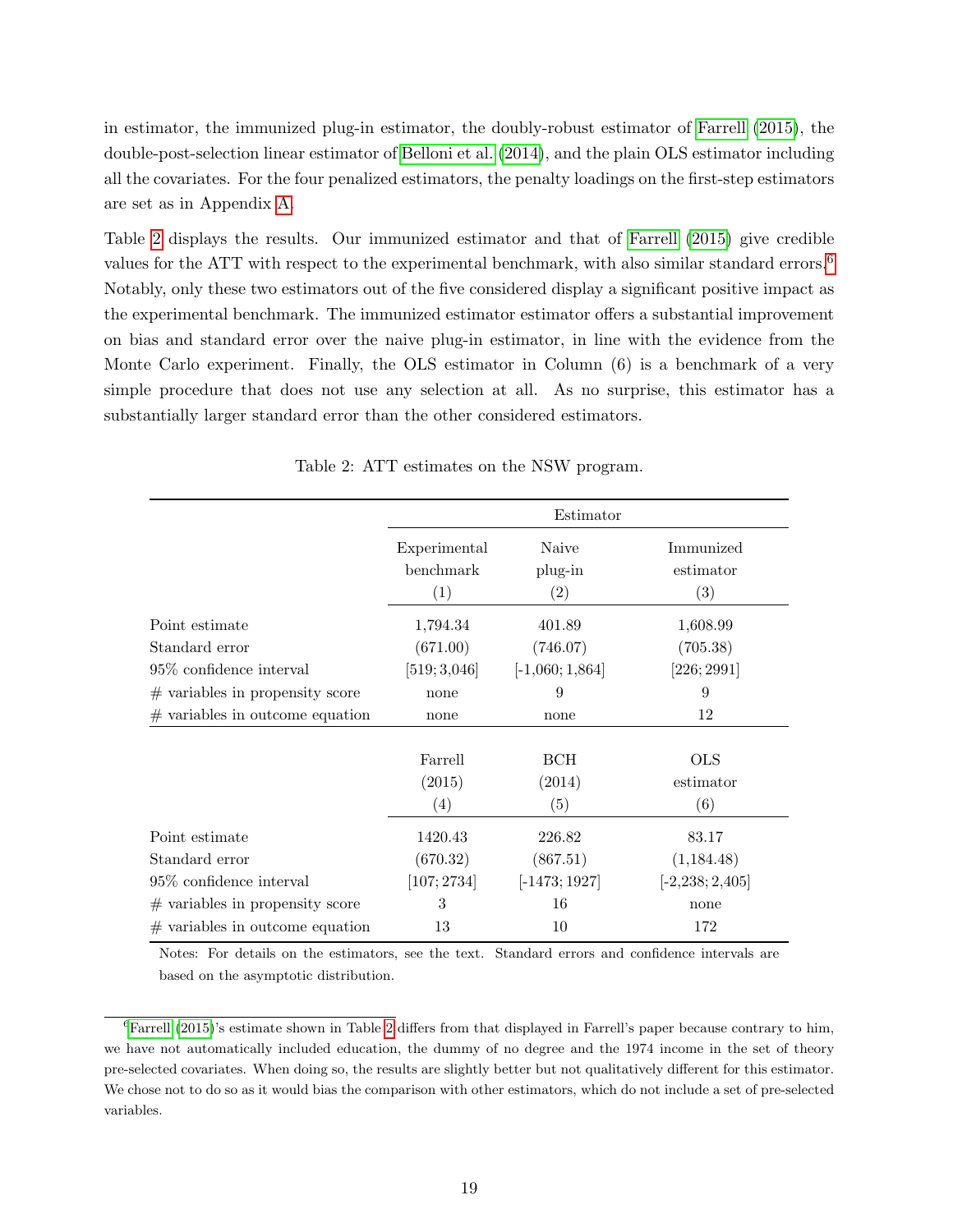in estimator, the immunized plug-in estimator, the doubly-robust estimator of [Farrell](#page-23-8) [\(2015\)](#page-23-8), the double-post-selection linear estimator of [Belloni et al.](#page-22-6) [\(2014\)](#page-22-6), and the plain OLS estimator including all the covariates. For the four penalized estimators, the penalty loadings on the first-step estimators are set as in Appendix [A.](#page-24-4)

Table [2](#page-18-0) displays the results. Our immunized estimator and that of [Farrell](#page-23-8) [\(2015\)](#page-23-8) give credible values for the ATT with respect to the experimental benchmark, with also similar standard errors.<sup>[6](#page-18-1)</sup> Notably, only these two estimators out of the five considered display a significant positive impact as the experimental benchmark. The immunized estimator estimator offers a substantial improvement on bias and standard error over the naive plug-in estimator, in line with the evidence from the Monte Carlo experiment. Finally, the OLS estimator in Column (6) is a benchmark of a very simple procedure that does not use any selection at all. As no surprise, this estimator has a substantially larger standard error than the other considered estimators.

|                                   |                      | Estimator         |                      |  |
|-----------------------------------|----------------------|-------------------|----------------------|--|
|                                   | Experimental         | Naive             | Immunized            |  |
|                                   | benchmark            | plug-in           | estimator            |  |
|                                   | (1)                  | $\left( 2\right)$ | (3)                  |  |
| Point estimate                    | 1,794.34<br>(671.00) | 401.89            | 1,608.99<br>(705.38) |  |
| Standard error                    |                      | (746.07)          |                      |  |
| 95\% confidence interval          | [519; 3,046]         | $[-1,060;1,864]$  | [226; 2991]          |  |
| $#$ variables in propensity score | none                 | 9                 | 9                    |  |
| $#$ variables in outcome equation | none                 | none              | 12                   |  |
|                                   | Farrell              | <b>BCH</b>        | <b>OLS</b>           |  |
|                                   | (2015)               | (2014)            | estimator            |  |
|                                   | (4)                  | (5)               | (6)                  |  |
| Point estimate                    | 1420.43              | 226.82            | 83.17                |  |
| Standard error                    | (670.32)             | (867.51)          | (1,184.48)           |  |
| $95\%$ confidence interval        | [107; 2734]          | $[-1473; 1927]$   | $[-2, 238; 2, 405]$  |  |
| $#$ variables in propensity score | 3                    | 16                | none                 |  |
| $#$ variables in outcome equation | 13                   | 10                | 172                  |  |

<span id="page-18-0"></span>Table 2: ATT estimates on the NSW program.

Notes: For details on the estimators, see the text. Standard errors and confidence intervals are based on the asymptotic distribution.

<span id="page-18-1"></span> ${}^{6}$ [Farrell](#page-23-8) [\(2015\)](#page-23-8)'s estimate shown in Table [2](#page-18-0) differs from that displayed in Farrell's paper because contrary to him, we have not automatically included education, the dummy of no degree and the 1974 income in the set of theory pre-selected covariates. When doing so, the results are slightly better but not qualitatively different for this estimator. We chose not to do so as it would bias the comparison with other estimators, which do not include a set of pre-selected variables.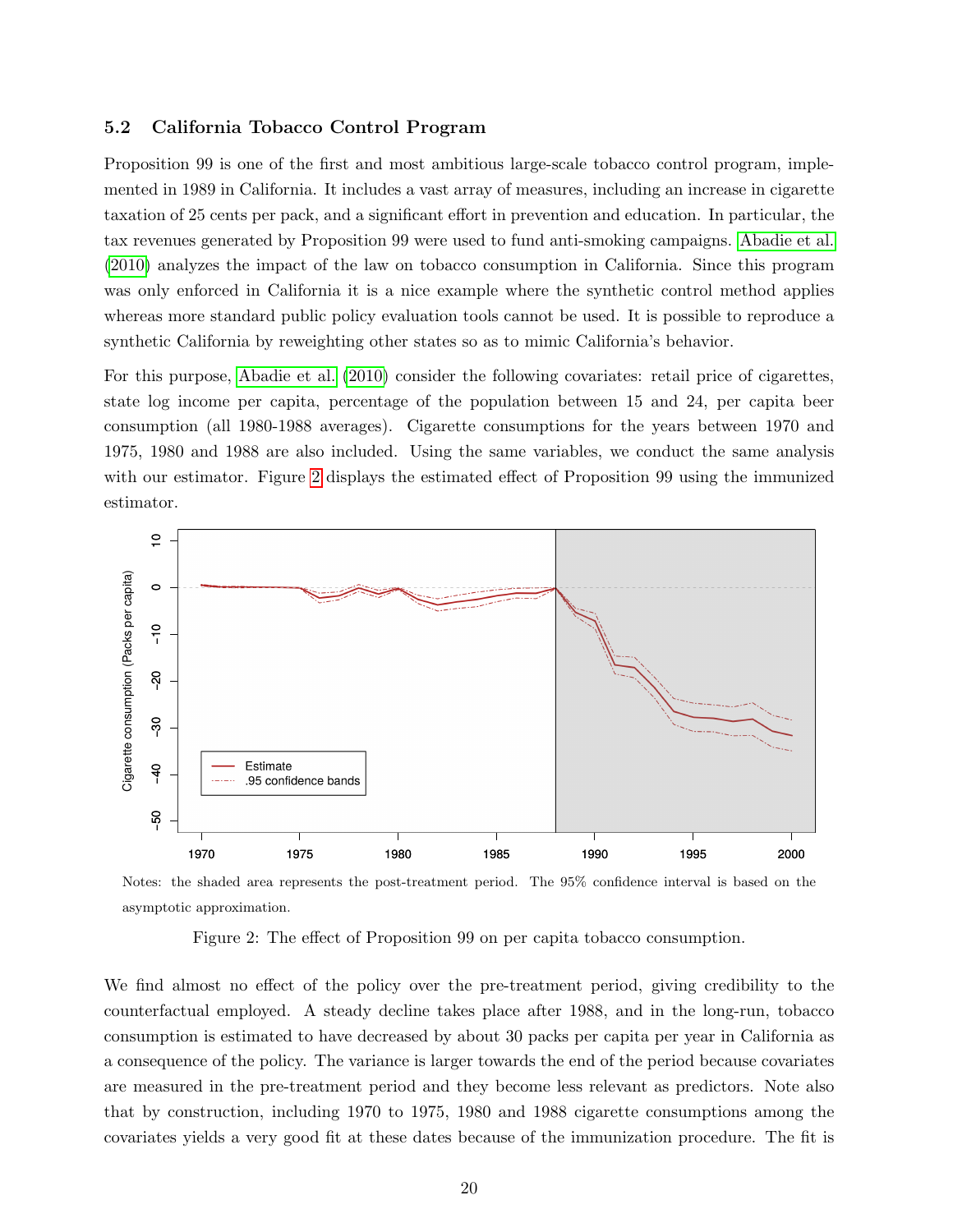#### <span id="page-19-0"></span>5.2 California Tobacco Control Program

Proposition 99 is one of the first and most ambitious large-scale tobacco control program, implemented in 1989 in California. It includes a vast array of measures, including an increase in cigarette taxation of 25 cents per pack, and a significant effort in prevention and education. In particular, the tax revenues generated by Proposition 99 were used to fund anti-smoking campaigns. [Abadie et al.](#page-21-1) [\(2010\)](#page-21-1) analyzes the impact of the law on tobacco consumption in California. Since this program was only enforced in California it is a nice example where the synthetic control method applies whereas more standard public policy evaluation tools cannot be used. It is possible to reproduce a synthetic California by reweighting other states so as to mimic California's behavior.

For this purpose, [Abadie et al.](#page-21-1) [\(2010\)](#page-21-1) consider the following covariates: retail price of cigarettes, state log income per capita, percentage of the population between 15 and 24, per capita beer consumption (all 1980-1988 averages). Cigarette consumptions for the years between 1970 and 1975, 1980 and 1988 are also included. Using the same variables, we conduct the same analysis with our estimator. Figure [2](#page-19-1) displays the estimated effect of Proposition 99 using the immunized estimator.



Notes: the shaded area represents the post-treatment period. The 95% confidence interval is based on the asymptotic approximation.

<span id="page-19-1"></span>Figure 2: The effect of Proposition 99 on per capita tobacco consumption.

We find almost no effect of the policy over the pre-treatment period, giving credibility to the counterfactual employed. A steady decline takes place after 1988, and in the long-run, tobacco consumption is estimated to have decreased by about 30 packs per capita per year in California as a consequence of the policy. The variance is larger towards the end of the period because covariates are measured in the pre-treatment period and they become less relevant as predictors. Note also that by construction, including 1970 to 1975, 1980 and 1988 cigarette consumptions among the covariates yields a very good fit at these dates because of the immunization procedure. The fit is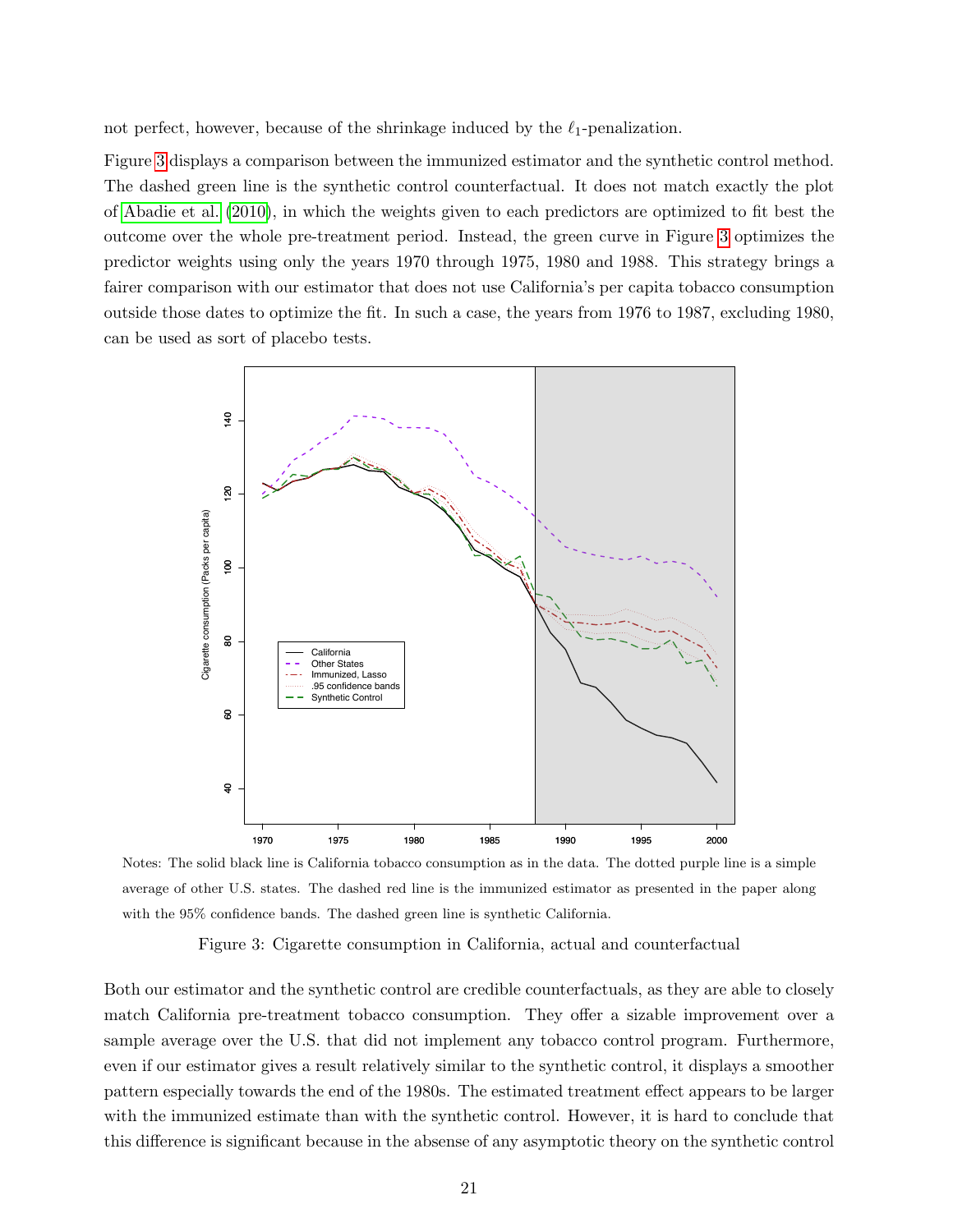not perfect, however, because of the shrinkage induced by the  $\ell_1$ -penalization.

Figure [3](#page-20-0) displays a comparison between the immunized estimator and the synthetic control method. The dashed green line is the synthetic control counterfactual. It does not match exactly the plot of [Abadie et al.](#page-21-1) [\(2010\)](#page-21-1), in which the weights given to each predictors are optimized to fit best the outcome over the whole pre-treatment period. Instead, the green curve in Figure [3](#page-20-0) optimizes the predictor weights using only the years 1970 through 1975, 1980 and 1988. This strategy brings a fairer comparison with our estimator that does not use California's per capita tobacco consumption outside those dates to optimize the fit. In such a case, the years from 1976 to 1987, excluding 1980, can be used as sort of placebo tests.



Notes: The solid black line is California tobacco consumption as in the data. The dotted purple line is a simple average of other U.S. states. The dashed red line is the immunized estimator as presented in the paper along with the 95% confidence bands. The dashed green line is synthetic California.

<span id="page-20-0"></span>Figure 3: Cigarette consumption in California, actual and counterfactual

Both our estimator and the synthetic control are credible counterfactuals, as they are able to closely match California pre-treatment tobacco consumption. They offer a sizable improvement over a sample average over the U.S. that did not implement any tobacco control program. Furthermore, even if our estimator gives a result relatively similar to the synthetic control, it displays a smoother pattern especially towards the end of the 1980s. The estimated treatment effect appears to be larger with the immunized estimate than with the synthetic control. However, it is hard to conclude that this difference is significant because in the absense of any asymptotic theory on the synthetic control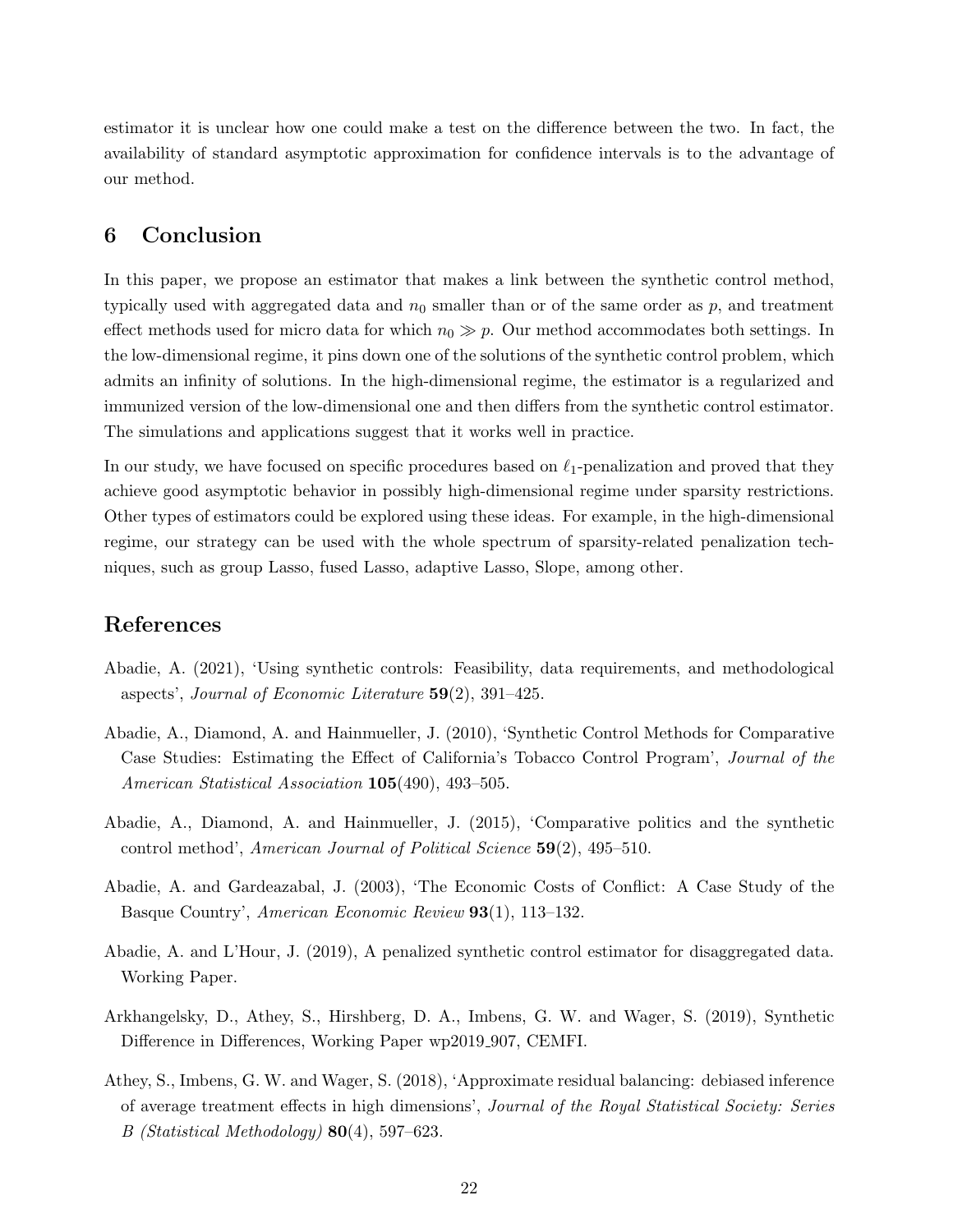estimator it is unclear how one could make a test on the difference between the two. In fact, the availability of standard asymptotic approximation for confidence intervals is to the advantage of our method.

# <span id="page-21-7"></span>6 Conclusion

In this paper, we propose an estimator that makes a link between the synthetic control method, typically used with aggregated data and  $n_0$  smaller than or of the same order as  $p$ , and treatment effect methods used for micro data for which  $n_0 \gg p$ . Our method accommodates both settings. In the low-dimensional regime, it pins down one of the solutions of the synthetic control problem, which admits an infinity of solutions. In the high-dimensional regime, the estimator is a regularized and immunized version of the low-dimensional one and then differs from the synthetic control estimator. The simulations and applications suggest that it works well in practice.

In our study, we have focused on specific procedures based on  $\ell_1$ -penalization and proved that they achieve good asymptotic behavior in possibly high-dimensional regime under sparsity restrictions. Other types of estimators could be explored using these ideas. For example, in the high-dimensional regime, our strategy can be used with the whole spectrum of sparsity-related penalization techniques, such as group Lasso, fused Lasso, adaptive Lasso, Slope, among other.

# References

- <span id="page-21-3"></span>Abadie, A. (2021), 'Using synthetic controls: Feasibility, data requirements, and methodological aspects', Journal of Economic Literature 59(2), 391–425.
- <span id="page-21-1"></span>Abadie, A., Diamond, A. and Hainmueller, J. (2010), 'Synthetic Control Methods for Comparative Case Studies: Estimating the Effect of California's Tobacco Control Program', Journal of the American Statistical Association 105(490), 493-505.
- <span id="page-21-2"></span>Abadie, A., Diamond, A. and Hainmueller, J. (2015), 'Comparative politics and the synthetic control method', American Journal of Political Science 59(2), 495–510.
- <span id="page-21-0"></span>Abadie, A. and Gardeazabal, J. (2003), 'The Economic Costs of Conflict: A Case Study of the Basque Country', American Economic Review 93(1), 113–132.
- <span id="page-21-4"></span>Abadie, A. and L'Hour, J. (2019), A penalized synthetic control estimator for disaggregated data. Working Paper.
- <span id="page-21-5"></span>Arkhangelsky, D., Athey, S., Hirshberg, D. A., Imbens, G. W. and Wager, S. (2019), Synthetic Difference in Differences, Working Paper wp2019<sub>-907</sub>, CEMFI.
- <span id="page-21-6"></span>Athey, S., Imbens, G. W. and Wager, S. (2018), 'Approximate residual balancing: debiased inference of average treatment effects in high dimensions', Journal of the Royal Statistical Society: Series B (Statistical Methodology)  $80(4)$ , 597–623.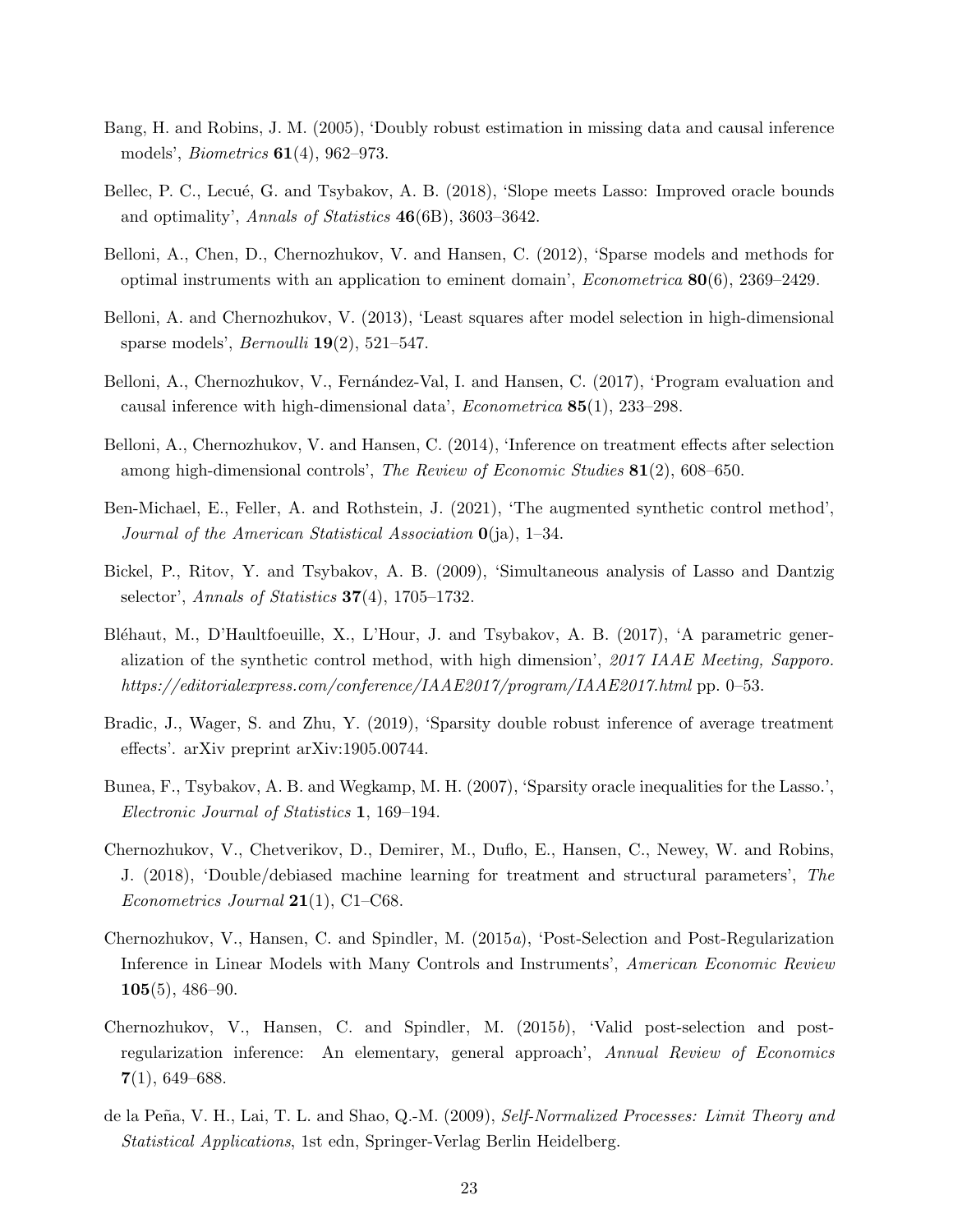- <span id="page-22-0"></span>Bang, H. and Robins, J. M. (2005), 'Doubly robust estimation in missing data and causal inference models', Biometrics 61(4), 962–973.
- <span id="page-22-14"></span>Bellec, P. C., Lecué, G. and Tsybakov, A. B. (2018), 'Slope meets Lasso: Improved oracle bounds and optimality', Annals of Statistics 46(6B), 3603–3642.
- <span id="page-22-10"></span>Belloni, A., Chen, D., Chernozhukov, V. and Hansen, C. (2012), 'Sparse models and methods for optimal instruments with an application to eminent domain', *Econometrica*  $80(6)$ , 2369–2429.
- <span id="page-22-4"></span>Belloni, A. and Chernozhukov, V. (2013), 'Least squares after model selection in high-dimensional sparse models', *Bernoulli*  $19(2)$ , 521–547.
- <span id="page-22-12"></span>Belloni, A., Chernozhukov, V., Fernández-Val, I. and Hansen, C. (2017), 'Program evaluation and causal inference with high-dimensional data', Econometrica 85(1), 233–298.
- <span id="page-22-6"></span>Belloni, A., Chernozhukov, V. and Hansen, C. (2014), 'Inference on treatment effects after selection among high-dimensional controls', The Review of Economic Studies 81(2), 608–650.
- <span id="page-22-3"></span>Ben-Michael, E., Feller, A. and Rothstein, J. (2021), 'The augmented synthetic control method', Journal of the American Statistical Association  $\mathbf{0}$ (ja), 1–34.
- <span id="page-22-9"></span>Bickel, P., Ritov, Y. and Tsybakov, A. B. (2009), 'Simultaneous analysis of Lasso and Dantzig selector', Annals of Statistics  $37(4)$ , 1705–1732.
- <span id="page-22-8"></span>Bléhaut, M., D'Haultfoeuille, X., L'Hour, J. and Tsybakov, A. B. (2017), 'A parametric generalization of the synthetic control method, with high dimension', 2017 IAAE Meeting, Sapporo. https://editorialexpress.com/conference/IAAE2017/program/IAAE2017.html pp. 0–53.
- <span id="page-22-7"></span>Bradic, J., Wager, S. and Zhu, Y. (2019), 'Sparsity double robust inference of average treatment effects'. arXiv preprint arXiv:1905.00744.
- <span id="page-22-11"></span>Bunea, F., Tsybakov, A. B. and Wegkamp, M. H. (2007), 'Sparsity oracle inequalities for the Lasso.', Electronic Journal of Statistics 1, 169–194.
- <span id="page-22-2"></span>Chernozhukov, V., Chetverikov, D., Demirer, M., Duflo, E., Hansen, C., Newey, W. and Robins, J. (2018), 'Double/debiased machine learning for treatment and structural parameters', The Econometrics Journal  $21(1)$ , C1–C68.
- <span id="page-22-5"></span>Chernozhukov, V., Hansen, C. and Spindler, M. (2015a), 'Post-Selection and Post-Regularization Inference in Linear Models with Many Controls and Instruments', American Economic Review  $105(5)$ , 486–90.
- <span id="page-22-1"></span>Chernozhukov, V., Hansen, C. and Spindler, M. (2015b), 'Valid post-selection and postregularization inference: An elementary, general approach', Annual Review of Economics  $7(1), 649-688.$
- <span id="page-22-13"></span>de la Peña, V. H., Lai, T. L. and Shao, Q.-M. (2009), Self-Normalized Processes: Limit Theory and Statistical Applications, 1st edn, Springer-Verlag Berlin Heidelberg.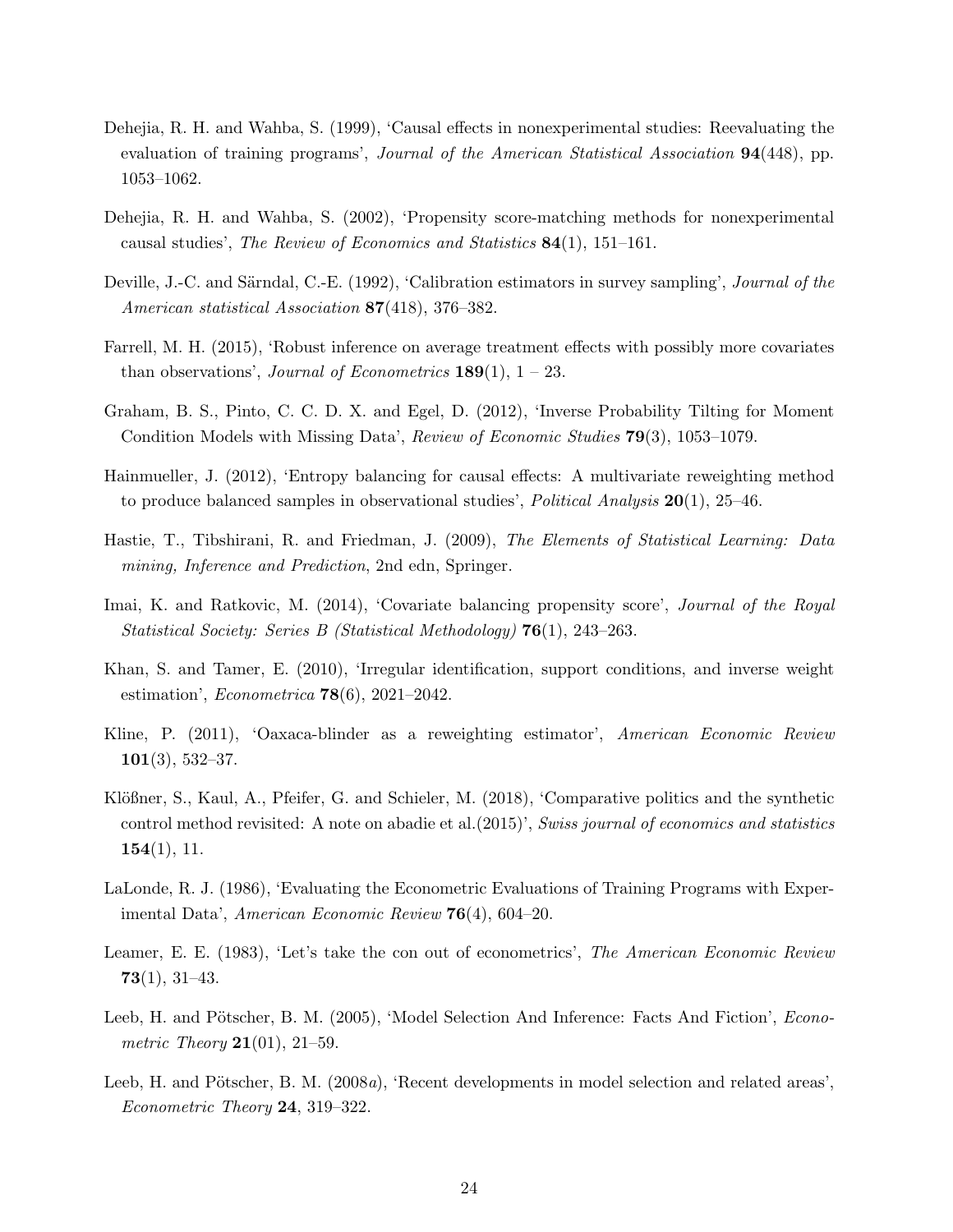- <span id="page-23-13"></span>Dehejia, R. H. and Wahba, S. (1999), 'Causal effects in nonexperimental studies: Reevaluating the evaluation of training programs', Journal of the American Statistical Association 94(448), pp. 1053–1062.
- <span id="page-23-14"></span>Dehejia, R. H. and Wahba, S. (2002), 'Propensity score-matching methods for nonexperimental causal studies', The Review of Economics and Statistics 84(1), 151–161.
- <span id="page-23-4"></span>Deville, J.-C. and Särndal, C.-E. (1992), 'Calibration estimators in survey sampling', Journal of the American statistical Association 87(418), 376–382.
- <span id="page-23-8"></span>Farrell, M. H. (2015), 'Robust inference on average treatment effects with possibly more covariates than observations', *Journal of Econometrics* **189**(1),  $1 - 23$ .
- <span id="page-23-2"></span>Graham, B. S., Pinto, C. C. D. X. and Egel, D. (2012), 'Inverse Probability Tilting for Moment Condition Models with Missing Data', Review of Economic Studies 79(3), 1053–1079.
- <span id="page-23-1"></span>Hainmueller, J. (2012), 'Entropy balancing for causal effects: A multivariate reweighting method to produce balanced samples in observational studies', *Political Analysis*  $20(1)$ , 25–46.
- <span id="page-23-11"></span>Hastie, T., Tibshirani, R. and Friedman, J. (2009), The Elements of Statistical Learning: Data mining, Inference and Prediction, 2nd edn, Springer.
- <span id="page-23-3"></span>Imai, K. and Ratkovic, M. (2014), 'Covariate balancing propensity score', Journal of the Royal Statistical Society: Series B (Statistical Methodology) 76(1), 243–263.
- <span id="page-23-12"></span>Khan, S. and Tamer, E. (2010), 'Irregular identification, support conditions, and inverse weight estimation', Econometrica 78(6), 2021–2042.
- <span id="page-23-10"></span>Kline, P. (2011), 'Oaxaca-blinder as a reweighting estimator', American Economic Review  $101(3), 532-37.$
- <span id="page-23-0"></span>Klößner, S., Kaul, A., Pfeifer, G. and Schieler, M. (2018), 'Comparative politics and the synthetic control method revisited: A note on abadie et al.(2015)', Swiss journal of economics and statistics  $154(1), 11.$
- <span id="page-23-9"></span>LaLonde, R. J. (1986), 'Evaluating the Econometric Evaluations of Training Programs with Experimental Data', American Economic Review 76(4), 604–20.
- <span id="page-23-7"></span>Leamer, E. E. (1983), 'Let's take the con out of econometrics', The American Economic Review  $73(1), 31-43.$
- <span id="page-23-5"></span>Leeb, H. and Pötscher, B. M. (2005), 'Model Selection And Inference: Facts And Fiction', *Econometric Theory*  $21(01)$ ,  $21-59$ .
- <span id="page-23-6"></span>Leeb, H. and Pötscher, B. M.  $(2008a)$ , 'Recent developments in model selection and related areas', Econometric Theory 24, 319–322.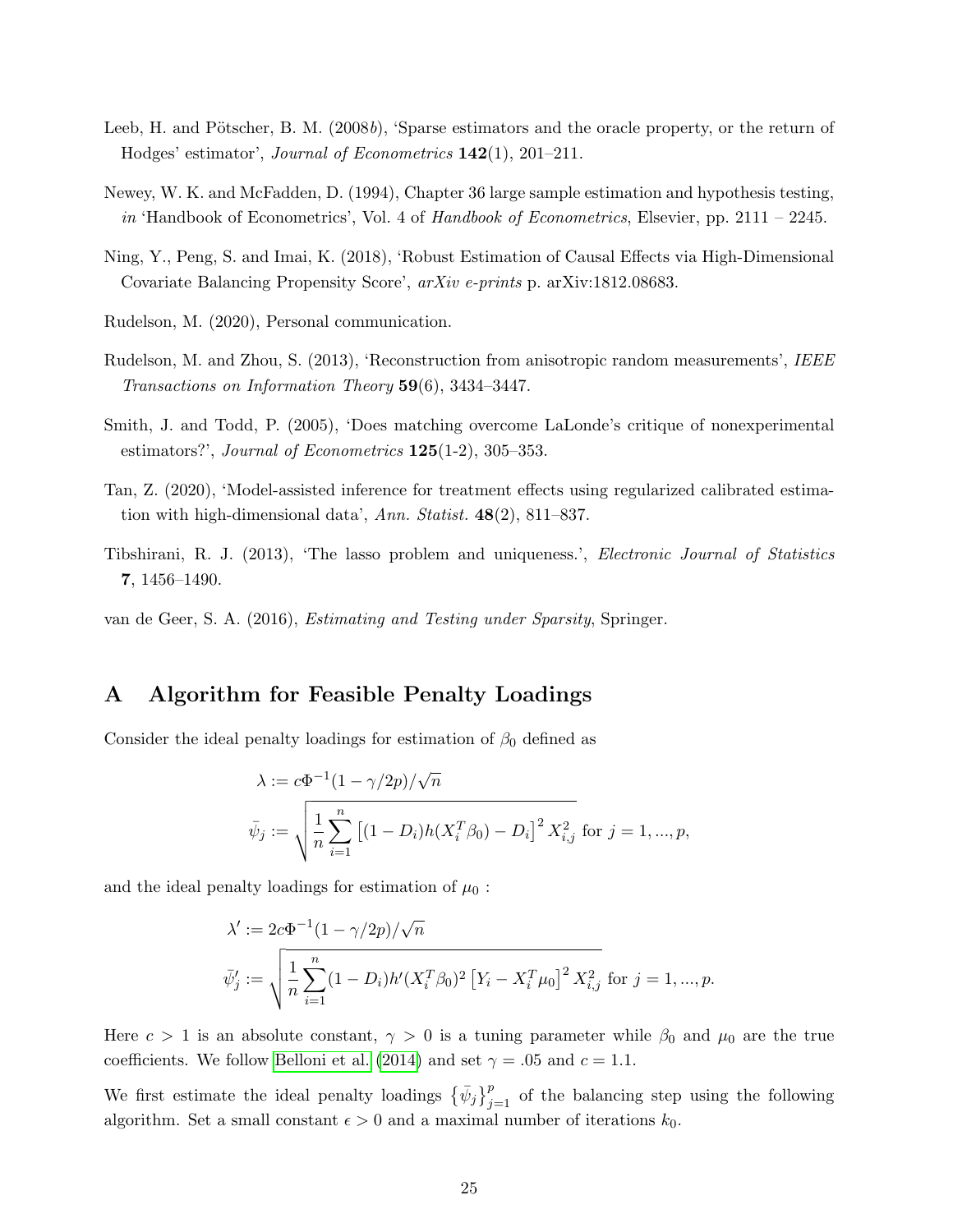- <span id="page-24-0"></span>Leeb, H. and Pötscher, B. M.  $(2008b)$ , 'Sparse estimators and the oracle property, or the return of Hodges' estimator', Journal of Econometrics 142(1), 201–211.
- <span id="page-24-3"></span>Newey, W. K. and McFadden, D. (1994), Chapter 36 large sample estimation and hypothesis testing, in 'Handbook of Econometrics', Vol. 4 of Handbook of Econometrics, Elsevier, pp.  $2111 - 2245$ .
- <span id="page-24-1"></span>Ning, Y., Peng, S. and Imai, K. (2018), 'Robust Estimation of Causal Effects via High-Dimensional Covariate Balancing Propensity Score', arXiv e-prints p. arXiv:1812.08683.
- <span id="page-24-9"></span>Rudelson, M. (2020), Personal communication.
- <span id="page-24-8"></span>Rudelson, M. and Zhou, S. (2013), 'Reconstruction from anisotropic random measurements', IEEE Transactions on Information Theory 59(6), 3434–3447.
- <span id="page-24-7"></span>Smith, J. and Todd, P. (2005), 'Does matching overcome LaLonde's critique of nonexperimental estimators?', Journal of Econometrics  $125(1-2)$ , 305-353.
- <span id="page-24-2"></span>Tan, Z. (2020), 'Model-assisted inference for treatment effects using regularized calibrated estimation with high-dimensional data', Ann. Statist. 48(2), 811–837.
- <span id="page-24-5"></span>Tibshirani, R. J. (2013), 'The lasso problem and uniqueness.', Electronic Journal of Statistics 7, 1456–1490.
- <span id="page-24-6"></span>van de Geer, S. A. (2016), Estimating and Testing under Sparsity, Springer.

# <span id="page-24-4"></span>A Algorithm for Feasible Penalty Loadings

Consider the ideal penalty loadings for estimation of  $\beta_0$  defined as

$$
\lambda := c\Phi^{-1}(1 - \gamma/2p) / \sqrt{n}
$$
  

$$
\bar{\psi}_j := \sqrt{\frac{1}{n} \sum_{i=1}^n \left[ (1 - D_i)h(X_i^T \beta_0) - D_i \right]^2 X_{i,j}^2 \text{ for } j = 1, ..., p},
$$

and the ideal penalty loadings for estimation of  $\mu_0$ :

$$
\lambda' := 2c\Phi^{-1}(1 - \gamma/2p)/\sqrt{n}
$$
  

$$
\bar{\psi}'_j := \sqrt{\frac{1}{n} \sum_{i=1}^n (1 - D_i)h'(X_i^T \beta_0)^2 \left[Y_i - X_i^T \mu_0\right]^2 X_{i,j}^2 \text{ for } j = 1, ..., p}.
$$

Here  $c > 1$  is an absolute constant,  $\gamma > 0$  is a tuning parameter while  $\beta_0$  and  $\mu_0$  are the true coefficients. We follow [Belloni et al.](#page-22-6) [\(2014\)](#page-22-6) and set  $\gamma = .05$  and  $c = 1.1$ .

We first estimate the ideal penalty loadings  $\{\bar{\psi}_j\}_{j=1}^p$  of the balancing step using the following algorithm. Set a small constant  $\epsilon > 0$  and a maximal number of iterations  $k_0$ .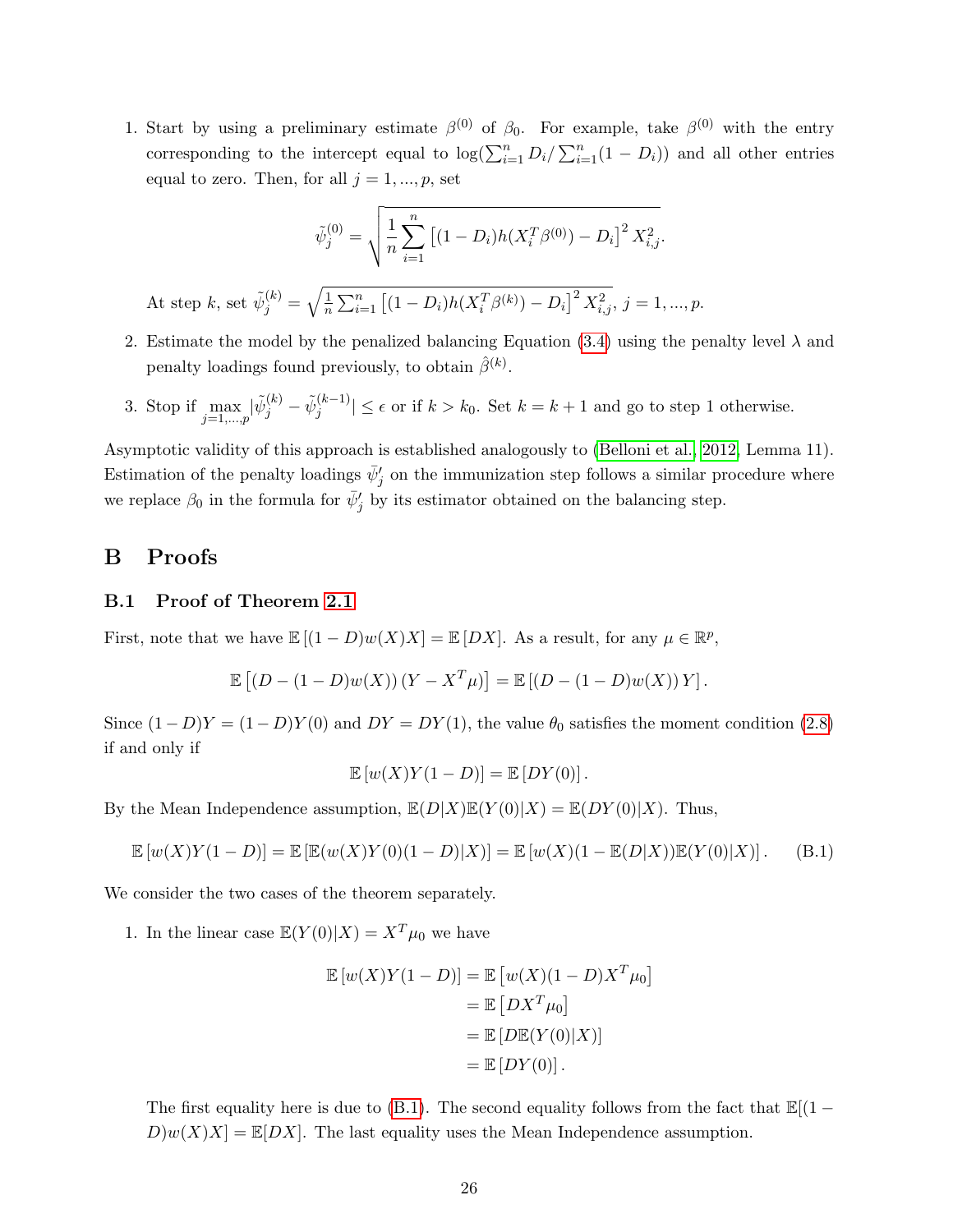1. Start by using a preliminary estimate  $\beta^{(0)}$  of  $\beta_0$ . For example, take  $\beta^{(0)}$  with the entry corresponding to the intercept equal to  $\log(\sum_{i=1}^{n} D_i / \sum_{i=1}^{n} (1 - D_i))$  and all other entries equal to zero. Then, for all  $j = 1, ..., p$ , set

$$
\tilde{\psi}_j^{(0)} = \sqrt{\frac{1}{n} \sum_{i=1}^n \left[ (1 - D_i) h(X_i^T \beta^{(0)}) - D_i \right]^2 X_{i,j}^2}.
$$

At step k, set  $\tilde{\psi}_j^{(k)} = \sqrt{\frac{1}{n}}$  $\frac{1}{n}\sum_{i=1}^{n} [(1-D_i)h(X_i^T\beta^{(k)}) - D_i]^2 X_{i,j}^2, j = 1, ..., p.$ 

- 2. Estimate the model by the penalized balancing Equation [\(3.4\)](#page-8-0) using the penalty level  $\lambda$  and penalty loadings found previously, to obtain  $\hat{\beta}^{(k)}$ .
- 3. Stop if  $\max_{j=1,...,p} |\tilde{\psi}_j^{(k)} \tilde{\psi}_j^{(k-1)}|$  $|j^{(k-1)}| \leq \epsilon$  or if  $k > k_0$ . Set  $k = k + 1$  and go to step 1 otherwise.

Asymptotic validity of this approach is established analogously to [\(Belloni et al., 2012,](#page-22-10) Lemma 11). Estimation of the penalty loadings  $\bar{\psi}'_j$  on the immunization step follows a similar procedure where we replace  $\beta_0$  in the formula for  $\bar{\psi}'_j$  by its estimator obtained on the balancing step.

### B Proofs

#### B.1 Proof of Theorem [2.1](#page-5-2)

First, note that we have  $\mathbb{E}[(1-D)w(X)X] = \mathbb{E}[DX]$ . As a result, for any  $\mu \in \mathbb{R}^p$ ,

$$
\mathbb{E}\left[ (D - (1 - D)w(X))(Y - X^T\mu) \right] = \mathbb{E}\left[ (D - (1 - D)w(X))Y \right].
$$

Since  $(1 - D)Y = (1 - D)Y(0)$  and  $DY = DY(1)$ , the value  $\theta_0$  satisfies the moment condition [\(2.8\)](#page-6-2) if and only if

$$
\mathbb{E}[w(X)Y(1-D)] = \mathbb{E}[DY(0)].
$$

By the Mean Independence assumption,  $\mathbb{E}(D|X)\mathbb{E}(Y(0)|X) = \mathbb{E}(DY(0)|X)$ . Thus,

<span id="page-25-0"></span>
$$
\mathbb{E}[w(X)Y(1-D)] = \mathbb{E}[\mathbb{E}(w(X)Y(0)(1-D)|X)] = \mathbb{E}[w(X)(1-\mathbb{E}(D|X))\mathbb{E}(Y(0)|X)].
$$
 (B.1)

We consider the two cases of the theorem separately.

1. In the linear case  $\mathbb{E}(Y(0)|X) = X^T \mu_0$  we have

$$
\mathbb{E}[w(X)Y(1-D)] = \mathbb{E}[w(X)(1-D)X^T\mu_0]
$$

$$
= \mathbb{E}[DX^T\mu_0]
$$

$$
= \mathbb{E}[D\mathbb{E}(Y(0)|X)]
$$

$$
= \mathbb{E}[DY(0)].
$$

The first equality here is due to [\(B.1\)](#page-25-0). The second equality follows from the fact that  $\mathbb{E}[(1 D(w(X)X] = \mathbb{E}[DX]$ . The last equality uses the Mean Independence assumption.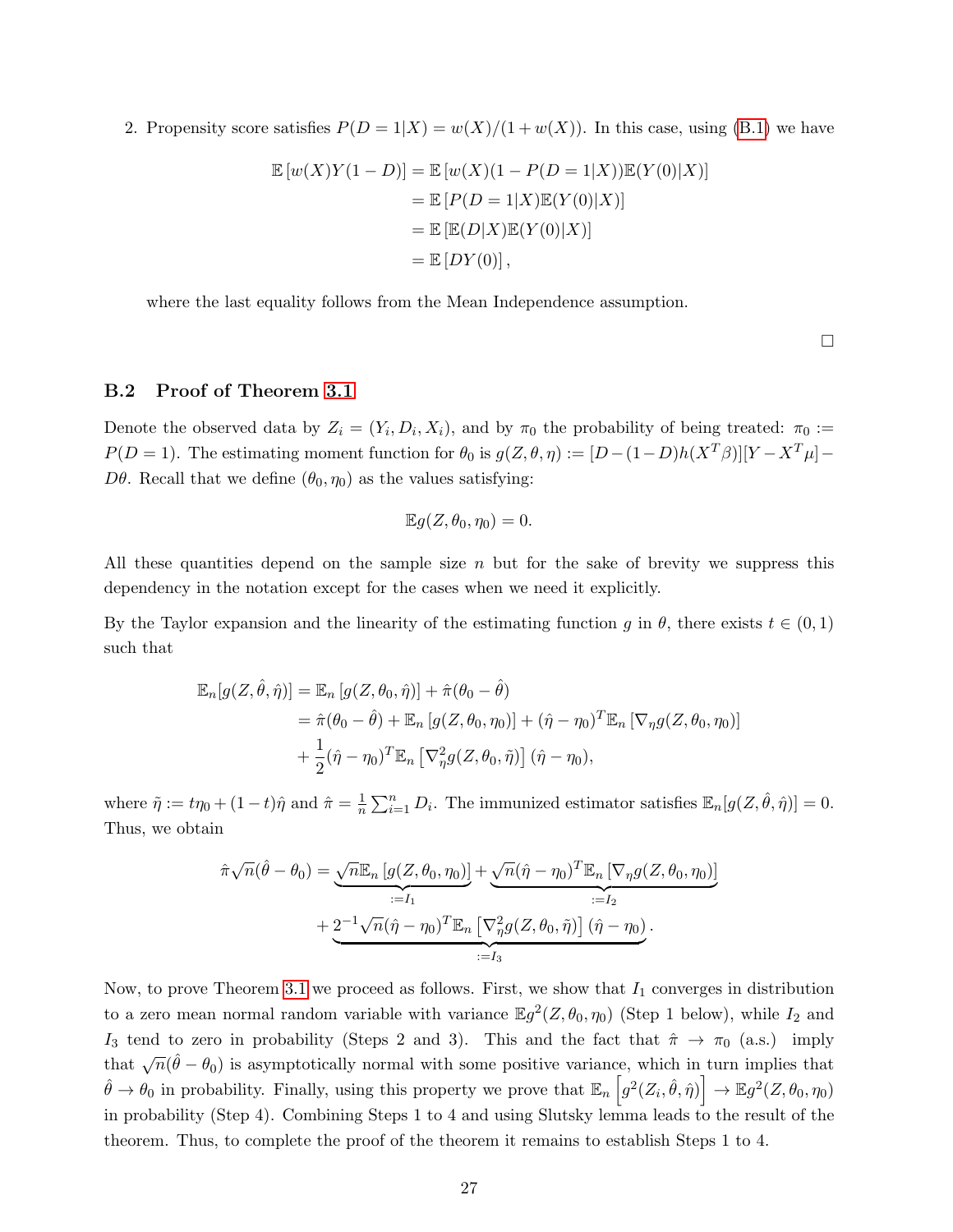2. Propensity score satisfies  $P(D = 1|X) = w(X)/(1 + w(X))$ . In this case, using [\(B.1\)](#page-25-0) we have

$$
\mathbb{E}\left[w(X)Y(1-D)\right] = \mathbb{E}\left[w(X)(1-P(D=1|X))\mathbb{E}(Y(0)|X)\right]
$$

$$
= \mathbb{E}\left[P(D=1|X)\mathbb{E}(Y(0)|X)\right]
$$

$$
= \mathbb{E}\left[\mathbb{E}(D|X)\mathbb{E}(Y(0)|X)\right]
$$

$$
= \mathbb{E}\left[DY(0)\right],
$$

where the last equality follows from the Mean Independence assumption.

 $\Box$ 

#### <span id="page-26-0"></span>B.2 Proof of Theorem [3.1](#page-13-2)

Denote the observed data by  $Z_i = (Y_i, D_i, X_i)$ , and by  $\pi_0$  the probability of being treated:  $\pi_0 :=$  $P(D=1)$ . The estimating moment function for  $\theta_0$  is  $g(Z, \theta, \eta) := [D - (1-D)h(X^T\beta)][Y - X^T\mu] D\theta$ . Recall that we define  $(\theta_0, \eta_0)$  as the values satisfying:

$$
\mathbb{E}g(Z,\theta_0,\eta_0)=0.
$$

All these quantities depend on the sample size  $n$  but for the sake of brevity we suppress this dependency in the notation except for the cases when we need it explicitly.

By the Taylor expansion and the linearity of the estimating function g in  $\theta$ , there exists  $t \in (0,1)$ such that

$$
\mathbb{E}_n[g(Z,\hat{\theta},\hat{\eta})] = \mathbb{E}_n[g(Z,\theta_0,\hat{\eta})] + \hat{\pi}(\theta_0 - \hat{\theta})
$$
  
=  $\hat{\pi}(\theta_0 - \hat{\theta}) + \mathbb{E}_n[g(Z,\theta_0,\eta_0)] + (\hat{\eta} - \eta_0)^T \mathbb{E}_n [\nabla_\eta g(Z,\theta_0,\eta_0)]$   
+  $\frac{1}{2}(\hat{\eta} - \eta_0)^T \mathbb{E}_n [\nabla_\eta^2 g(Z,\theta_0,\tilde{\eta})](\hat{\eta} - \eta_0),$ 

where  $\tilde{\eta} := t\eta_0 + (1-t)\hat{\eta}$  and  $\hat{\pi} = \frac{1}{n}$  $\frac{1}{n} \sum_{i=1}^{n} D_i$ . The immunized estimator satisfies  $\mathbb{E}_n[g(Z, \hat{\theta}, \hat{\eta})] = 0$ . Thus, we obtain

$$
\hat{\pi}\sqrt{n}(\hat{\theta}-\theta_0) = \underbrace{\sqrt{n}\mathbb{E}_n\left[g(Z,\theta_0,\eta_0)\right]}_{:=I_1} + \underbrace{2^{-1}\sqrt{n}(\hat{\eta}-\eta_0)^T\mathbb{E}_n\left[\nabla_\eta g(Z,\theta_0,\eta_0)\right]}_{:=I_2} + \underbrace{2^{-1}\sqrt{n}(\hat{\eta}-\eta_0)^T\mathbb{E}_n\left[\nabla_\eta^2 g(Z,\theta_0,\tilde{\eta})\right](\hat{\eta}-\eta_0)}_{:=I_3}.
$$

Now, to prove Theorem [3.1](#page-13-2) we proceed as follows. First, we show that  $I_1$  converges in distribution to a zero mean normal random variable with variance  $\mathbb{E}g^2(Z, \theta_0, \eta_0)$  (Step 1 below), while  $I_2$  and I<sub>3</sub> tend to zero in probability (Steps 2 and 3). This and the fact that  $\hat{\pi} \to \pi_0$  (a.s.) imply that  $\sqrt{n}(\hat{\theta} - \theta_0)$  is asymptotically normal with some positive variance, which in turn implies that  $\hat{\theta} \to \theta_0$  in probability. Finally, using this property we prove that  $\mathbb{E}_n \left[ g^2(Z_i, \hat{\theta}, \hat{\eta}) \right] \to \mathbb{E} g^2(Z, \theta_0, \eta_0)$ in probability (Step 4). Combining Steps 1 to 4 and using Slutsky lemma leads to the result of the theorem. Thus, to complete the proof of the theorem it remains to establish Steps 1 to 4.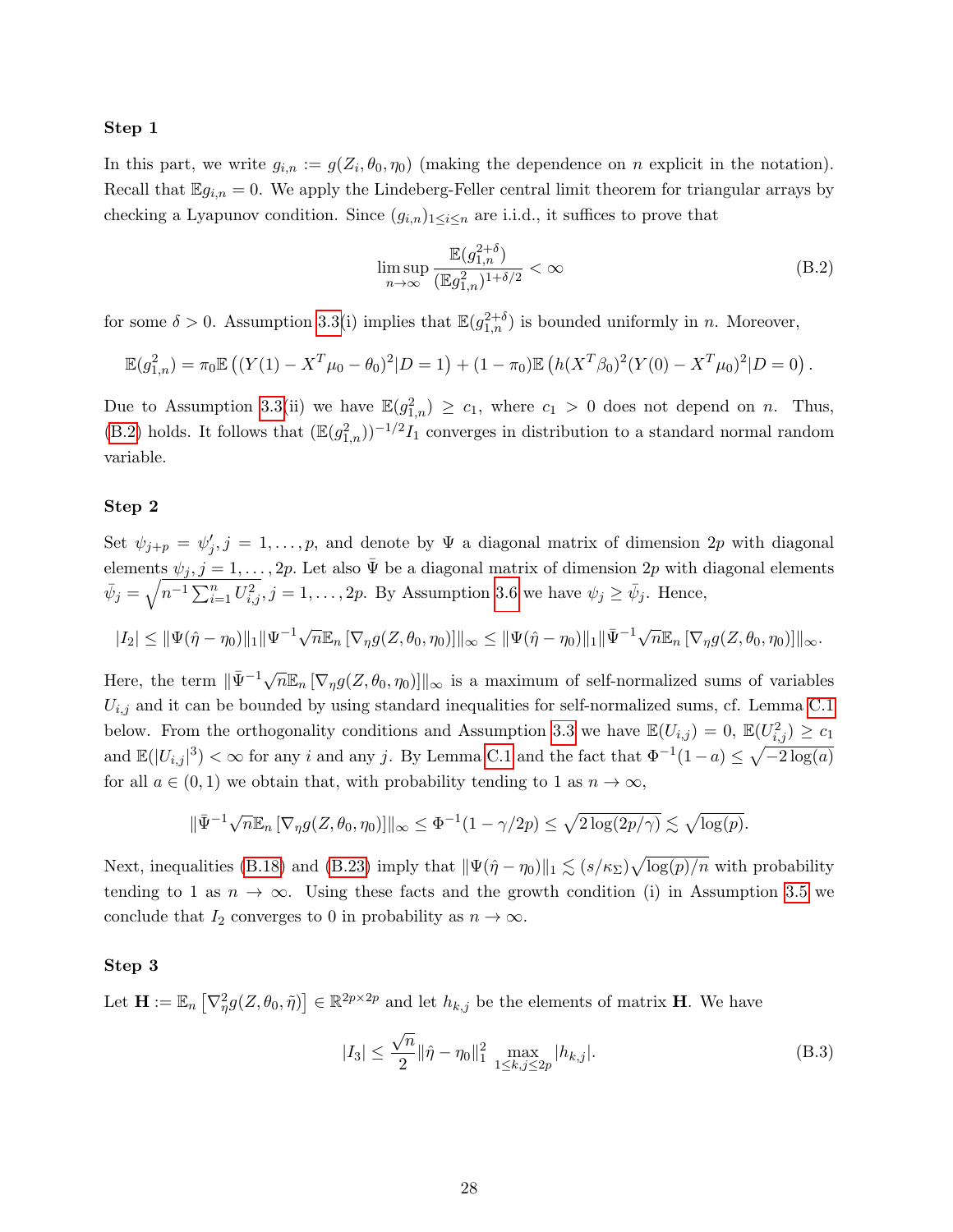#### Step 1

In this part, we write  $g_{i,n} := g(Z_i, \theta_0, \eta_0)$  (making the dependence on n explicit in the notation). Recall that  $\mathbb{E} g_{i,n} = 0$ . We apply the Lindeberg-Feller central limit theorem for triangular arrays by checking a Lyapunov condition. Since  $(g_{i,n})_{1\leq i\leq n}$  are i.i.d., it suffices to prove that

<span id="page-27-0"></span>
$$
\limsup_{n \to \infty} \frac{\mathbb{E}(g_{1,n}^{2+\delta})}{(\mathbb{E}g_{1,n}^2)^{1+\delta/2}} < \infty \tag{B.2}
$$

for some  $\delta > 0$ . Assumption [3.3\(](#page-11-0)i) implies that  $\mathbb{E}(g_{1,n}^{2+\delta})$  is bounded uniformly in n. Moreover,

$$
\mathbb{E}(g_{1,n}^2) = \pi_0 \mathbb{E} \left( (Y(1) - X^T \mu_0 - \theta_0)^2 | D = 1 \right) + (1 - \pi_0) \mathbb{E} \left( h(X^T \beta_0)^2 (Y(0) - X^T \mu_0)^2 | D = 0 \right).
$$

Due to Assumption [3.3\(](#page-11-0)ii) we have  $\mathbb{E}(g_{1,n}^2) \ge c_1$ , where  $c_1 > 0$  does not depend on n. Thus, [\(B.2\)](#page-27-0) holds. It follows that  $(\mathbb{E}(g_{1,n}^2))^{-1/2}I_1$  converges in distribution to a standard normal random variable.

#### Step 2

Set  $\psi_{j+p} = \psi'_j, j = 1, \ldots, p$ , and denote by  $\Psi$  a diagonal matrix of dimension 2p with diagonal elements  $\psi_j, j = 1, \ldots, 2p$ . Let also  $\bar{\Psi}$  be a diagonal matrix of dimension  $2p$  with diagonal elements  $\bar{\psi}_j = \sqrt{n^{-1} \sum_{i=1}^n U_{i,j}^2}$ ,  $j = 1, \ldots, 2p$ . By Assumption [3.6](#page-12-0) we have  $\psi_j \ge \bar{\psi}_j$ . Hence,

$$
|I_2| \leq \|\Psi(\hat{\eta} - \eta_0)\|_1 \|\Psi^{-1} \sqrt{n} \mathbb{E}_n \left[\nabla_\eta g(Z, \theta_0, \eta_0)\right]\|_\infty \leq \|\Psi(\hat{\eta} - \eta_0)\|_1 \|\bar{\Psi}^{-1} \sqrt{n} \mathbb{E}_n \left[\nabla_\eta g(Z, \theta_0, \eta_0)\right]\|_\infty.
$$

Here, the term  $\|\bar{\Psi}^{-1}\sqrt{n}\mathbb{E}_n\left[\nabla_\eta g(Z, \theta_0, \eta_0)\right]\|_\infty$  is a maximum of self-normalized sums of variables  $U_{i,j}$  and it can be bounded by using standard inequalities for self-normalized sums, cf. Lemma [C.1](#page-36-0) below. From the orthogonality conditions and Assumption [3.3](#page-11-0) we have  $\mathbb{E}(U_{i,j}) = 0$ ,  $\mathbb{E}(U_{i,j}^2) \ge c_1$ and  $\mathbb{E}(|U_{i,j}|^3) < \infty$  for any i and any j. By Lemma [C.1](#page-36-0) and the fact that  $\Phi^{-1}(1-a) \leq \sqrt{-2\log(a)}$ for all  $a \in (0,1)$  we obtain that, with probability tending to 1 as  $n \to \infty$ ,

$$
\|\bar{\Psi}^{-1}\sqrt{n}\mathbb{E}_n\left[\nabla_\eta g(Z,\theta_0,\eta_0)\right]\|_\infty \leq \Phi^{-1}(1-\gamma/2p) \leq \sqrt{2\log(2p/\gamma)} \lesssim \sqrt{\log(p)}.
$$

Next, inequalities [\(B.18\)](#page-32-0) and [\(B.23\)](#page-33-0) imply that  $\|\Psi(\hat{\eta} - \eta_0)\|_1 \lesssim (s/\kappa_{\Sigma})\sqrt{\log(p)/n}$  with probability tending to 1 as  $n \to \infty$ . Using these facts and the growth condition (i) in Assumption [3.5](#page-12-1) we conclude that  $I_2$  converges to 0 in probability as  $n \to \infty$ .

#### Step 3

Let  $\mathbf{H} := \mathbb{E}_n \left[ \nabla^2_{\eta} g(Z, \theta_0, \tilde{\eta}) \right] \in \mathbb{R}^{2p \times 2p}$  and let  $h_{k,j}$  be the elements of matrix **H**. We have

<span id="page-27-1"></span>
$$
|I_3| \le \frac{\sqrt{n}}{2} \|\hat{\eta} - \eta_0\|_{1}^2 \max_{1 \le k, j \le 2p} |h_{k,j}|.
$$
 (B.3)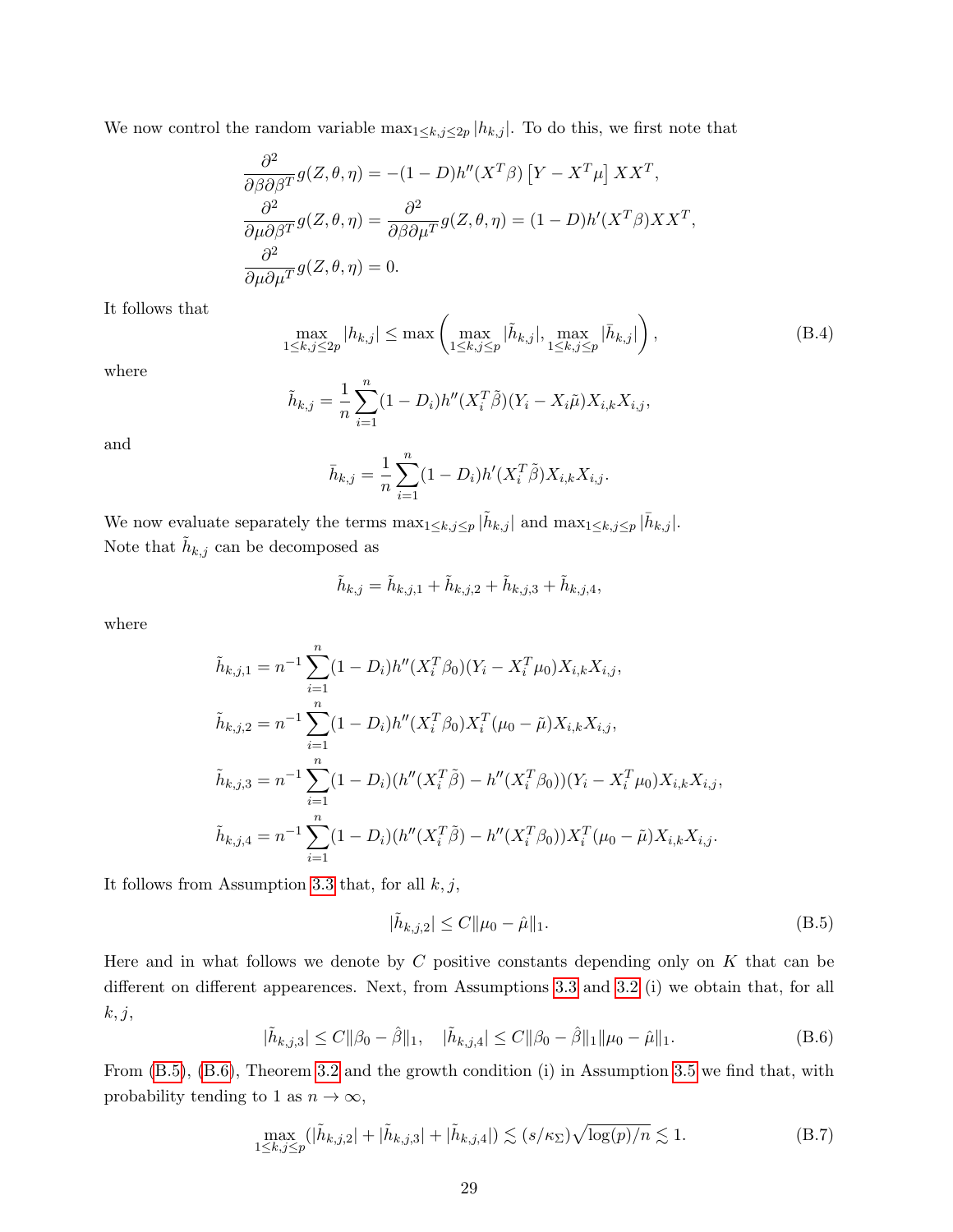We now control the random variable  $\max_{1 \leq k, j \leq 2p} |h_{k,j}|$ . To do this, we first note that

$$
\frac{\partial^2}{\partial \beta \partial \beta^T} g(Z, \theta, \eta) = -(1 - D)h''(X^T \beta) [Y - X^T \mu] X X^T,
$$
  

$$
\frac{\partial^2}{\partial \mu \partial \beta^T} g(Z, \theta, \eta) = \frac{\partial^2}{\partial \beta \partial \mu^T} g(Z, \theta, \eta) = (1 - D)h'(X^T \beta) X X^T,
$$
  

$$
\frac{\partial^2}{\partial \mu \partial \mu^T} g(Z, \theta, \eta) = 0.
$$

It follows that

$$
\max_{1 \le k,j \le 2p} |h_{k,j}| \le \max\left(\max_{1 \le k,j \le p} |\tilde{h}_{k,j}|, \max_{1 \le k,j \le p} |\bar{h}_{k,j}|\right),\tag{B.4}
$$

where

$$
\tilde{h}_{k,j} = \frac{1}{n} \sum_{i=1}^{n} (1 - D_i) h''(X_i^T \tilde{\beta})(Y_i - X_i \tilde{\mu}) X_{i,k} X_{i,j},
$$

and

$$
\bar{h}_{k,j} = \frac{1}{n} \sum_{i=1}^{n} (1 - D_i) h'(X_i^T \tilde{\beta}) X_{i,k} X_{i,j}.
$$

We now evaluate separately the terms  $\max_{1 \leq k, j \leq p} |\tilde{h}_{k,j}|$  and  $\max_{1 \leq k, j \leq p} |\bar{h}_{k,j}|$ . Note that  $\tilde{h}_{k,j}$  can be decomposed as

$$
\tilde{h}_{k,j} = \tilde{h}_{k,j,1} + \tilde{h}_{k,j,2} + \tilde{h}_{k,j,3} + \tilde{h}_{k,j,4},
$$

where

$$
\tilde{h}_{k,j,1} = n^{-1} \sum_{i=1}^{n} (1 - D_i) h''(X_i^T \beta_0)(Y_i - X_i^T \mu_0) X_{i,k} X_{i,j},
$$
\n
$$
\tilde{h}_{k,j,2} = n^{-1} \sum_{i=1}^{n} (1 - D_i) h''(X_i^T \beta_0) X_i^T (\mu_0 - \tilde{\mu}) X_{i,k} X_{i,j},
$$
\n
$$
\tilde{h}_{k,j,3} = n^{-1} \sum_{i=1}^{n} (1 - D_i) (h''(X_i^T \tilde{\beta}) - h''(X_i^T \beta_0))(Y_i - X_i^T \mu_0) X_{i,k} X_{i,j},
$$
\n
$$
\tilde{h}_{k,j,4} = n^{-1} \sum_{i=1}^{n} (1 - D_i) (h''(X_i^T \tilde{\beta}) - h''(X_i^T \beta_0)) X_i^T (\mu_0 - \tilde{\mu}) X_{i,k} X_{i,j}.
$$

It follows from Assumption [3.3](#page-11-0) that, for all  $k, j$ ,

<span id="page-28-0"></span>
$$
|\tilde{h}_{k,j,2}| \le C \|\mu_0 - \hat{\mu}\|_1. \tag{B.5}
$$

Here and in what follows we denote by  $C$  positive constants depending only on  $K$  that can be different on different appearences. Next, from Assumptions [3.3](#page-11-0) and [3.2](#page-11-2) (i) we obtain that, for all  $k, j,$ 

<span id="page-28-1"></span>
$$
|\tilde{h}_{k,j,3}| \le C \|\beta_0 - \hat{\beta}\|_1, \quad |\tilde{h}_{k,j,4}| \le C \|\beta_0 - \hat{\beta}\|_1 \|\mu_0 - \hat{\mu}\|_1.
$$
 (B.6)

From [\(B.5\)](#page-28-0), [\(B.6\)](#page-28-1), Theorem [3.2](#page-13-0) and the growth condition (i) in Assumption [3.5](#page-12-1) we find that, with probability tending to 1 as  $n \to \infty$ ,

<span id="page-28-2"></span>
$$
\max_{1 \le k, j \le p} (|\tilde{h}_{k,j,2}| + |\tilde{h}_{k,j,3}| + |\tilde{h}_{k,j,4}|) \lesssim (s/\kappa_{\Sigma})\sqrt{\log(p)/n} \lesssim 1.
$$
 (B.7)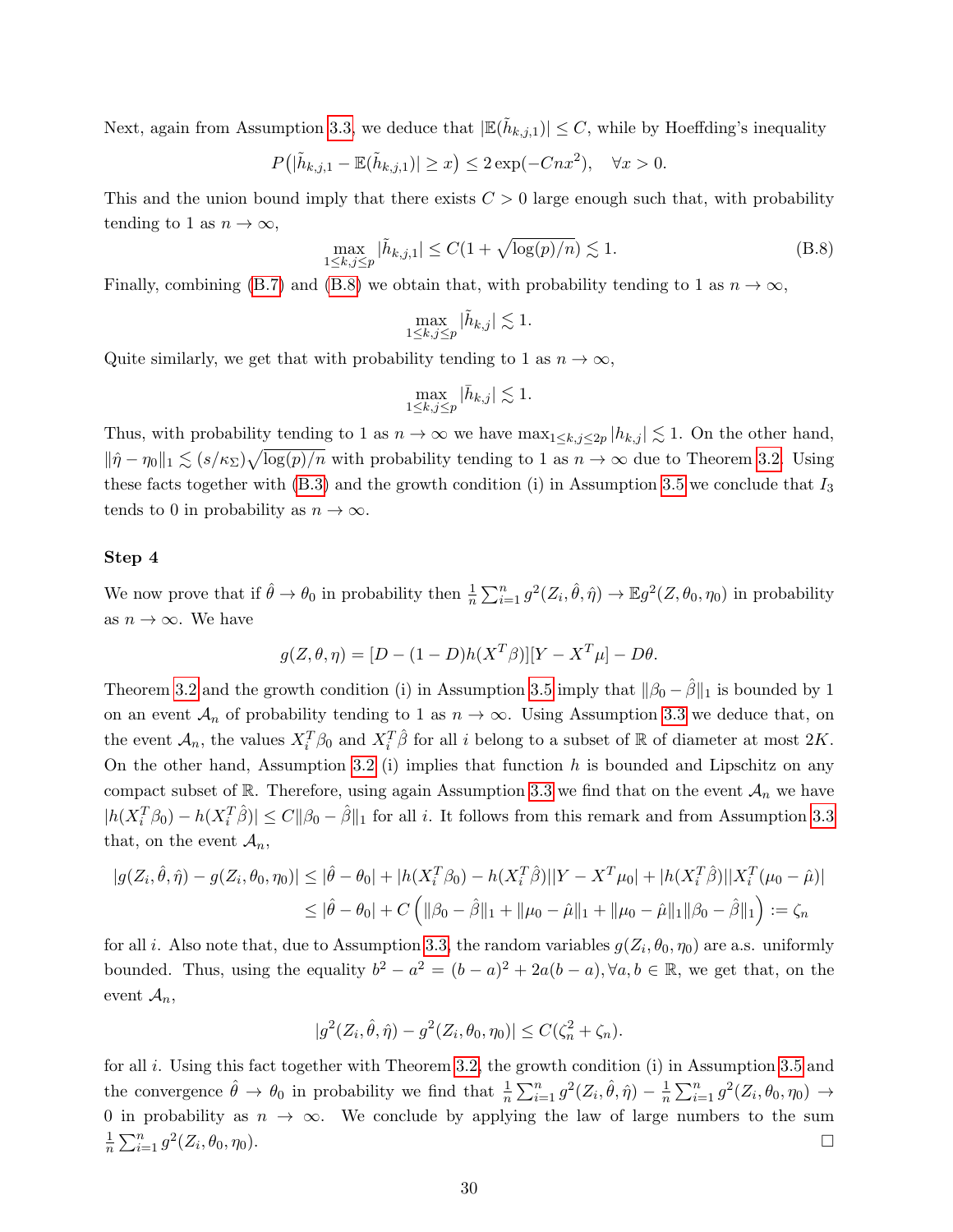Next, again from Assumption [3.3,](#page-11-0) we deduce that  $|\mathbb{E}(\tilde{h}_{k,j,1})| \leq C$ , while by Hoeffding's inequality

$$
P(|\tilde{h}_{k,j,1} - \mathbb{E}(\tilde{h}_{k,j,1})| \ge x) \le 2\exp(-Cnx^2), \quad \forall x > 0.
$$

This and the union bound imply that there exists  $C > 0$  large enough such that, with probability tending to 1 as  $n \to \infty$ ,

<span id="page-29-0"></span>
$$
\max_{1 \le k,j \le p} |\tilde{h}_{k,j,1}| \le C(1 + \sqrt{\log(p)/n}) \lesssim 1.
$$
\n(B.8)

Finally, combining [\(B.7\)](#page-28-2) and [\(B.8\)](#page-29-0) we obtain that, with probability tending to 1 as  $n \to \infty$ ,

$$
\max_{1 \leq k, j \leq p} |\tilde{h}_{k,j}| \lesssim 1.
$$

Quite similarly, we get that with probability tending to 1 as  $n \to \infty$ ,

$$
\max_{1 \le k, j \le p} |\bar{h}_{k,j}| \lesssim 1.
$$

Thus, with probability tending to 1 as  $n \to \infty$  we have  $\max_{1 \leq k,j \leq 2p} |h_{k,j}| \lesssim 1$ . On the other hand,  $\|\hat{\eta}-\eta_0\|_1 \lesssim (s/\kappa_{\Sigma})\sqrt{\log(p)/n}$  with probability tending to 1 as  $n \to \infty$  due to Theorem [3.2.](#page-13-0) Using these facts together with  $(B.3)$  and the growth condition (i) in Assumption [3.5](#page-12-1) we conclude that  $I_3$ tends to 0 in probability as  $n \to \infty$ .

#### Step 4

We now prove that if  $\hat{\theta} \to \theta_0$  in probability then  $\frac{1}{n} \sum_{i=1}^n g^2(Z_i, \hat{\theta}, \hat{\eta}) \to \mathbb{E} g^2(Z, \theta_0, \eta_0)$  in probability as  $n \to \infty$ . We have

$$
g(Z, \theta, \eta) = [D - (1 - D)h(X^T \beta)][Y - X^T \mu] - D\theta.
$$

Theorem [3.2](#page-13-0) and the growth condition (i) in Assumption [3.5](#page-12-1) imply that  $\|\beta_0 - \hat{\beta}\|_1$  is bounded by 1 on an event  $\mathcal{A}_n$  of probability tending to 1 as  $n \to \infty$ . Using Assumption [3.3](#page-11-0) we deduce that, on the event  $\mathcal{A}_n$ , the values  $X_i^T \beta_0$  and  $X_i^T \hat{\beta}$  for all i belong to a subset of R of diameter at most  $2K$ . On the other hand, Assumption [3.2](#page-11-2) (i) implies that function  $h$  is bounded and Lipschitz on any compact subset of R. Therefore, using again Assumption [3.3](#page-11-0) we find that on the event  $\mathcal{A}_n$  we have  $|h(X_i^T \beta_0) - h(X_i^T \hat{\beta})| \leq C ||\beta_0 - \hat{\beta}||_1$  for all i. It follows from this remark and from Assumption [3.3](#page-11-0) that, on the event  $\mathcal{A}_n$ ,

$$
|g(Z_i, \hat{\theta}, \hat{\eta}) - g(Z_i, \theta_0, \eta_0)| \leq |\hat{\theta} - \theta_0| + |h(X_i^T \beta_0) - h(X_i^T \hat{\beta})||Y - X^T \mu_0| + |h(X_i^T \hat{\beta})||X_i^T(\mu_0 - \hat{\mu})|
$$
  

$$
\leq |\hat{\theta} - \theta_0| + C \left( \|\beta_0 - \hat{\beta}\|_1 + \|\mu_0 - \hat{\mu}\|_1 + \|\mu_0 - \hat{\mu}\|_1 \|\beta_0 - \hat{\beta}\|_1 \right) := \zeta_n
$$

for all *i*. Also note that, due to Assumption [3.3,](#page-11-0) the random variables  $g(Z_i, \theta_0, \eta_0)$  are a.s. uniformly bounded. Thus, using the equality  $b^2 - a^2 = (b - a)^2 + 2a(b - a)$ ,  $\forall a, b \in \mathbb{R}$ , we get that, on the event  $\mathcal{A}_n$ ,

$$
|g^2(Z_i, \hat{\theta}, \hat{\eta}) - g^2(Z_i, \theta_0, \eta_0)| \le C(\zeta_n^2 + \zeta_n).
$$

for all i. Using this fact together with Theorem [3.2,](#page-13-0) the growth condition (i) in Assumption [3.5](#page-12-1) and the convergence  $\hat{\theta} \to \theta_0$  in probability we find that  $\frac{1}{n} \sum_{i=1}^n g^2(Z_i, \hat{\theta}, \hat{\eta}) - \frac{1}{n}$  $\frac{1}{n}\sum_{i=1}^n g^2(Z_i,\theta_0,\eta_0) \rightarrow$ 0 in probability as  $n \to \infty$ . We conclude by applying the law of large numbers to the sum 1  $\frac{1}{n} \sum_{i=1}^{n} g^{2}(Z_{i})$  $, \theta_0, \eta_0$ ).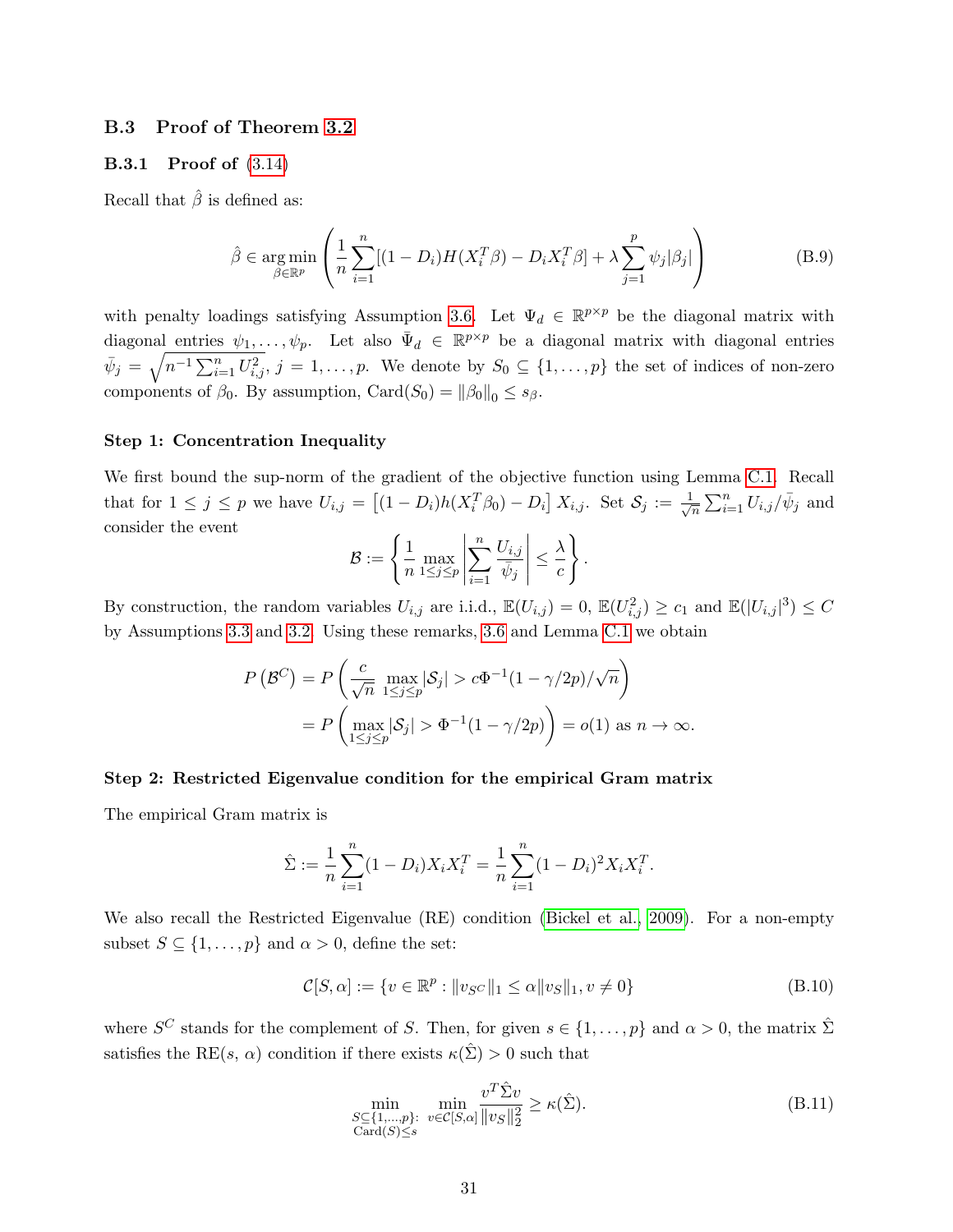#### <span id="page-30-0"></span>B.3 Proof of Theorem [3.2](#page-13-0)

#### B.3.1 Proof of [\(3.14\)](#page-13-1)

Recall that  $\hat{\beta}$  is defined as:

$$
\hat{\beta} \in \underset{\beta \in \mathbb{R}^p}{\arg \min} \left( \frac{1}{n} \sum_{i=1}^n [(1 - D_i)H(X_i^T \beta) - D_i X_i^T \beta] + \lambda \sum_{j=1}^p \psi_j |\beta_j| \right) \tag{B.9}
$$

with penalty loadings satisfying Assumption [3](#page-12-0).6. Let  $\Psi_d \in \mathbb{R}^{p \times p}$  be the diagonal matrix with diagonal entries  $\psi_1,\ldots,\psi_p$ . Let also  $\bar{\Psi}_d \in \mathbb{R}^{p \times p}$  be a diagonal matrix with diagonal entries  $\bar{\psi}_j = \sqrt{n^{-1} \sum_{i=1}^n U_{i,j}^2}$ ,  $j = 1, \ldots, p$ . We denote by  $S_0 \subseteq \{1, \ldots, p\}$  the set of indices of non-zero components of  $\beta_0$ . By assumption, Card $(S_0) = ||\beta_0||_0 \leq s_{\beta}$ .

#### Step 1: Concentration Inequality

We first bound the sup-norm of the gradient of the objective function using Lemma [C.1.](#page-36-0) Recall that for  $1 \leq j \leq p$  we have  $U_{i,j} = [(1-D_i)h(X_i^T \beta_0) - D_i]X_{i,j}$ . Set  $\mathcal{S}_j := \frac{1}{\sqrt{2}}$  $\frac{1}{\overline{n}}\sum_{i=1}^{n}U_{i,j}/\bar{\psi}_j$  and consider the event

$$
\mathcal{B} := \left\{ \frac{1}{n} \max_{1 \leq j \leq p} \left| \sum_{i=1}^{n} \frac{U_{i,j}}{\overline{\psi}_j} \right| \leq \frac{\lambda}{c} \right\}.
$$

By construction, the random variables  $U_{i,j}$  are i.i.d.,  $\mathbb{E}(U_{i,j}) = 0$ ,  $\mathbb{E}(U_{i,j}^2) \ge c_1$  and  $\mathbb{E}(|U_{i,j}|^3) \le C_1$ by Assumptions [3.3](#page-11-0) and [3.2.](#page-11-2) Using these remarks, [3.6](#page-12-0) and Lemma [C.1](#page-36-0) we obtain

$$
P(\mathcal{B}^C) = P\left(\frac{c}{\sqrt{n}} \max_{1 \le j \le p} |\mathcal{S}_j| > c\Phi^{-1}(1 - \gamma/2p)/\sqrt{n}\right)
$$
  
= 
$$
P\left(\max_{1 \le j \le p} |\mathcal{S}_j| > \Phi^{-1}(1 - \gamma/2p)\right) = o(1) \text{ as } n \to \infty.
$$

#### Step 2: Restricted Eigenvalue condition for the empirical Gram matrix

The empirical Gram matrix is

$$
\hat{\Sigma} := \frac{1}{n} \sum_{i=1}^{n} (1 - D_i) X_i X_i^T = \frac{1}{n} \sum_{i=1}^{n} (1 - D_i)^2 X_i X_i^T.
$$

We also recall the Restricted Eigenvalue (RE) condition [\(Bickel et al., 2009\)](#page-22-9). For a non-empty subset  $S \subseteq \{1, \ldots, p\}$  and  $\alpha > 0$ , define the set:

$$
C[S, \alpha] := \{ v \in \mathbb{R}^p : ||v_{S^C}||_1 \le \alpha ||v_S||_1, v \ne 0 \}
$$
(B.10)

where  $S^C$  stands for the complement of S. Then, for given  $s \in \{1, \ldots, p\}$  and  $\alpha > 0$ , the matrix  $\hat{\Sigma}$ satisfies the RE(s,  $\alpha$ ) condition if there exists  $\kappa(\hat{\Sigma}) > 0$  such that

<span id="page-30-1"></span>
$$
\min_{\substack{S \subseteq \{1,\ldots,p\}: \\ \text{Card}(S) \le s}} \min_{v \in \mathcal{C}[S,\alpha]} \frac{v^T \hat{\Sigma} v}{\|v_S\|_2^2} \ge \kappa(\hat{\Sigma}).\tag{B.11}
$$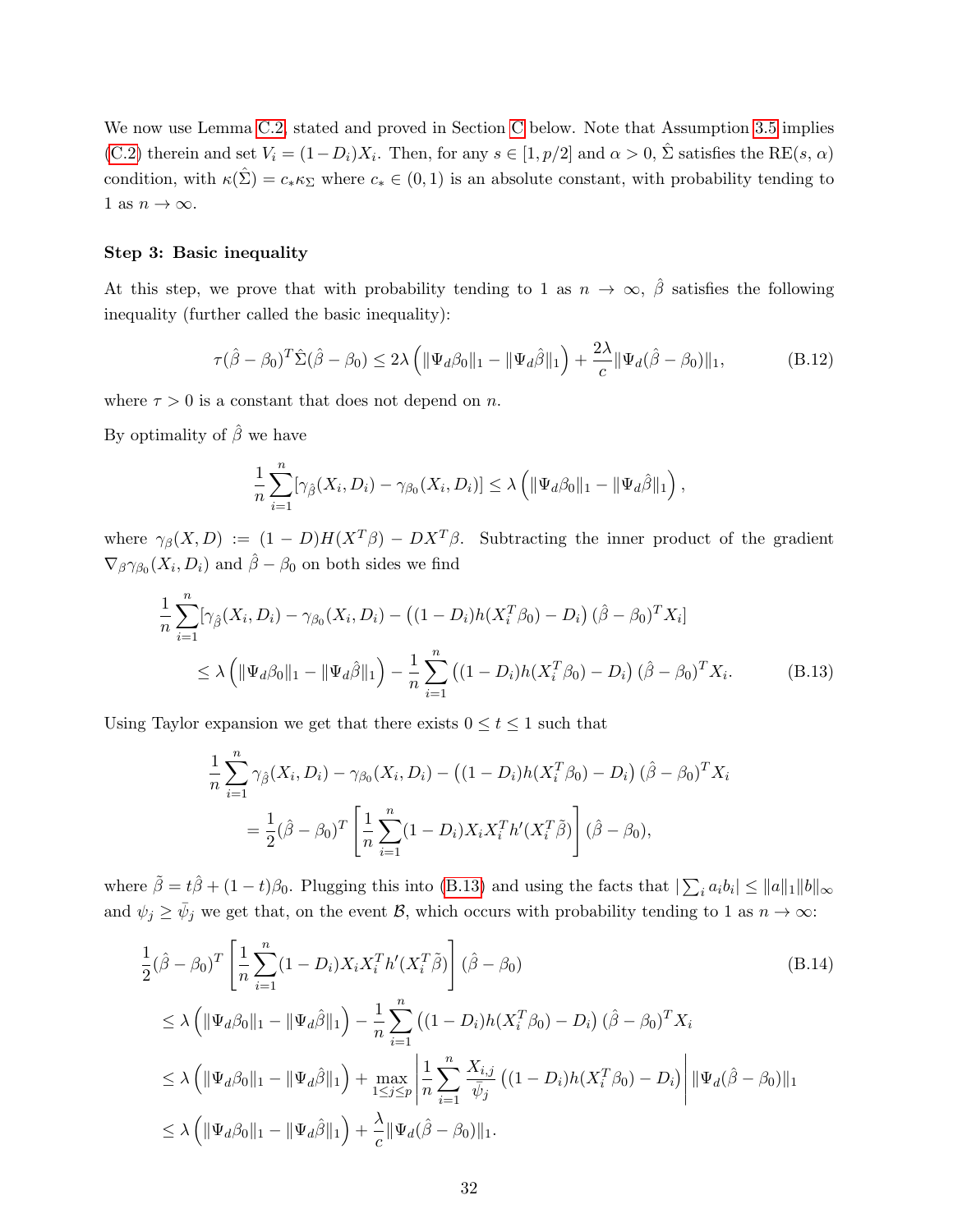We now use Lemma [C.2,](#page-37-1) stated and proved in Section [C](#page-36-1) below. Note that Assumption [3.5](#page-12-1) implies [\(C.2\)](#page-37-0) therein and set  $V_i = (1 - D_i)X_i$ . Then, for any  $s \in [1, p/2]$  and  $\alpha > 0$ ,  $\hat{\Sigma}$  satisfies the RE(s,  $\alpha$ ) condition, with  $\kappa(\hat{\Sigma}) = c_* \kappa_{\Sigma}$  where  $c_* \in (0,1)$  is an absolute constant, with probability tending to 1 as  $n \to \infty$ .

#### Step 3: Basic inequality

At this step, we prove that with probability tending to 1 as  $n \to \infty$ ,  $\hat{\beta}$  satisfies the following inequality (further called the basic inequality):

<span id="page-31-2"></span>
$$
\tau(\hat{\beta} - \beta_0)^T \hat{\Sigma}(\hat{\beta} - \beta_0) \le 2\lambda \left( \|\Psi_d \beta_0\|_1 - \|\Psi_d \hat{\beta}\|_1 \right) + \frac{2\lambda}{c} \|\Psi_d(\hat{\beta} - \beta_0)\|_1, \tag{B.12}
$$

where  $\tau > 0$  is a constant that does not depend on n.

By optimality of  $\hat{\beta}$  we have

<span id="page-31-0"></span>
$$
\frac{1}{n}\sum_{i=1}^n[\gamma_{\hat{\beta}}(X_i,D_i)-\gamma_{\beta_0}(X_i,D_i)] \leq \lambda \left(\|\Psi_d\beta_0\|_1-\|\Psi_d\hat{\beta}\|_1\right),
$$

where  $\gamma_{\beta}(X, D) := (1 - D)H(X^T\beta) - DX^T\beta$ . Subtracting the inner product of the gradient  $\nabla_\beta \gamma_{\beta_0}(X_i, D_i)$  and  $\hat{\beta} - \beta_0$  on both sides we find

$$
\frac{1}{n} \sum_{i=1}^{n} [\gamma_{\hat{\beta}}(X_i, D_i) - \gamma_{\beta_0}(X_i, D_i) - ((1 - D_i)h(X_i^T \beta_0) - D_i) (\hat{\beta} - \beta_0)^T X_i]
$$
\n
$$
\leq \lambda \left( \|\Psi_d \beta_0\|_1 - \|\Psi_d \hat{\beta}\|_1 \right) - \frac{1}{n} \sum_{i=1}^{n} ((1 - D_i)h(X_i^T \beta_0) - D_i) (\hat{\beta} - \beta_0)^T X_i.
$$
\n(B.13)

Using Taylor expansion we get that there exists  $0 \le t \le 1$  such that

<span id="page-31-1"></span>
$$
\frac{1}{n} \sum_{i=1}^{n} \gamma_{\hat{\beta}}(X_i, D_i) - \gamma_{\beta_0}(X_i, D_i) - ((1 - D_i)h(X_i^T \beta_0) - D_i) (\hat{\beta} - \beta_0)^T X_i
$$

$$
= \frac{1}{2} (\hat{\beta} - \beta_0)^T \left[ \frac{1}{n} \sum_{i=1}^{n} (1 - D_i) X_i X_i^T h'(X_i^T \tilde{\beta}) \right] (\hat{\beta} - \beta_0),
$$

where  $\tilde{\beta} = t\hat{\beta} + (1-t)\beta_0$ . Plugging this into [\(B.13\)](#page-31-0) and using the facts that  $|\sum_i a_i b_i| \le ||a||_1 ||b||_{\infty}$ and  $\psi_j \ge \bar{\psi}_j$  we get that, on the event  $\mathcal{B}$ , which occurs with probability tending to 1 as  $n \to \infty$ :

$$
\frac{1}{2}(\hat{\beta} - \beta_0)^T \left[ \frac{1}{n} \sum_{i=1}^n (1 - D_i) X_i X_i^T h'(X_i^T \tilde{\beta}) \right] (\hat{\beta} - \beta_0)
$$
\n
$$
\leq \lambda \left( \|\Psi_d \beta_0\|_1 - \|\Psi_d \hat{\beta}\|_1 \right) - \frac{1}{n} \sum_{i=1}^n \left( (1 - D_i) h(X_i^T \beta_0) - D_i \right) (\hat{\beta} - \beta_0)^T X_i
$$
\n
$$
\leq \lambda \left( \|\Psi_d \beta_0\|_1 - \|\Psi_d \hat{\beta}\|_1 \right) + \max_{1 \leq j \leq p} \left| \frac{1}{n} \sum_{i=1}^n \frac{X_{i,j}}{\bar{\psi}_j} \left( (1 - D_i) h(X_i^T \beta_0) - D_i \right) \right| \|\Psi_d(\hat{\beta} - \beta_0)\|_1
$$
\n
$$
\leq \lambda \left( \|\Psi_d \beta_0\|_1 - \|\Psi_d \hat{\beta}\|_1 \right) + \frac{\lambda}{c} \|\Psi_d(\hat{\beta} - \beta_0)\|_1.
$$
\n(B.14)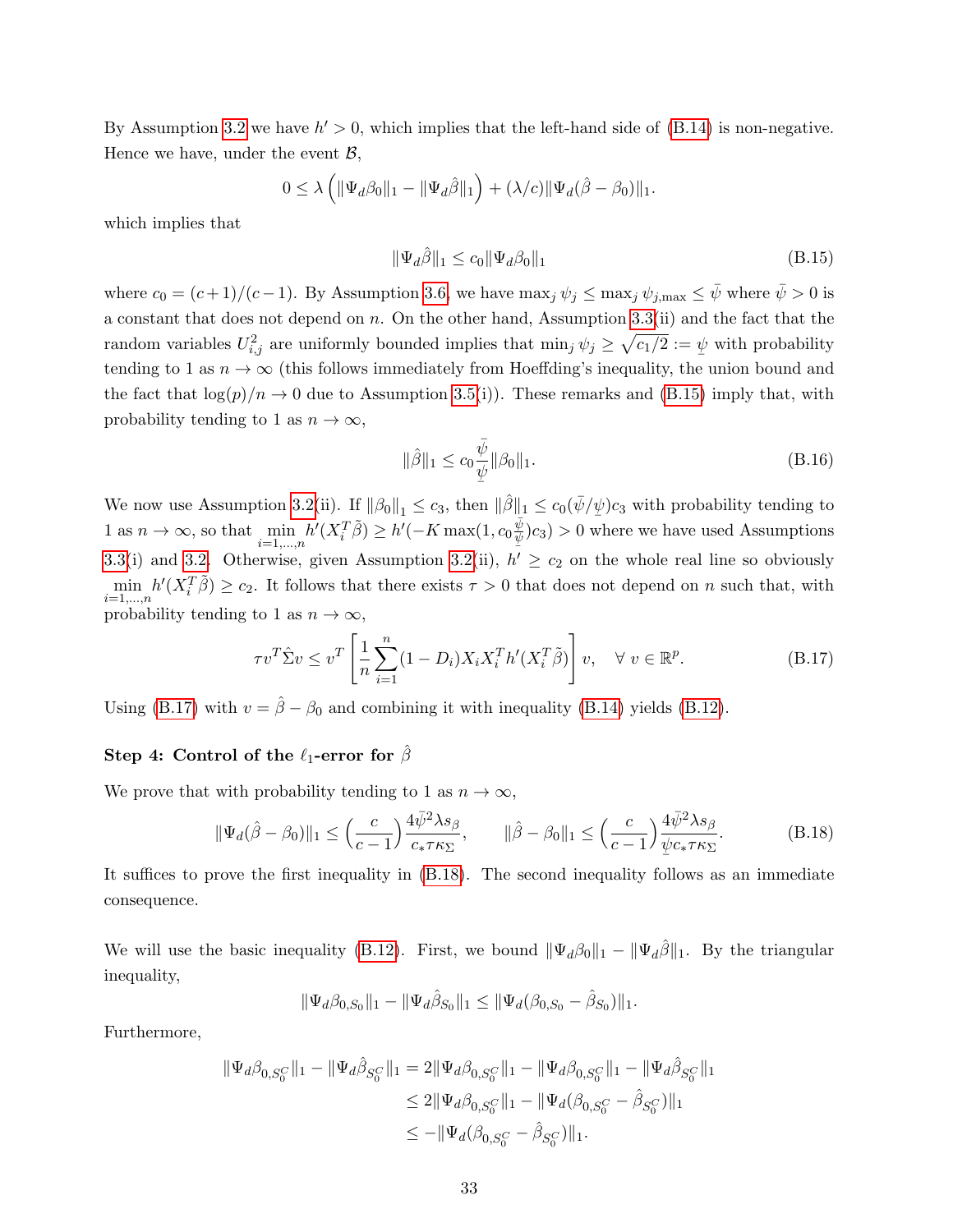By Assumption [3.2](#page-11-2) we have  $h' > 0$ , which implies that the left-hand side of [\(B.14\)](#page-31-1) is non-negative. Hence we have, under the event  $\mathcal{B}$ ,

$$
0 \leq \lambda \left( \|\Psi_d \beta_0\|_1 - \|\Psi_d \hat{\beta}\|_1 \right) + (\lambda/c) \|\Psi_d(\hat{\beta} - \beta_0)\|_1.
$$

which implies that

<span id="page-32-1"></span>
$$
\|\Psi_d \hat{\beta}\|_1 \le c_0 \|\Psi_d \beta_0\|_1 \tag{B.15}
$$

where  $c_0 = (c+1)/(c-1)$ . By Assumption [3.6,](#page-12-0) we have  $\max_j \psi_j \leq \max_j \psi_{j,\max} \leq \bar{\psi}$  where  $\bar{\psi} > 0$  is a constant that does not depend on n. On the other hand, Assumption [3.3\(](#page-11-0)ii) and the fact that the random variables  $U_{i,j}^2$  are uniformly bounded implies that  $\min_j \psi_j \geq \sqrt{c_1/2} := \psi$  with probability tending to 1 as  $n \to \infty$  (this follows immediately from Hoeffding's inequality, the union bound and the fact that  $\log(p)/n \to 0$  due to Assumption [3.5\(](#page-12-1)i)). These remarks and [\(B.15\)](#page-32-1) imply that, with probability tending to 1 as  $n \to \infty$ ,

<span id="page-32-2"></span>
$$
\|\hat{\beta}\|_1 \le c_0 \frac{\bar{\psi}}{\underline{\psi}} \|\beta_0\|_1.
$$
 (B.16)

We now use Assumption [3.2\(](#page-11-2)ii). If  $\|\beta_0\|_1 \le c_3$ , then  $\|\hat{\beta}\|_1 \le c_0(\bar{\psi}/\psi)c_3$  with probability tending to 1 as  $n \to \infty$ , so that  $\min_{i=1,\dots,n} h'(X_i^T \tilde{\beta}) \ge h'(-K \max(1, c_0 \frac{\tilde{\psi}}{\psi})c_3) > 0$  w  $(\frac{\psi}{\psi})c_3$  > 0 where we have used Assumptions [3.3\(](#page-11-0)i) and [3.2.](#page-11-2) Otherwise, given Assumption [3.2\(](#page-11-2)ii),  $h' \ge c_2$  on the whole real line so obviously  $\min_{i=1,\dots,n} h'(X_i^T\tilde{\beta}) \geq c_2$ . It follows that there exists  $\tau > 0$  that does not depend on n such that, with probability tending to 1 as  $n \to \infty$ ,

$$
\tau v^T \hat{\Sigma} v \le v^T \left[ \frac{1}{n} \sum_{i=1}^n (1 - D_i) X_i X_i^T h'(X_i^T \tilde{\beta}) \right] v, \quad \forall \ v \in \mathbb{R}^p.
$$
 (B.17)

Using [\(B.17\)](#page-32-2) with  $v = \hat{\beta} - \beta_0$  and combining it with inequality [\(B.14\)](#page-31-1) yields [\(B.12\)](#page-31-2).

#### Step 4: Control of the  $\ell_1$ -error for  $\hat{\beta}$

We prove that with probability tending to 1 as  $n \to \infty$ ,

<span id="page-32-0"></span>
$$
\|\Psi_d(\hat{\beta}-\beta_0)\|_1 \le \left(\frac{c}{c-1}\right) \frac{4\bar{\psi}^2 \lambda s_\beta}{c_* \tau \kappa_\Sigma}, \qquad \|\hat{\beta}-\beta_0\|_1 \le \left(\frac{c}{c-1}\right) \frac{4\bar{\psi}^2 \lambda s_\beta}{\psi c_* \tau \kappa_\Sigma}.
$$
 (B.18)

It suffices to prove the first inequality in [\(B.18\)](#page-32-0). The second inequality follows as an immediate consequence.

We will use the basic inequality [\(B.12\)](#page-31-2). First, we bound  $\|\Psi_d\beta_0\|_1 - \|\Psi_d\hat{\beta}\|_1$ . By the triangular inequality,

$$
\|\Psi_d\beta_{0,S_0}\|_1 - \|\Psi_d\hat{\beta}_{S_0}\|_1 \le \|\Psi_d(\beta_{0,S_0} - \hat{\beta}_{S_0})\|_1.
$$

Furthermore,

$$
\begin{aligned} \|\Psi_d\beta_{0,S_0^C}\|_1 - \|\Psi_d\hat{\beta}_{S_0^C}\|_1 &= 2\|\Psi_d\beta_{0,S_0^C}\|_1 - \|\Psi_d\beta_{0,S_0^C}\|_1 - \|\Psi_d\hat{\beta}_{S_0^C}\|_1 \\ &\le 2\|\Psi_d\beta_{0,S_0^C}\|_1 - \|\Psi_d(\beta_{0,S_0^C} - \hat{\beta}_{S_0^C})\|_1 \\ &\le -\|\Psi_d(\beta_{0,S_0^C} - \hat{\beta}_{S_0^C})\|_1. \end{aligned}
$$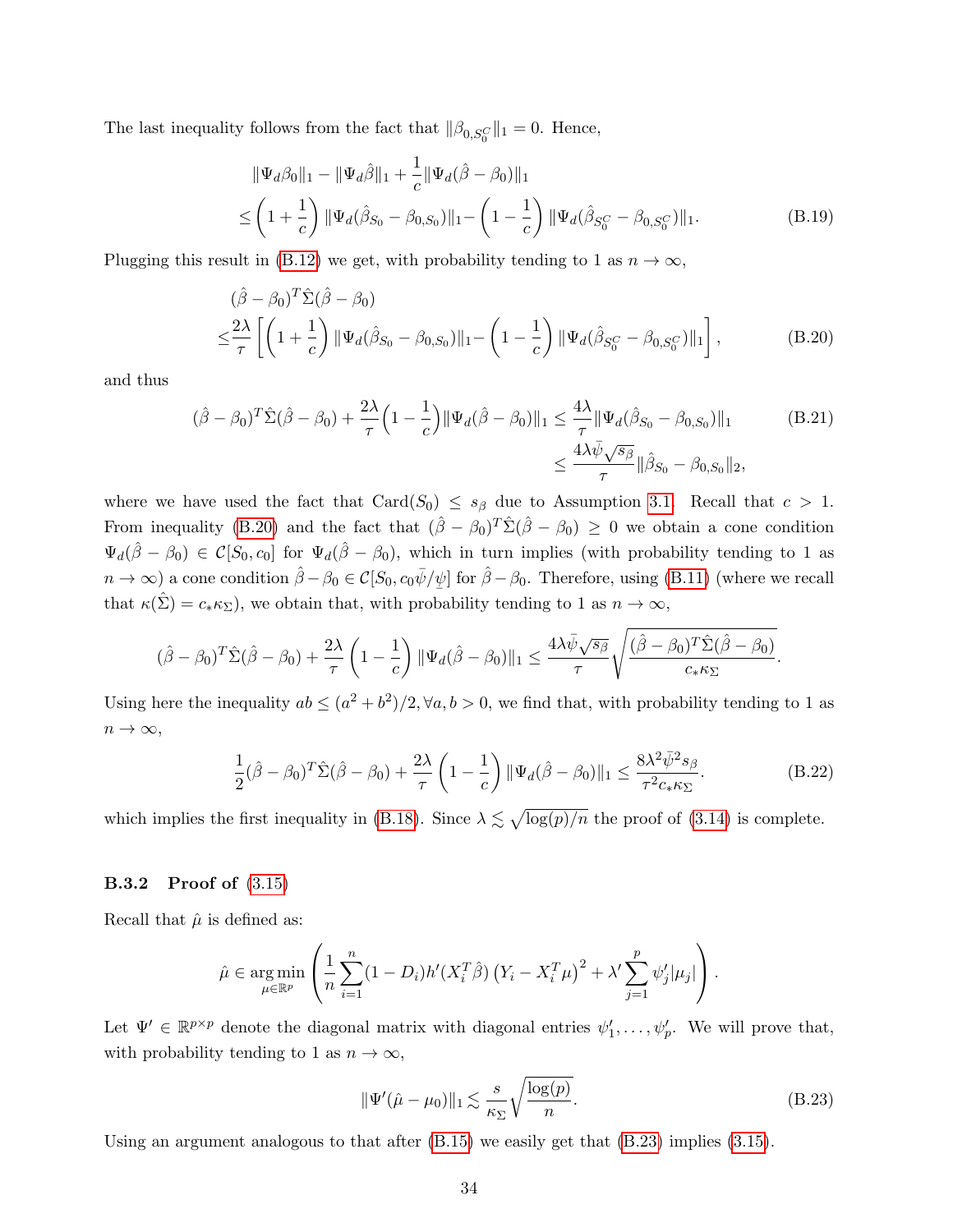The last inequality follows from the fact that  $\|\beta_{0,S_0^C}\|_1 = 0$ . Hence,

<span id="page-33-3"></span><span id="page-33-1"></span>
$$
\|\Psi_d\beta_0\|_1 - \|\Psi_d\hat{\beta}\|_1 + \frac{1}{c} \|\Psi_d(\hat{\beta} - \beta_0)\|_1
$$
  

$$
\leq \left(1 + \frac{1}{c}\right) \|\Psi_d(\hat{\beta}_{S_0} - \beta_{0,S_0})\|_1 - \left(1 - \frac{1}{c}\right) \|\Psi_d(\hat{\beta}_{S_0^C} - \beta_{0,S_0^C})\|_1.
$$
 (B.19)

Plugging this result in [\(B.12\)](#page-31-2) we get, with probability tending to 1 as  $n \to \infty$ ,

<span id="page-33-4"></span>
$$
(\hat{\beta} - \beta_0)^T \hat{\Sigma} (\hat{\beta} - \beta_0)
$$
  

$$
\leq \frac{2\lambda}{\tau} \left[ \left( 1 + \frac{1}{c} \right) \| \Psi_d (\hat{\beta}_{S_0} - \beta_{0,S_0}) \|_1 - \left( 1 - \frac{1}{c} \right) \| \Psi_d (\hat{\beta}_{S_0^C} - \beta_{0,S_0^C}) \|_1 \right],
$$
 (B.20)

and thus

$$
(\hat{\beta} - \beta_0)^T \hat{\Sigma} (\hat{\beta} - \beta_0) + \frac{2\lambda}{\tau} \left( 1 - \frac{1}{c} \right) \|\Psi_d(\hat{\beta} - \beta_0)\|_1 \le \frac{4\lambda}{\tau} \|\Psi_d(\hat{\beta}_{S_0} - \beta_{0,S_0})\|_1
$$
(B.21)  

$$
\le \frac{4\lambda \bar{\psi} \sqrt{s_{\beta}}}{\tau} \|\hat{\beta}_{S_0} - \beta_{0,S_0}\|_2,
$$

where we have used the fact that Card( $S_0$ )  $\leq s_\beta$  due to Assumption [3.1.](#page-10-0) Recall that  $c > 1$ . From inequality [\(B.20\)](#page-33-1) and the fact that  $(\hat{\beta} - \beta_0)^T \hat{\Sigma} (\hat{\beta} - \beta_0) \geq 0$  we obtain a cone condition  $\Psi_d(\hat{\beta}-\beta_0) \in \mathcal{C}[S_0,c_0]$  for  $\Psi_d(\hat{\beta}-\beta_0)$ , which in turn implies (with probability tending to 1 as  $n \to \infty$ ) a cone condition  $\hat{\beta} - \beta_0 \in \mathcal{C}[S_0, c_0\bar{\psi}/\psi]$  for  $\hat{\beta} - \beta_0$ . Therefore, using [\(B.11\)](#page-30-1) (where we recall that  $\kappa(\hat{\Sigma}) = c_* \kappa_{\Sigma}$ , we obtain that, with probability tending to 1 as  $n \to \infty$ ,

$$
(\hat{\beta} - \beta_0)^T \hat{\Sigma}(\hat{\beta} - \beta_0) + \frac{2\lambda}{\tau} \left(1 - \frac{1}{c}\right) \|\Psi_d(\hat{\beta} - \beta_0)\|_1 \leq \frac{4\lambda \bar{\psi}\sqrt{s_{\beta}}}{\tau} \sqrt{\frac{(\hat{\beta} - \beta_0)^T \hat{\Sigma}(\hat{\beta} - \beta_0)}{c_{\ast} \kappa_{\Sigma}}}.
$$

Using here the inequality  $ab \leq (a^2 + b^2)/2$ ,  $\forall a, b > 0$ , we find that, with probability tending to 1 as  $n \to \infty$ ,

$$
\frac{1}{2}(\hat{\beta} - \beta_0)^T \hat{\Sigma}(\hat{\beta} - \beta_0) + \frac{2\lambda}{\tau} \left(1 - \frac{1}{c}\right) \|\Psi_d(\hat{\beta} - \beta_0)\|_1 \le \frac{8\lambda^2 \bar{\psi}^2 s_\beta}{\tau^2 c_* \kappa_\Sigma}.
$$
\n(B.22)

which implies the first inequality in [\(B.18\)](#page-32-0). Since  $\lambda \lesssim \sqrt{\log(p)/n}$  the proof of [\(3.14\)](#page-13-1) is complete.

#### B.3.2 Proof of [\(3.15\)](#page-13-1)

Recall that  $\hat{\mu}$  is defined as:

$$
\hat{\mu} \in \underset{\mu \in \mathbb{R}^p}{\arg \min} \left( \frac{1}{n} \sum_{i=1}^n (1 - D_i) h'(X_i^T \hat{\beta}) \left( Y_i - X_i^T \mu \right)^2 + \lambda' \sum_{j=1}^p \psi'_j |\mu_j| \right).
$$

Let  $\Psi' \in \mathbb{R}^{p \times p}$  denote the diagonal matrix with diagonal entries  $\psi'_1, \ldots, \psi'_p$ . We will prove that, with probability tending to 1 as  $n \to \infty$ ,

<span id="page-33-2"></span><span id="page-33-0"></span>
$$
\|\Psi'(\hat{\mu} - \mu_0)\|_1 \lesssim \frac{s}{\kappa_{\Sigma}} \sqrt{\frac{\log(p)}{n}}.
$$
\n(B.23)

Using an argument analogous to that after [\(B.15\)](#page-32-1) we easily get that [\(B.23\)](#page-33-0) implies [\(3.15\)](#page-13-1).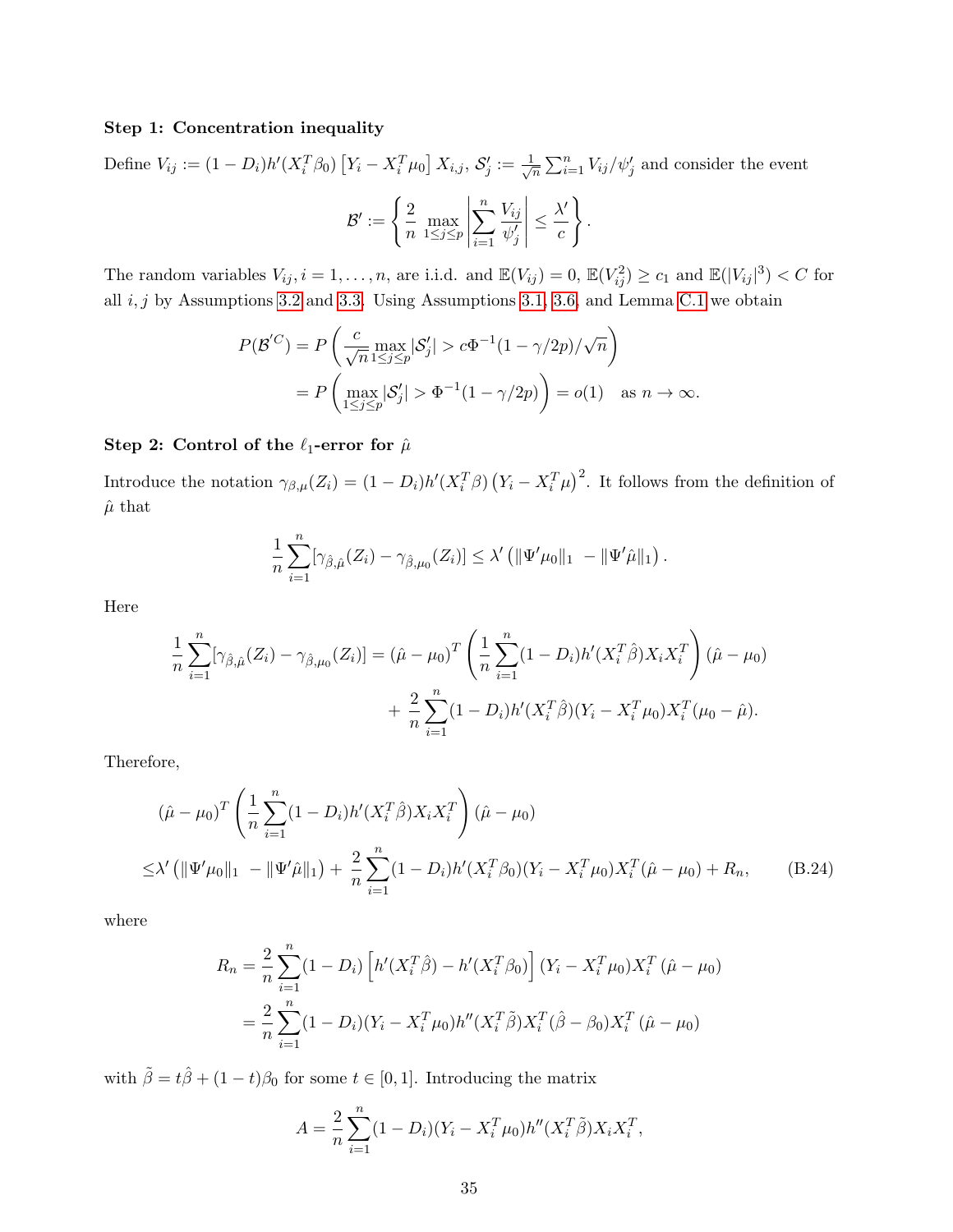#### Step 1: Concentration inequality

Define  $V_{ij} := (1 - D_i)h'(X_i^T \beta_0) [Y_i - X_i^T \mu_0] X_{i,j}, S'_j := \frac{1}{\sqrt{3}}$  $\frac{1}{n} \sum_{i=1}^{n} V_{ij} / \psi'_j$  and consider the event  $\mathcal{B}^\prime:=\Big\{ \frac{2}{\tau}$  $\frac{2}{n}$  max<br> $\frac{n!}{\leq j \leq p}$  $\begin{array}{c} \begin{array}{c} \begin{array}{c} \end{array}\\ \begin{array}{c} \end{array}\\ \begin{array}{c} \end{array}\\ \begin{array}{c} \end{array}\\ \begin{array}{c} \end{array}\\ \begin{array}{c} \end{array}\\ \begin{array}{c} \end{array}\\ \begin{array}{c} \end{array}\\ \begin{array}{c} \end{array}\\ \begin{array}{c} \end{array}\\ \begin{array}{c} \end{array}\\ \begin{array}{c} \end{array}\\ \begin{array}{c} \end{array}\\ \begin{array}{c} \end{array}\\ \begin{array}{c} \end{array}\\ \begin{array}{c} \end{array}\\ \begin{array}{c} \end{array}\\ \begin$  $\sum_{n=1}^{\infty}$  $V_{ij}$  $\overline{\psi_j'}$  $\begin{array}{c} \begin{array}{c} \begin{array}{c} \end{array}\\ \begin{array}{c} \end{array}\\ \begin{array}{c} \end{array}\\ \begin{array}{c} \end{array}\\ \begin{array}{c} \end{array}\\ \begin{array}{c} \end{array}\\ \begin{array}{c} \end{array}\\ \begin{array}{c} \end{array}\\ \begin{array}{c} \end{array}\\ \begin{array}{c} \end{array}\\ \begin{array}{c} \end{array}\\ \begin{array}{c} \end{array}\\ \begin{array}{c} \end{array}\\ \begin{array}{c} \end{array}\\ \begin{array}{c} \end{array}\\ \begin{array}{c} \end{array}\\ \begin{array}{c} \end{array}\\ \begin$  $\leq \frac{\lambda'}{a}$ c ) .

The random variables  $V_{ij}$ ,  $i = 1, ..., n$ , are i.i.d. and  $\mathbb{E}(V_{ij}) = 0$ ,  $\mathbb{E}(V_{ij}^2) \ge c_1$  and  $\mathbb{E}(|V_{ij}|^3) < C$  for all  $i, j$  by Assumptions [3.2](#page-11-2) and [3.3.](#page-11-0) Using Assumptions [3.1,](#page-10-0) [3.6,](#page-12-0) and Lemma [C.1](#page-36-0) we obtain

 $i=1$ 

$$
P(\mathcal{B}'^C) = P\left(\frac{c}{\sqrt{n}} \max_{1 \le j \le p} |\mathcal{S}'_j| > c\Phi^{-1}(1 - \gamma/2p)/\sqrt{n}\right)
$$
  
= 
$$
P\left(\max_{1 \le j \le p} |\mathcal{S}'_j| > \Phi^{-1}(1 - \gamma/2p)\right) = o(1) \text{ as } n \to \infty.
$$

#### Step 2: Control of the  $\ell_1$ -error for  $\hat{\mu}$

Introduce the notation  $\gamma_{\beta,\mu}(Z_i) = (1 - D_i)h'(X_i^T\beta)(Y_i - X_i^T\mu)^2$ . It follows from the definition of  $\hat{\mu}$  that

$$
\frac{1}{n}\sum_{i=1}^n[\gamma_{\hat{\beta},\hat{\mu}}(Z_i)-\gamma_{\hat{\beta},\mu_0}(Z_i)]\leq \lambda' \left(\|\Psi'\mu_0\|_1\;-\|\Psi'\hat{\mu}\|_1\right).
$$

Here

$$
\frac{1}{n} \sum_{i=1}^{n} [\gamma_{\hat{\beta},\hat{\mu}}(Z_i) - \gamma_{\hat{\beta},\mu_0}(Z_i)] = (\hat{\mu} - \mu_0)^T \left( \frac{1}{n} \sum_{i=1}^{n} (1 - D_i) h'(X_i^T \hat{\beta}) X_i X_i^T \right) (\hat{\mu} - \mu_0) + \frac{2}{n} \sum_{i=1}^{n} (1 - D_i) h'(X_i^T \hat{\beta}) (Y_i - X_i^T \mu_0) X_i^T (\mu_0 - \hat{\mu}).
$$

Therefore,

$$
(\hat{\mu} - \mu_0)^T \left( \frac{1}{n} \sum_{i=1}^n (1 - D_i) h'(X_i^T \hat{\beta}) X_i X_i^T \right) (\hat{\mu} - \mu_0)
$$
  
 
$$
\leq \lambda' \left( \|\Psi'\mu_0\|_1 - \|\Psi'\hat{\mu}\|_1 \right) + \frac{2}{n} \sum_{i=1}^n (1 - D_i) h'(X_i^T \beta_0) (Y_i - X_i^T \mu_0) X_i^T (\hat{\mu} - \mu_0) + R_n, \qquad (B.24)
$$

where

$$
R_n = \frac{2}{n} \sum_{i=1}^n (1 - D_i) \left[ h'(X_i^T \hat{\beta}) - h'(X_i^T \beta_0) \right] (Y_i - X_i^T \mu_0) X_i^T (\hat{\mu} - \mu_0)
$$
  
= 
$$
\frac{2}{n} \sum_{i=1}^n (1 - D_i) (Y_i - X_i^T \mu_0) h''(X_i^T \hat{\beta}) X_i^T (\hat{\beta} - \beta_0) X_i^T (\hat{\mu} - \mu_0)
$$

with  $\tilde{\beta} = t\hat{\beta} + (1-t)\beta_0$  for some  $t \in [0,1]$ . Introducing the matrix

<span id="page-34-0"></span>
$$
A = \frac{2}{n} \sum_{i=1}^{n} (1 - D_i)(Y_i - X_i^T \mu_0) h''(X_i^T \tilde{\beta}) X_i X_i^T,
$$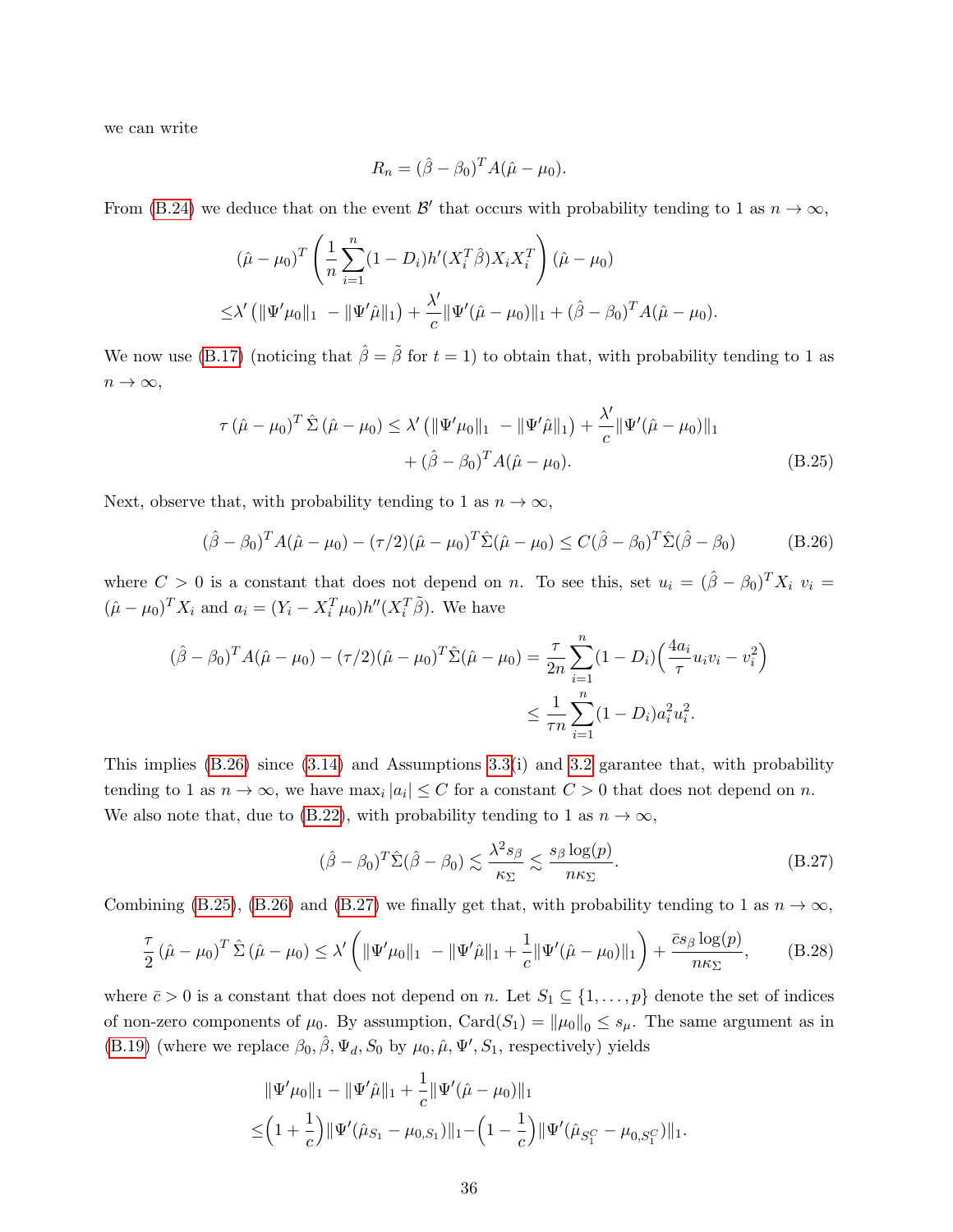we can write

<span id="page-35-1"></span><span id="page-35-0"></span>
$$
R_n = (\hat{\beta} - \beta_0)^T A(\hat{\mu} - \mu_0).
$$

From [\(B.24\)](#page-34-0) we deduce that on the event  $\mathcal{B}'$  that occurs with probability tending to 1 as  $n \to \infty$ ,

$$
(\hat{\mu} - \mu_0)^T \left( \frac{1}{n} \sum_{i=1}^n (1 - D_i) h'(X_i^T \hat{\beta}) X_i X_i^T \right) (\hat{\mu} - \mu_0)
$$
  
 
$$
\leq \lambda' \left( \| \Psi' \mu_0 \|_1 - \| \Psi' \hat{\mu} \|_1 \right) + \frac{\lambda'}{c} \| \Psi' (\hat{\mu} - \mu_0) \|_1 + (\hat{\beta} - \beta_0)^T A (\hat{\mu} - \mu_0).
$$

We now use [\(B.17\)](#page-32-2) (noticing that  $\hat{\beta} = \tilde{\beta}$  for  $t = 1$ ) to obtain that, with probability tending to 1 as  $n \to \infty$ ,

$$
\tau (\hat{\mu} - \mu_0)^T \hat{\Sigma} (\hat{\mu} - \mu_0) \le \lambda' \left( \|\Psi'\mu_0\|_1 - \|\Psi'\hat{\mu}\|_1 \right) + \frac{\lambda'}{c} \|\Psi'(\hat{\mu} - \mu_0)\|_1
$$
  
+  $(\hat{\beta} - \beta_0)^T A(\hat{\mu} - \mu_0).$  (B.25)

Next, observe that, with probability tending to 1 as  $n \to \infty$ ,

$$
(\hat{\beta} - \beta_0)^T A (\hat{\mu} - \mu_0) - (\tau/2)(\hat{\mu} - \mu_0)^T \hat{\Sigma} (\hat{\mu} - \mu_0) \le C (\hat{\beta} - \beta_0)^T \hat{\Sigma} (\hat{\beta} - \beta_0)
$$
(B.26)

where  $C > 0$  is a constant that does not depend on n. To see this, set  $u_i = (\hat{\beta} - \beta_0)^T X_i$   $v_i =$  $(\hat{\mu} - \mu_0)^T X_i$  and  $a_i = (Y_i - X_i^T \mu_0) h'' (X_i^T \tilde{\beta})$ . We have

$$
(\hat{\beta} - \beta_0)^T A(\hat{\mu} - \mu_0) - (\tau/2)(\hat{\mu} - \mu_0)^T \hat{\Sigma}(\hat{\mu} - \mu_0) = \frac{\tau}{2n} \sum_{i=1}^n (1 - D_i) \left(\frac{4a_i}{\tau} u_i v_i - v_i^2\right)
$$
  

$$
\leq \frac{1}{\tau n} \sum_{i=1}^n (1 - D_i) a_i^2 u_i^2.
$$

This implies  $(B.26)$  since  $(3.14)$  and Assumptions  $3.3(i)$  and  $3.2$  garantee that, with probability tending to 1 as  $n \to \infty$ , we have  $\max_i |a_i| \leq C$  for a constant  $C > 0$  that does not depend on n. We also note that, due to [\(B.22\)](#page-33-2), with probability tending to 1 as  $n \to \infty$ ,

<span id="page-35-3"></span><span id="page-35-2"></span>
$$
(\hat{\beta} - \beta_0)^T \hat{\Sigma} (\hat{\beta} - \beta_0) \lesssim \frac{\lambda^2 s_\beta}{\kappa_\Sigma} \lesssim \frac{s_\beta \log(p)}{n\kappa_\Sigma}.
$$
 (B.27)

Combining [\(B.25\)](#page-35-1), [\(B.26\)](#page-35-0) and [\(B.27\)](#page-35-2) we finally get that, with probability tending to 1 as  $n \to \infty$ ,

$$
\frac{\tau}{2} (\hat{\mu} - \mu_0)^T \hat{\Sigma} (\hat{\mu} - \mu_0) \le \lambda' \left( \|\Psi'\mu_0\|_1 - \|\Psi'\hat{\mu}\|_1 + \frac{1}{c} \|\Psi'(\hat{\mu} - \mu_0)\|_1 \right) + \frac{\bar{c}s_\beta \log(p)}{n\kappa_\Sigma}, \quad (B.28)
$$

where  $\bar{c} > 0$  is a constant that does not depend on n. Let  $S_1 \subseteq \{1, \ldots, p\}$  denote the set of indices of non-zero components of  $\mu_0$ . By assumption,  $Card(S_1) = ||\mu_0||_0 \leq s_{\mu}$ . The same argument as in [\(B.19\)](#page-33-3) (where we replace  $\beta_0$ ,  $\hat{\beta}$ ,  $\Psi_d$ ,  $S_0$  by  $\mu_0$ ,  $\hat{\mu}$ ,  $\Psi'$ ,  $S_1$ , respectively) yields

$$
\|\Psi'\mu_0\|_1 - \|\Psi'\hat{\mu}\|_1 + \frac{1}{c}\|\Psi'(\hat{\mu} - \mu_0)\|_1
$$
  

$$
\leq (1 + \frac{1}{c})\|\Psi'(\hat{\mu}_{S_1} - \mu_{0,S_1})\|_1 - (1 - \frac{1}{c})\|\Psi'(\hat{\mu}_{S_1^C} - \mu_{0,S_1^C})\|_1.
$$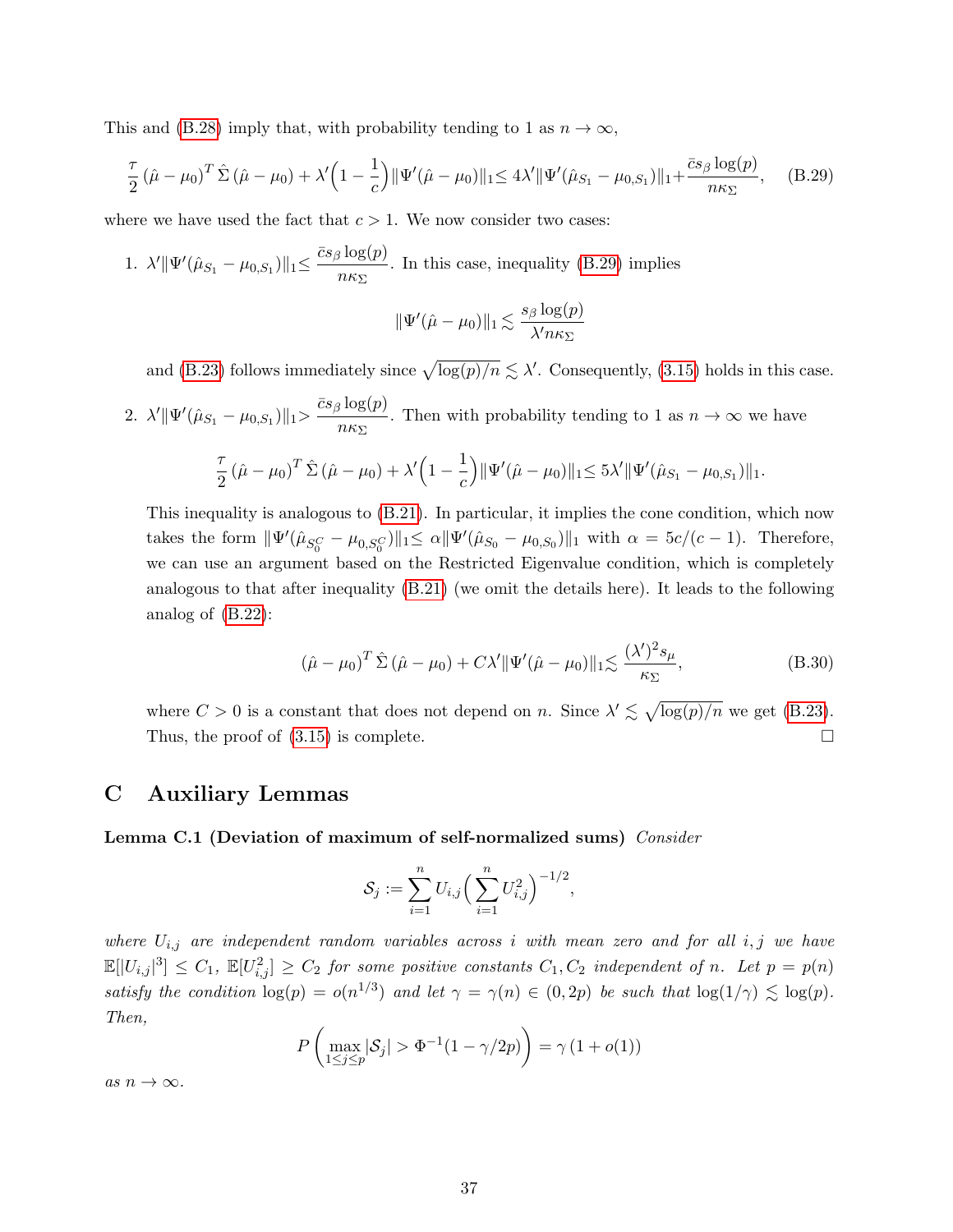This and [\(B.28\)](#page-35-3) imply that, with probability tending to 1 as  $n \to \infty$ ,

$$
\frac{\tau}{2} (\hat{\mu} - \mu_0)^T \hat{\Sigma} (\hat{\mu} - \mu_0) + \lambda' \left( 1 - \frac{1}{c} \right) \|\Psi'(\hat{\mu} - \mu_0)\|_1 \le 4\lambda' \|\Psi'(\hat{\mu}_{S_1} - \mu_{0,S_1})\|_1 + \frac{\bar{c}s_\beta \log(p)}{n\kappa_\Sigma}, \quad (B.29)
$$

where we have used the fact that  $c > 1$ . We now consider two cases:

1. 
$$
\lambda' \|\Psi'(\hat{\mu}_{S_1} - \mu_{0,S_1})\|_1 \le \frac{\bar{c}s_\beta \log(p)}{n\kappa_\Sigma}
$$
. In this case, inequality (B.29) implies

<span id="page-36-2"></span>
$$
\|\Psi'(\hat{\mu}-\mu_0)\|_1 \lesssim \frac{s_\beta \log(p)}{\lambda' n \kappa_\Sigma}
$$

and [\(B.23\)](#page-33-0) follows immediately since  $\sqrt{\log(p)/n} \lesssim \lambda'$ . Consequently, [\(3.15\)](#page-13-1) holds in this case.

2. 
$$
\lambda' \|\Psi'(\hat{\mu}_{S_1} - \mu_{0,S_1})\|_1 > \frac{\bar{c}s_\beta \log(p)}{n\kappa_{\Sigma}}
$$
. Then with probability tending to 1 as  $n \to \infty$  we have

$$
\frac{\tau}{2} (\hat{\mu} - \mu_0)^T \hat{\Sigma} (\hat{\mu} - \mu_0) + \lambda' \left( 1 - \frac{1}{c} \right) \|\Psi'(\hat{\mu} - \mu_0)\|_1 \leq 5\lambda' \|\Psi'(\hat{\mu}_{S_1} - \mu_{0,S_1})\|_1.
$$

This inequality is analogous to [\(B.21\)](#page-33-4). In particular, it implies the cone condition, which now takes the form  $\|\Psi'(\hat{\mu}_{S_0^C} - \mu_{0,S_0^C})\|_1 \leq \alpha \|\Psi'(\hat{\mu}_{S_0} - \mu_{0,S_0})\|_1$  with  $\alpha = 5c/(c-1)$ . Therefore, we can use an argument based on the Restricted Eigenvalue condition, which is completely analogous to that after inequality [\(B.21\)](#page-33-4) (we omit the details here). It leads to the following analog of [\(B.22\)](#page-33-2):

$$
\left(\hat{\mu} - \mu_0\right)^T \hat{\Sigma} \left(\hat{\mu} - \mu_0\right) + C\lambda' \|\Psi'(\hat{\mu} - \mu_0)\|_1 \lesssim \frac{(\lambda')^2 s_\mu}{\kappa_\Sigma},\tag{B.30}
$$

where  $C > 0$  is a constant that does not depend on n. Since  $\lambda' \lesssim \sqrt{\log(p)/n}$  we get [\(B.23\)](#page-33-0). Thus, the proof of  $(3.15)$  is complete.

# <span id="page-36-1"></span>C Auxiliary Lemmas

<span id="page-36-0"></span>Lemma C.1 (Deviation of maximum of self-normalized sums) Consider

$$
\mathcal{S}_j := \sum_{i=1}^n U_{i,j} \left( \sum_{i=1}^n U_{i,j}^2 \right)^{-1/2},
$$

where  $U_{i,j}$  are independent random variables across i with mean zero and for all i, j we have  $\mathbb{E}[|U_{i,j}|^3] \leq C_1$ ,  $\mathbb{E}[U_{i,j}^2] \geq C_2$  for some positive constants  $C_1, C_2$  independent of n. Let  $p = p(n)$ satisfy the condition  $\log(p) = o(n^{1/3})$  and let  $\gamma = \gamma(n) \in (0, 2p)$  be such that  $\log(1/\gamma) \lesssim \log(p)$ . Then,

$$
P\left(\max_{1\leq j\leq p}|\mathcal{S}_j| > \Phi^{-1}(1-\gamma/2p)\right) = \gamma(1+o(1))
$$

as  $n \to \infty$ .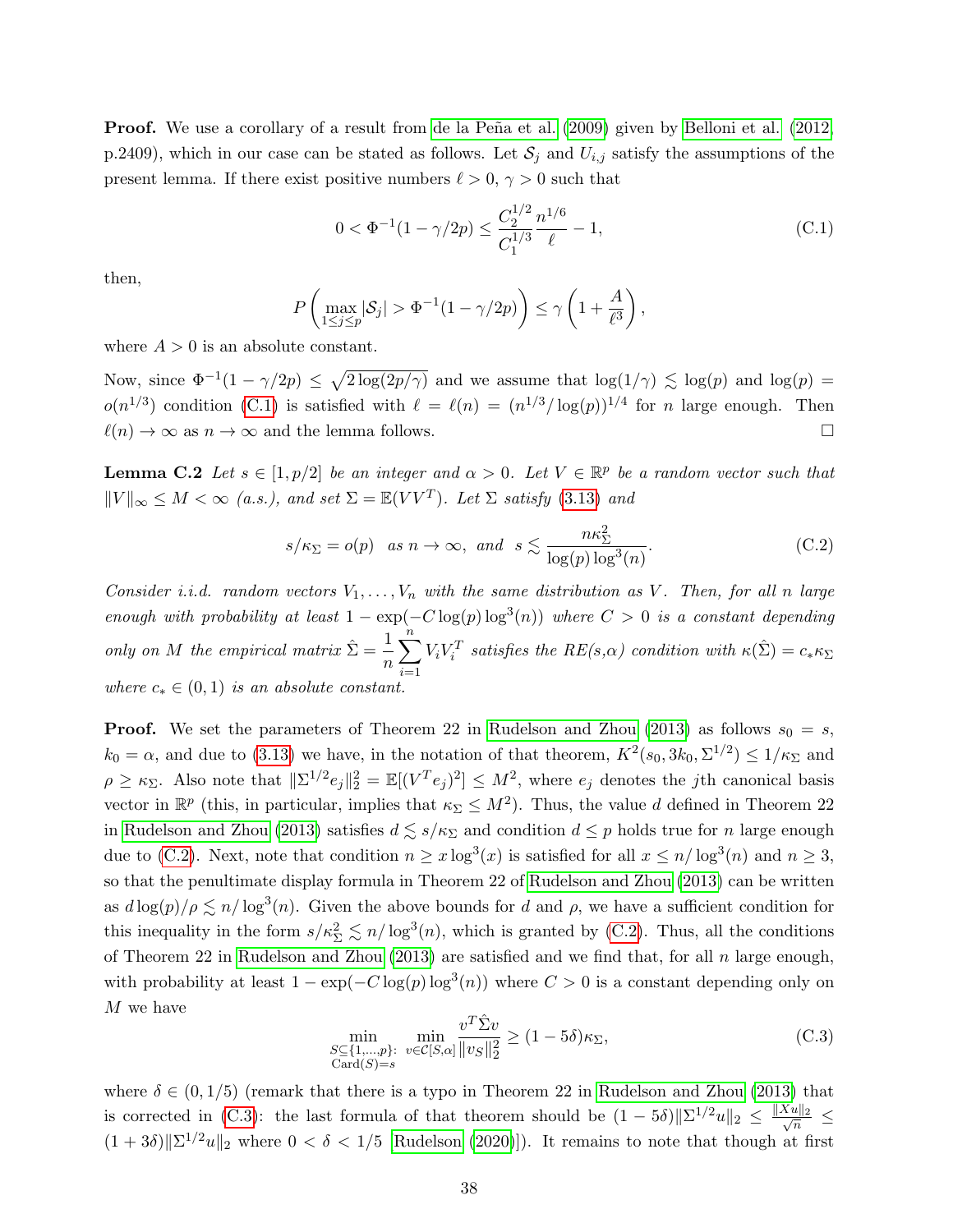**Proof.** We use a corollary of a result from de la Peña et al. [\(2009\)](#page-22-13) given by [Belloni et al.](#page-22-10) [\(2012,](#page-22-10) p.2409), which in our case can be stated as follows. Let  $S_j$  and  $U_{i,j}$  satisfy the assumptions of the present lemma. If there exist positive numbers  $\ell > 0, \gamma > 0$  such that

<span id="page-37-2"></span>
$$
0 < \Phi^{-1}(1 - \gamma/2p) \le \frac{C_2^{1/2}}{C_1^{1/3}} \frac{n^{1/6}}{\ell} - 1,\tag{C.1}
$$

then,

$$
P\left(\max_{1\leq j\leq p}|\mathcal{S}_j| > \Phi^{-1}(1-\gamma/2p)\right) \leq \gamma\left(1+\frac{A}{\ell^3}\right),
$$

where  $A > 0$  is an absolute constant.

Now, since  $\Phi^{-1}(1-\gamma/2p) \leq \sqrt{2\log(2p/\gamma)}$  and we assume that  $\log(1/\gamma) \leq \log(p)$  and  $\log(p) =$  $o(n^{1/3})$  condition [\(C.1\)](#page-37-2) is satisfied with  $\ell = \ell(n) = (n^{1/3} / \log(n))^{1/4}$  for n large enough. Then  $\ell(n) \to \infty$  as  $n \to \infty$  and the lemma follows.

<span id="page-37-1"></span>**Lemma C.2** Let  $s \in [1, p/2]$  be an integer and  $\alpha > 0$ . Let  $V \in \mathbb{R}^p$  be a random vector such that  $||V||_{\infty} \leq M < \infty$  (a.s.), and set  $\Sigma = \mathbb{E}(VV^T)$ . Let  $\Sigma$  satisfy [\(3.13\)](#page-11-3) and

<span id="page-37-0"></span>
$$
s/\kappa_{\Sigma} = o(p)
$$
 as  $n \to \infty$ , and  $s \lesssim \frac{n\kappa_{\Sigma}^2}{\log(p)\log^3(n)}$ . (C.2)

Consider i.i.d. random vectors  $V_1, \ldots, V_n$  with the same distribution as V. Then, for all n large enough with probability at least  $1 - \exp(-C \log(p) \log^3(n))$  where  $C > 0$  is a constant depending only on M the empirical matrix  $\hat{\Sigma} = \frac{1}{n}$ n  $\sum_{n=1}^{n}$  $i=1$  $V_i V_i^T$  satisfies the  $RE(s,\alpha)$  condition with  $\kappa(\hat{\Sigma}) = c_* \kappa_{\Sigma}$ where  $c_* \in (0,1)$  is an absolute constant.

**Proof.** We set the parameters of Theorem 22 in [Rudelson and Zhou](#page-24-8) [\(2013\)](#page-24-8) as follows  $s_0 = s$ ,  $k_0 = \alpha$ , and due to [\(3.13\)](#page-11-3) we have, in the notation of that theorem,  $K^2(s_0, 3k_0, \Sigma^{1/2}) \le 1/\kappa_{\Sigma}$  and  $\rho \geq \kappa_{\Sigma}$ . Also note that  $\|\Sigma^{1/2}e_j\|_2^2 = \mathbb{E}[(V^T e_j)^2] \leq M^2$ , where  $e_j$  denotes the jth canonical basis vector in  $\mathbb{R}^p$  (this, in particular, implies that  $\kappa_{\Sigma} \leq M^2$ ). Thus, the value d defined in Theorem 22 in [Rudelson and Zhou](#page-24-8) [\(2013\)](#page-24-8) satisfies  $d \leq s/\kappa_{\Sigma}$  and condition  $d \leq p$  holds true for n large enough due to [\(C.2\)](#page-37-0). Next, note that condition  $n \ge x \log^3(x)$  is satisfied for all  $x \le n/\log^3(n)$  and  $n \ge 3$ , so that the penultimate display formula in Theorem 22 of [Rudelson and Zhou](#page-24-8) [\(2013\)](#page-24-8) can be written as  $d \log(p)/\rho \lesssim n/\log^3(n)$ . Given the above bounds for d and  $\rho$ , we have a sufficient condition for this inequality in the form  $s/\kappa_{\Sigma}^2 \lesssim n/\log^3(n)$ , which is granted by [\(C.2\)](#page-37-0). Thus, all the conditions of Theorem 22 in [Rudelson and Zhou](#page-24-8) [\(2013\)](#page-24-8) are satisfied and we find that, for all n large enough, with probability at least  $1 - \exp(-C \log(p) \log^3(n))$  where  $C > 0$  is a constant depending only on M we have

<span id="page-37-3"></span>
$$
\min_{\substack{S \subseteq \{1,\ldots,p\}: \\ \text{Card}(S)=s}} \min_{v \in \mathcal{C}[S,\alpha]} \frac{v^T \hat{\Sigma} v}{\|v_S\|_2^2} \ge (1 - 5\delta)\kappa_\Sigma,\tag{C.3}
$$

where  $\delta \in (0, 1/5)$  (remark that there is a typo in Theorem 22 in [Rudelson and Zhou](#page-24-8) [\(2013\)](#page-24-8) that is corrected in [\(C.3\)](#page-37-3): the last formula of that theorem should be  $(1-5\delta)\|\Sigma^{1/2}u\|_2 \leq \frac{\|Xu\|_2}{\sqrt{n}}$  $\frac{u||2}{n} \leq$  $(1+3\delta)\|\Sigma^{1/2}u\|_2$  where  $0<\delta<1/5$  [\[Rudelson](#page-24-9) [\(2020\)](#page-24-9)]). It remains to note that though at first